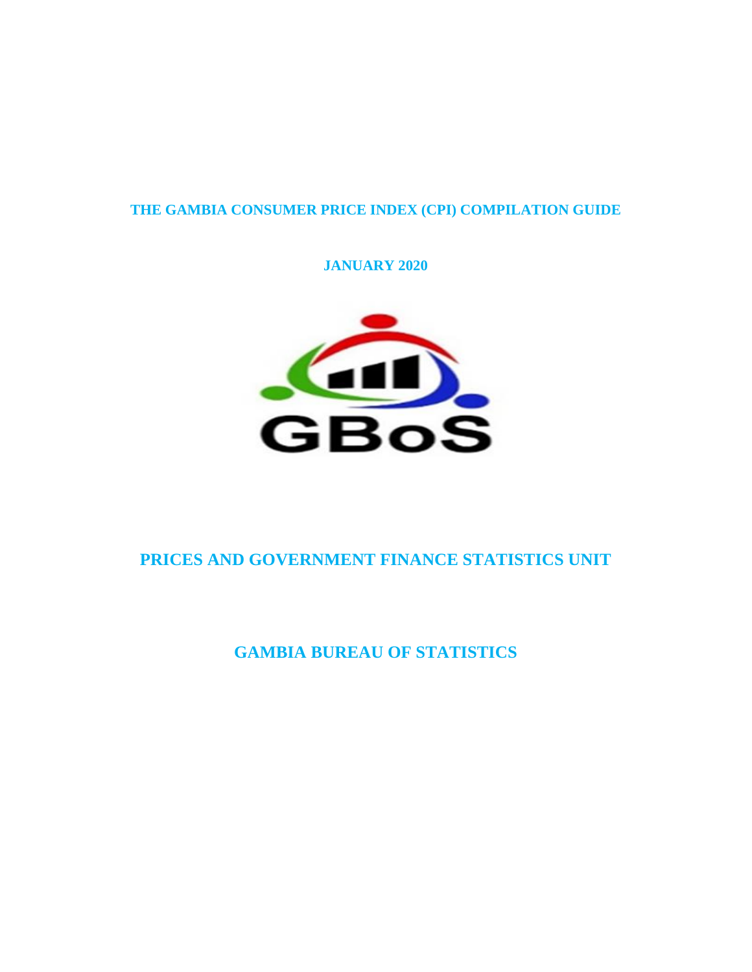# **THE GAMBIA CONSUMER PRICE INDEX (CPI) COMPILATION GUIDE**

# **JANUARY 2020**



# **PRICES AND GOVERNMENT FINANCE STATISTICS UNIT**

**GAMBIA BUREAU OF STATISTICS**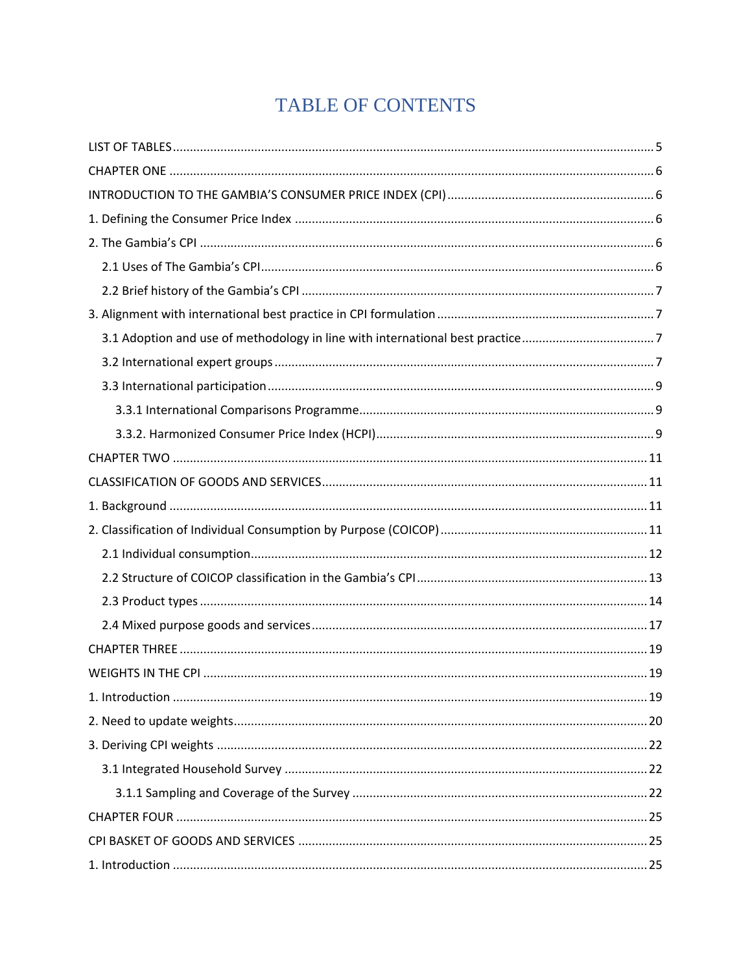# TABLE OF CONTENTS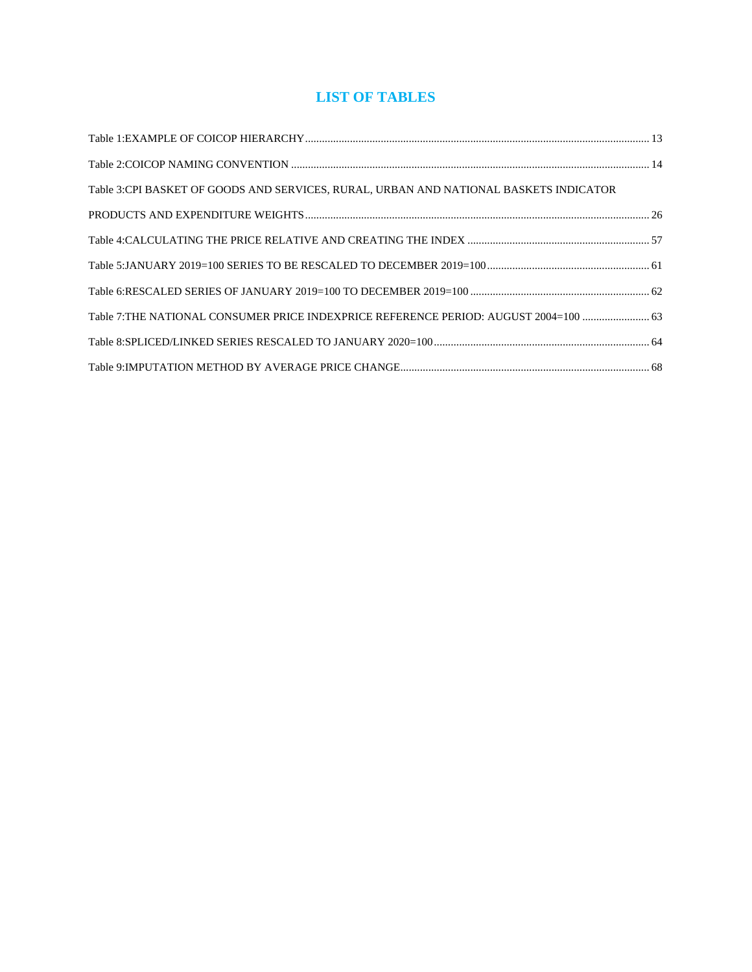# **LIST OF TABLES**

<span id="page-4-0"></span>

| Table 3:CPI BASKET OF GOODS AND SERVICES, RURAL, URBAN AND NATIONAL BASKETS INDICATOR |  |
|---------------------------------------------------------------------------------------|--|
|                                                                                       |  |
|                                                                                       |  |
|                                                                                       |  |
|                                                                                       |  |
| Table 7:THE NATIONAL CONSUMER PRICE INDEXPRICE REFERENCE PERIOD: AUGUST 2004=100  63  |  |
|                                                                                       |  |
|                                                                                       |  |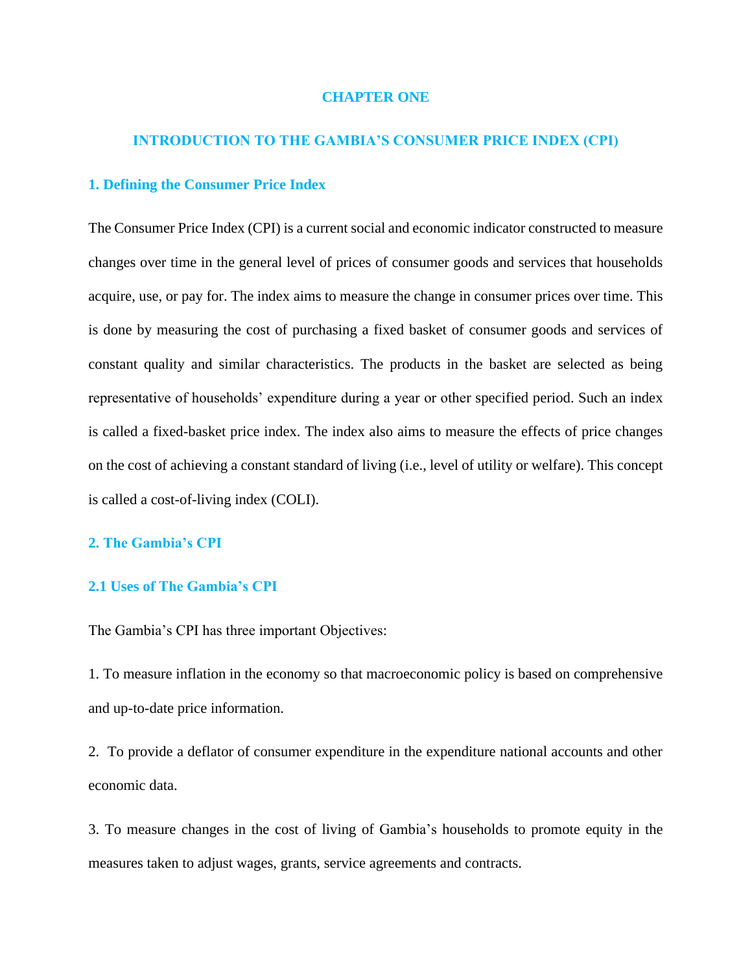# **CHAPTER ONE**

# <span id="page-5-0"></span>**INTRODUCTION TO THE GAMBIA'S CONSUMER PRICE INDEX (CPI)**

# <span id="page-5-2"></span><span id="page-5-1"></span>**1. Defining the Consumer Price Index**

The Consumer Price Index (CPI) is a current social and economic indicator constructed to measure changes over time in the general level of prices of consumer goods and services that households acquire, use, or pay for. The index aims to measure the change in consumer prices over time. This is done by measuring the cost of purchasing a fixed basket of consumer goods and services of constant quality and similar characteristics. The products in the basket are selected as being representative of households' expenditure during a year or other specified period. Such an index is called a fixed-basket price index. The index also aims to measure the effects of price changes on the cost of achieving a constant standard of living (i.e., level of utility or welfare). This concept is called a cost-of-living index (COLI).

# <span id="page-5-3"></span>**2. The Gambia's CPI**

# <span id="page-5-4"></span>**2.1 Uses of The Gambia's CPI**

The Gambia's CPI has three important Objectives:

1. To measure inflation in the economy so that macroeconomic policy is based on comprehensive and up-to-date price information.

2. To provide a deflator of consumer expenditure in the expenditure national accounts and other economic data.

3. To measure changes in the cost of living of Gambia's households to promote equity in the measures taken to adjust wages, grants, service agreements and contracts.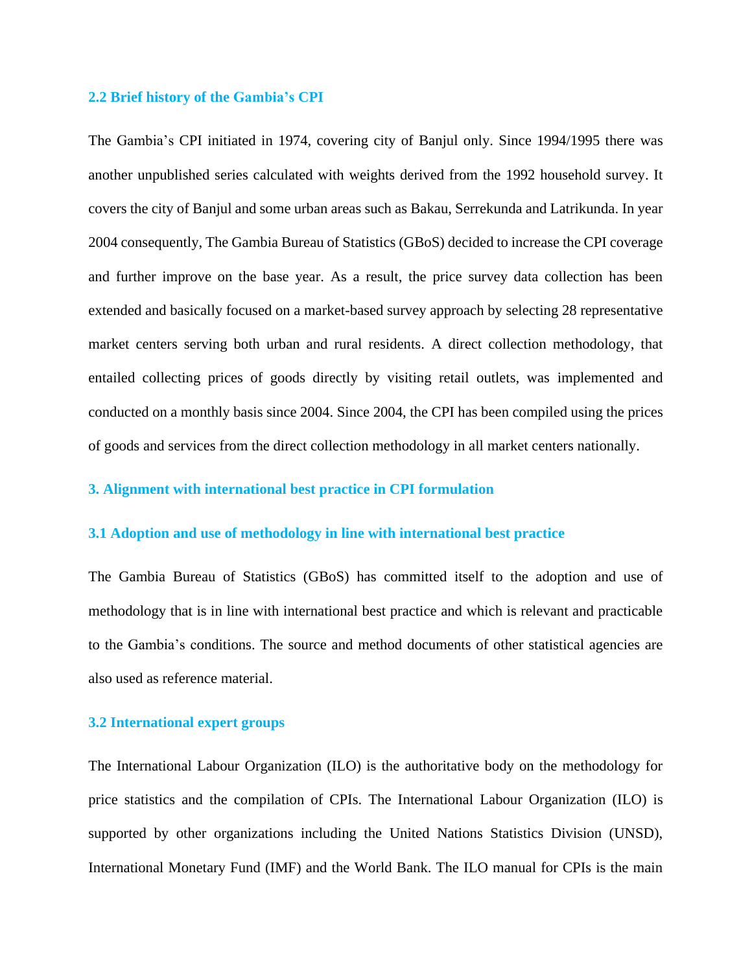#### <span id="page-6-0"></span>**2.2 Brief history of the Gambia's CPI**

The Gambia's CPI initiated in 1974, covering city of Banjul only. Since 1994/1995 there was another unpublished series calculated with weights derived from the 1992 household survey. It covers the city of Banjul and some urban areas such as Bakau, Serrekunda and Latrikunda. In year 2004 consequently, The Gambia Bureau of Statistics (GBoS) decided to increase the CPI coverage and further improve on the base year. As a result, the price survey data collection has been extended and basically focused on a market-based survey approach by selecting 28 representative market centers serving both urban and rural residents. A direct collection methodology, that entailed collecting prices of goods directly by visiting retail outlets, was implemented and conducted on a monthly basis since 2004. Since 2004, the CPI has been compiled using the prices of goods and services from the direct collection methodology in all market centers nationally.

# <span id="page-6-1"></span>**3. Alignment with international best practice in CPI formulation**

# <span id="page-6-2"></span>**3.1 Adoption and use of methodology in line with international best practice**

The Gambia Bureau of Statistics (GBoS) has committed itself to the adoption and use of methodology that is in line with international best practice and which is relevant and practicable to the Gambia's conditions. The source and method documents of other statistical agencies are also used as reference material.

# <span id="page-6-3"></span>**3.2 International expert groups**

The International Labour Organization (ILO) is the authoritative body on the methodology for price statistics and the compilation of CPIs. The International Labour Organization (ILO) is supported by other organizations including the United Nations Statistics Division (UNSD), International Monetary Fund (IMF) and the World Bank. The ILO manual for CPIs is the main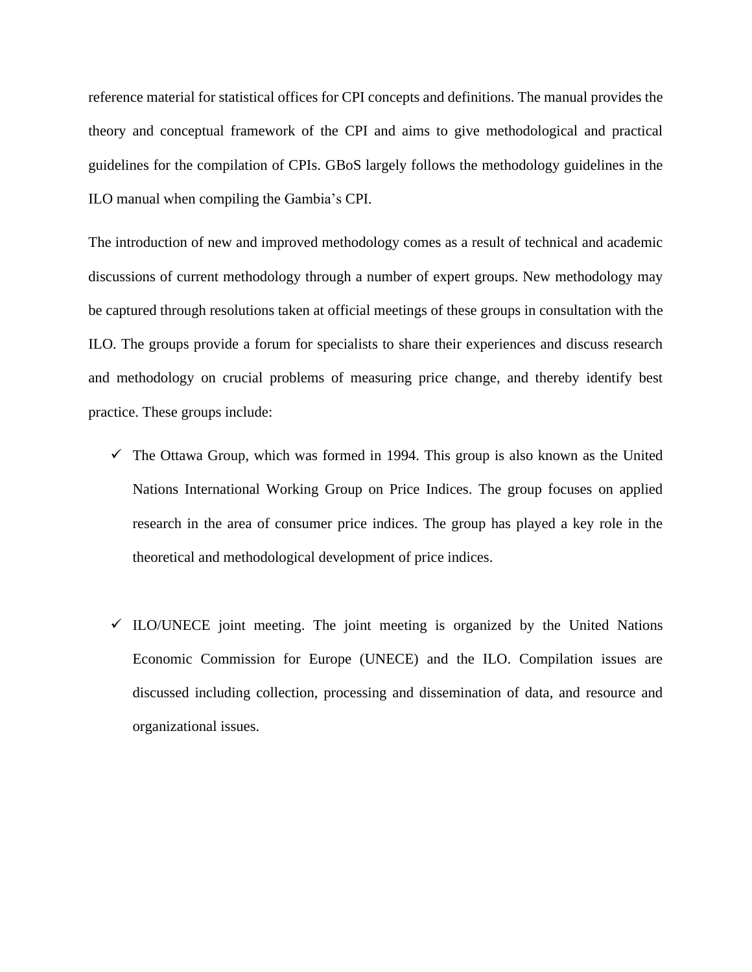reference material for statistical offices for CPI concepts and definitions. The manual provides the theory and conceptual framework of the CPI and aims to give methodological and practical guidelines for the compilation of CPIs. GBoS largely follows the methodology guidelines in the ILO manual when compiling the Gambia's CPI.

The introduction of new and improved methodology comes as a result of technical and academic discussions of current methodology through a number of expert groups. New methodology may be captured through resolutions taken at official meetings of these groups in consultation with the ILO. The groups provide a forum for specialists to share their experiences and discuss research and methodology on crucial problems of measuring price change, and thereby identify best practice. These groups include:

- $\checkmark$  The Ottawa Group, which was formed in 1994. This group is also known as the United Nations International Working Group on Price Indices. The group focuses on applied research in the area of consumer price indices. The group has played a key role in the theoretical and methodological development of price indices.
- $\checkmark$  ILO/UNECE joint meeting. The joint meeting is organized by the United Nations Economic Commission for Europe (UNECE) and the ILO. Compilation issues are discussed including collection, processing and dissemination of data, and resource and organizational issues.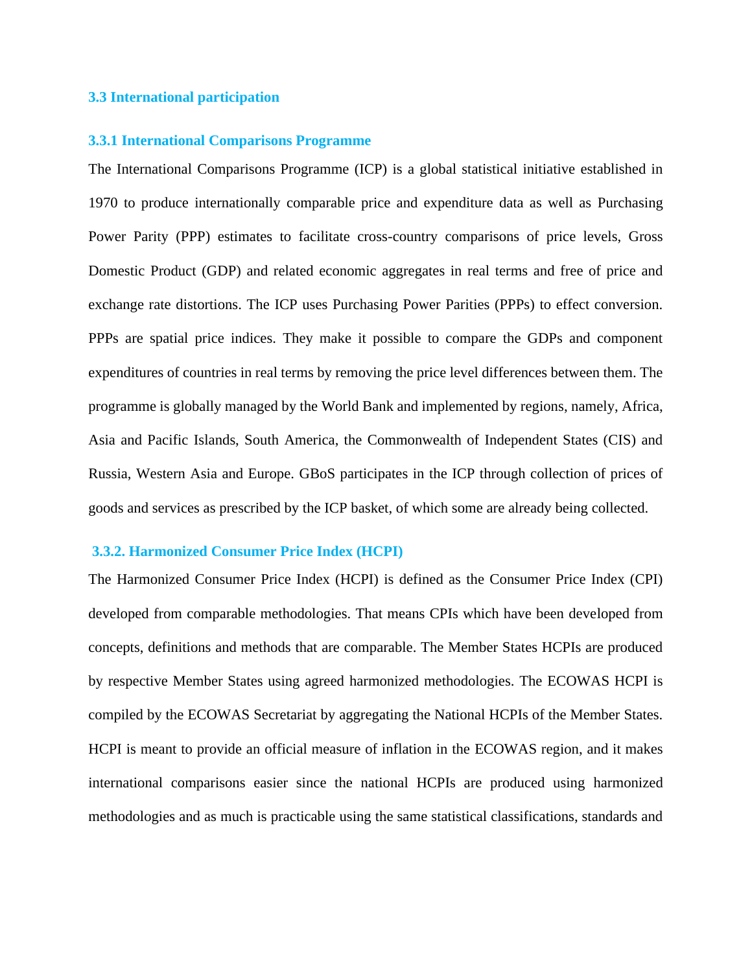# <span id="page-8-0"></span>**3.3 International participation**

#### <span id="page-8-1"></span>**3.3.1 International Comparisons Programme**

The International Comparisons Programme (ICP) is a global statistical initiative established in 1970 to produce internationally comparable price and expenditure data as well as Purchasing Power Parity (PPP) estimates to facilitate cross-country comparisons of price levels, Gross Domestic Product (GDP) and related economic aggregates in real terms and free of price and exchange rate distortions. The ICP uses Purchasing Power Parities (PPPs) to effect conversion. PPPs are spatial price indices. They make it possible to compare the GDPs and component expenditures of countries in real terms by removing the price level differences between them. The programme is globally managed by the World Bank and implemented by regions, namely, Africa, Asia and Pacific Islands, South America, the Commonwealth of Independent States (CIS) and Russia, Western Asia and Europe. GBoS participates in the ICP through collection of prices of goods and services as prescribed by the ICP basket, of which some are already being collected.

#### <span id="page-8-2"></span>**3.3.2. Harmonized Consumer Price Index (HCPI)**

The Harmonized Consumer Price Index (HCPI) is defined as the Consumer Price Index (CPI) developed from comparable methodologies. That means CPIs which have been developed from concepts, definitions and methods that are comparable. The Member States HCPIs are produced by respective Member States using agreed harmonized methodologies. The ECOWAS HCPI is compiled by the ECOWAS Secretariat by aggregating the National HCPIs of the Member States. HCPI is meant to provide an official measure of inflation in the ECOWAS region, and it makes international comparisons easier since the national HCPIs are produced using harmonized methodologies and as much is practicable using the same statistical classifications, standards and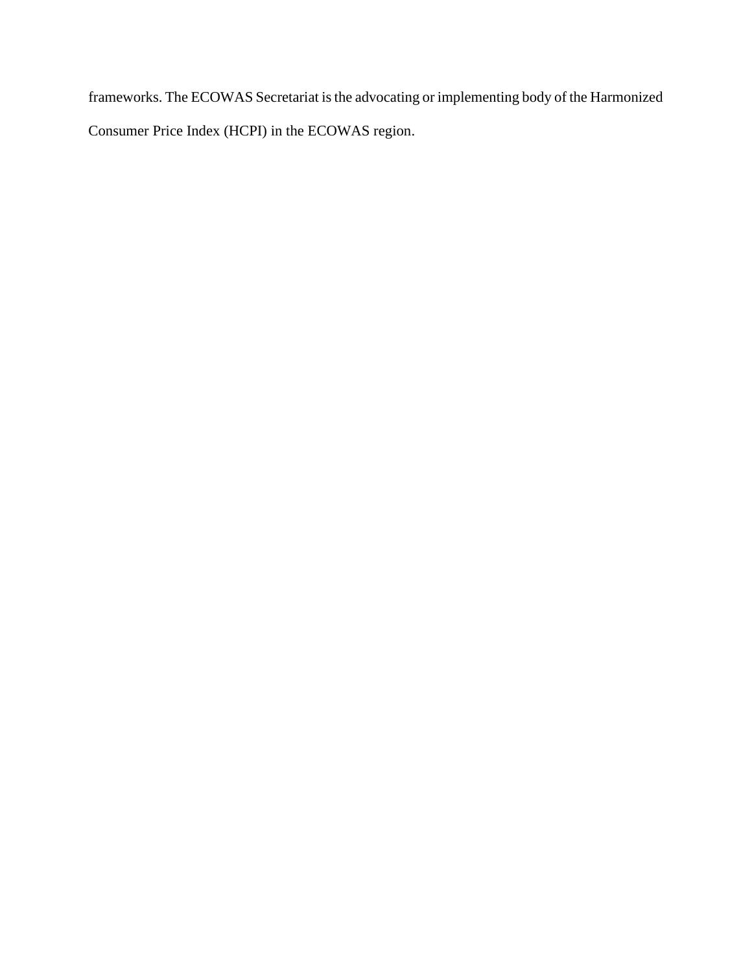frameworks. The ECOWAS Secretariat is the advocating or implementing body of the Harmonized Consumer Price Index (HCPI) in the ECOWAS region.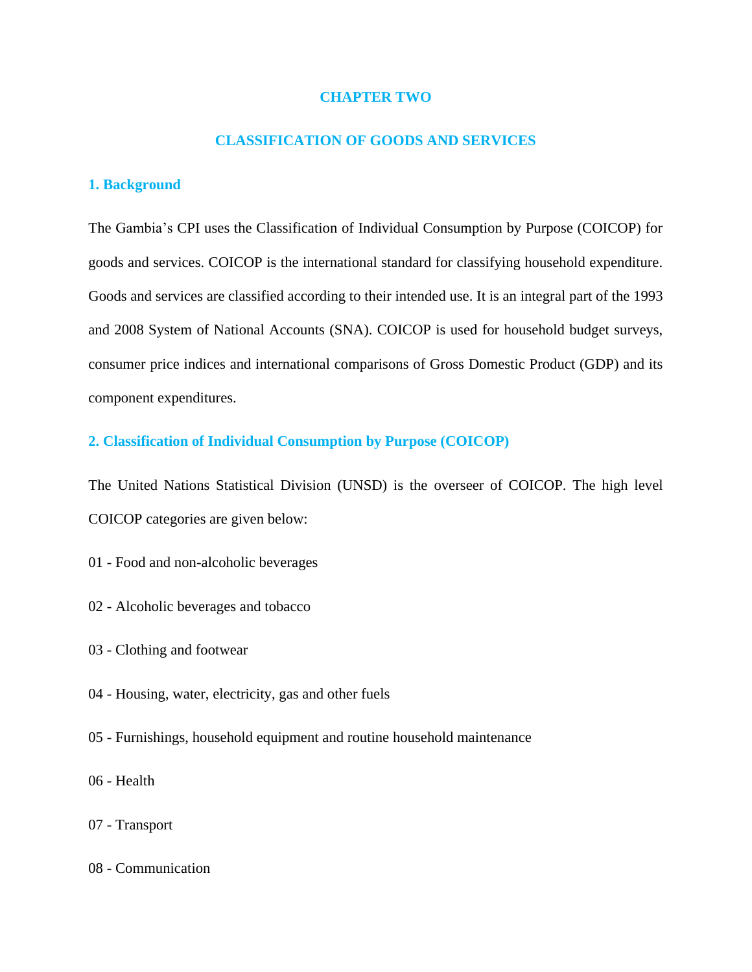# **CHAPTER TWO**

# **CLASSIFICATION OF GOODS AND SERVICES**

# <span id="page-10-2"></span><span id="page-10-1"></span><span id="page-10-0"></span>**1. Background**

The Gambia's CPI uses the Classification of Individual Consumption by Purpose (COICOP) for goods and services. COICOP is the international standard for classifying household expenditure. Goods and services are classified according to their intended use. It is an integral part of the 1993 and 2008 System of National Accounts (SNA). COICOP is used for household budget surveys, consumer price indices and international comparisons of Gross Domestic Product (GDP) and its component expenditures.

# <span id="page-10-3"></span>**2. Classification of Individual Consumption by Purpose (COICOP)**

The United Nations Statistical Division (UNSD) is the overseer of COICOP. The high level COICOP categories are given below:

- 01 Food and non-alcoholic beverages
- 02 Alcoholic beverages and tobacco
- 03 Clothing and footwear
- 04 Housing, water, electricity, gas and other fuels
- 05 Furnishings, household equipment and routine household maintenance
- 06 Health
- 07 Transport
- 08 Communication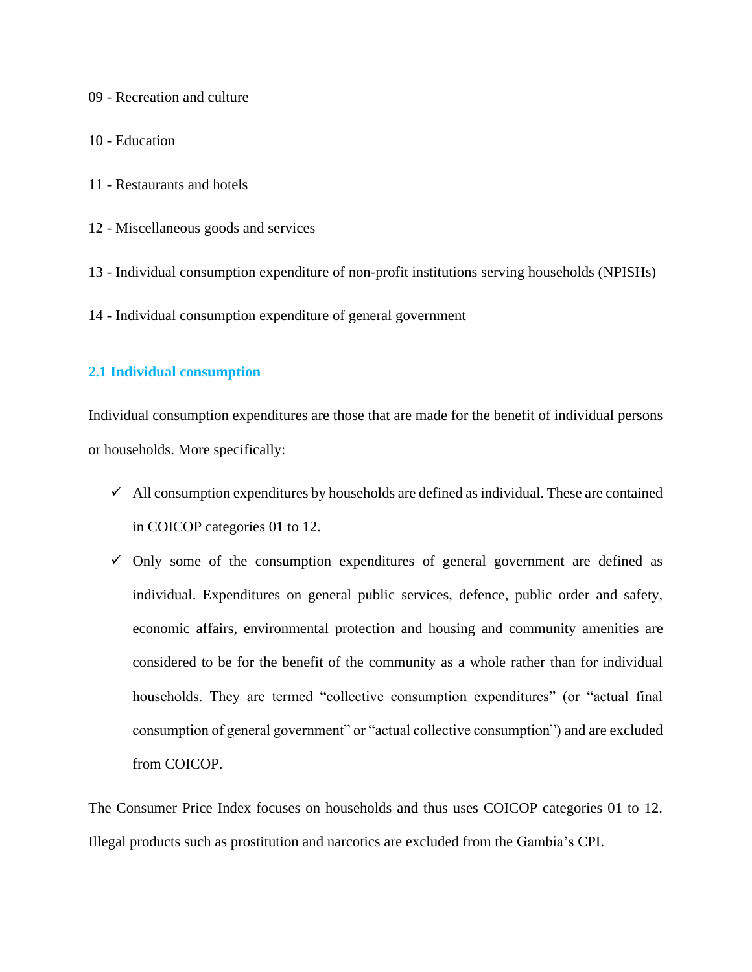09 - Recreation and culture

- 10 Education
- 11 Restaurants and hotels
- 12 Miscellaneous goods and services
- 13 Individual consumption expenditure of non-profit institutions serving households (NPISHs)
- 14 Individual consumption expenditure of general government

# <span id="page-11-0"></span>**2.1 Individual consumption**

Individual consumption expenditures are those that are made for the benefit of individual persons or households. More specifically:

- $\checkmark$  All consumption expenditures by households are defined as individual. These are contained in COICOP categories 01 to 12.
- $\checkmark$  Only some of the consumption expenditures of general government are defined as individual. Expenditures on general public services, defence, public order and safety, economic affairs, environmental protection and housing and community amenities are considered to be for the benefit of the community as a whole rather than for individual households. They are termed "collective consumption expenditures" (or "actual final consumption of general government" or "actual collective consumption") and are excluded from COICOP.

The Consumer Price Index focuses on households and thus uses COICOP categories 01 to 12. Illegal products such as prostitution and narcotics are excluded from the Gambia's CPI.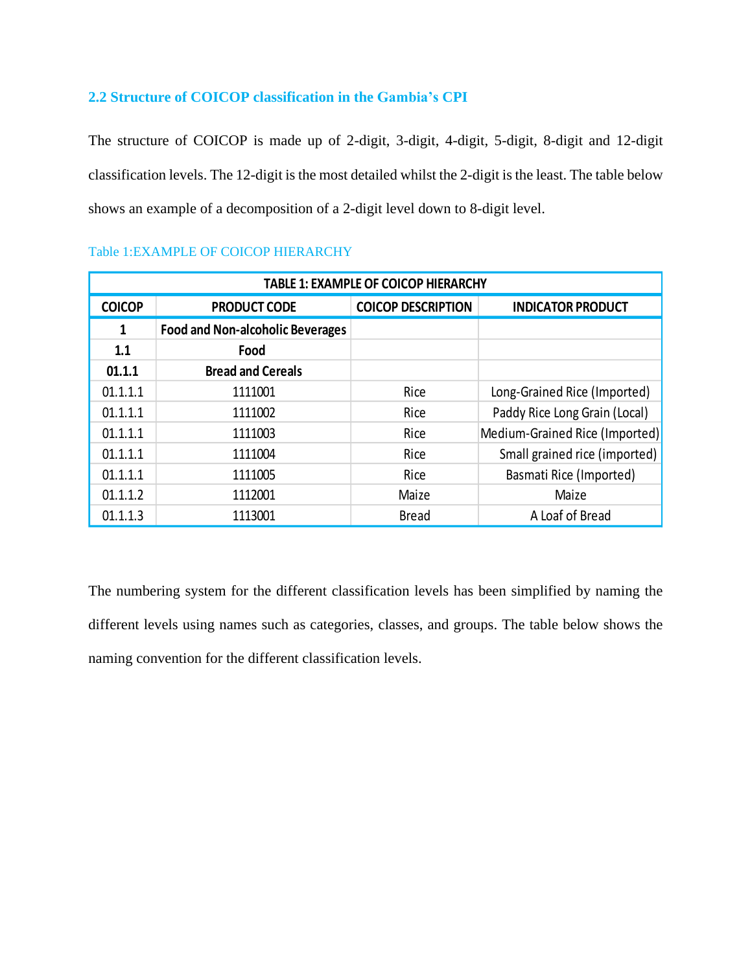# <span id="page-12-0"></span>**2.2 Structure of COICOP classification in the Gambia's CPI**

The structure of COICOP is made up of 2-digit, 3-digit, 4-digit, 5-digit, 8-digit and 12-digit classification levels. The 12-digit is the most detailed whilst the 2-digit is the least. The table below shows an example of a decomposition of a 2-digit level down to 8-digit level.

| <b>TABLE 1: EXAMPLE OF COICOP HIERARCHY</b> |                                                                              |              |                                |  |  |  |
|---------------------------------------------|------------------------------------------------------------------------------|--------------|--------------------------------|--|--|--|
| <b>COICOP</b>                               | <b>COICOP DESCRIPTION</b><br><b>INDICATOR PRODUCT</b><br><b>PRODUCT CODE</b> |              |                                |  |  |  |
| $\mathbf{1}$                                | <b>Food and Non-alcoholic Beverages</b>                                      |              |                                |  |  |  |
| 1.1                                         | Food                                                                         |              |                                |  |  |  |
| 01.1.1                                      | <b>Bread and Cereals</b>                                                     |              |                                |  |  |  |
| 01.1.1.1                                    | 1111001                                                                      | Rice         | Long-Grained Rice (Imported)   |  |  |  |
| 01.1.1.1                                    | 1111002                                                                      | Rice         | Paddy Rice Long Grain (Local)  |  |  |  |
| 01.1.1.1                                    | 1111003                                                                      | Rice         | Medium-Grained Rice (Imported) |  |  |  |
| 01.1.1.1                                    | 1111004                                                                      | Rice         | Small grained rice (imported)  |  |  |  |
| 01.1.1.1                                    | 1111005                                                                      | Rice         | Basmati Rice (Imported)        |  |  |  |
| 01.1.1.2                                    | 1112001                                                                      | Maize        | Maize                          |  |  |  |
| 01.1.1.3                                    | 1113001                                                                      | <b>Bread</b> | A Loaf of Bread                |  |  |  |

# <span id="page-12-1"></span>Table 1:EXAMPLE OF COICOP HIERARCHY

The numbering system for the different classification levels has been simplified by naming the different levels using names such as categories, classes, and groups. The table below shows the naming convention for the different classification levels.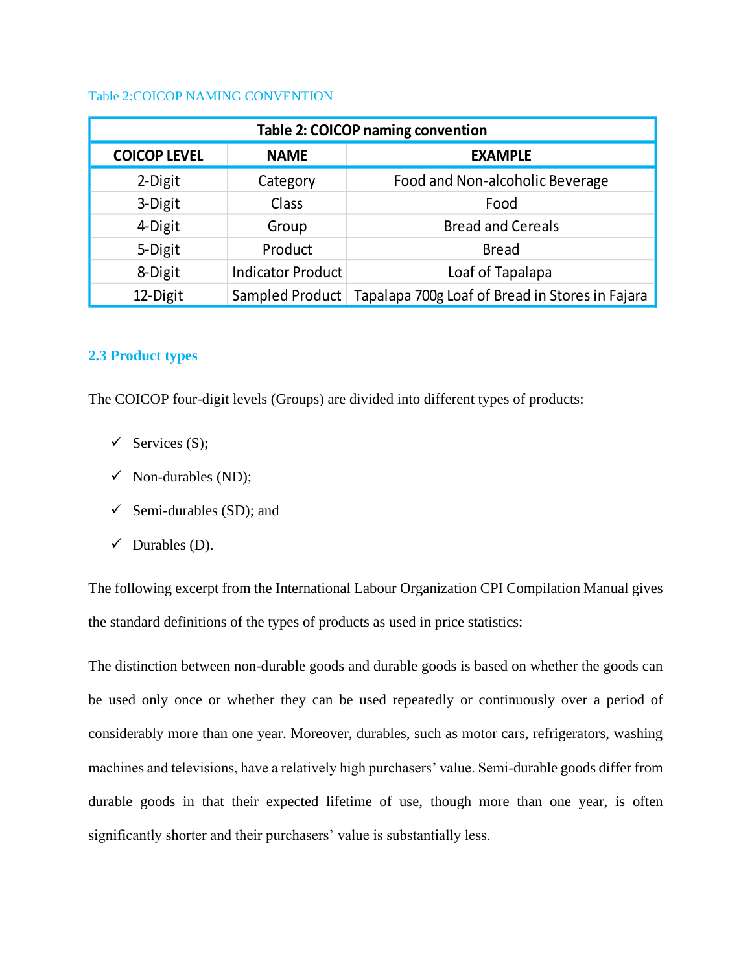# <span id="page-13-1"></span>Table 2:COICOP NAMING CONVENTION

| <b>Table 2: COICOP naming convention</b>             |                          |                                                 |  |  |
|------------------------------------------------------|--------------------------|-------------------------------------------------|--|--|
| <b>COICOP LEVEL</b><br><b>EXAMPLE</b><br><b>NAME</b> |                          |                                                 |  |  |
| 2-Digit                                              | Category                 | Food and Non-alcoholic Beverage                 |  |  |
| 3-Digit                                              | Class                    | Food                                            |  |  |
| 4-Digit                                              | Group                    | <b>Bread and Cereals</b>                        |  |  |
| 5-Digit                                              | Product                  | <b>Bread</b>                                    |  |  |
| 8-Digit                                              | <b>Indicator Product</b> | Loaf of Tapalapa                                |  |  |
| 12-Digit                                             | Sampled Product          | Tapalapa 700g Loaf of Bread in Stores in Fajara |  |  |

# <span id="page-13-0"></span>**2.3 Product types**

The COICOP four-digit levels (Groups) are divided into different types of products:

- $\checkmark$  Services (S);
- $\checkmark$  Non-durables (ND);
- $\checkmark$  Semi-durables (SD); and
- $\checkmark$  Durables (D).

The following excerpt from the International Labour Organization CPI Compilation Manual gives the standard definitions of the types of products as used in price statistics:

The distinction between non-durable goods and durable goods is based on whether the goods can be used only once or whether they can be used repeatedly or continuously over a period of considerably more than one year. Moreover, durables, such as motor cars, refrigerators, washing machines and televisions, have a relatively high purchasers' value. Semi-durable goods differ from durable goods in that their expected lifetime of use, though more than one year, is often significantly shorter and their purchasers' value is substantially less.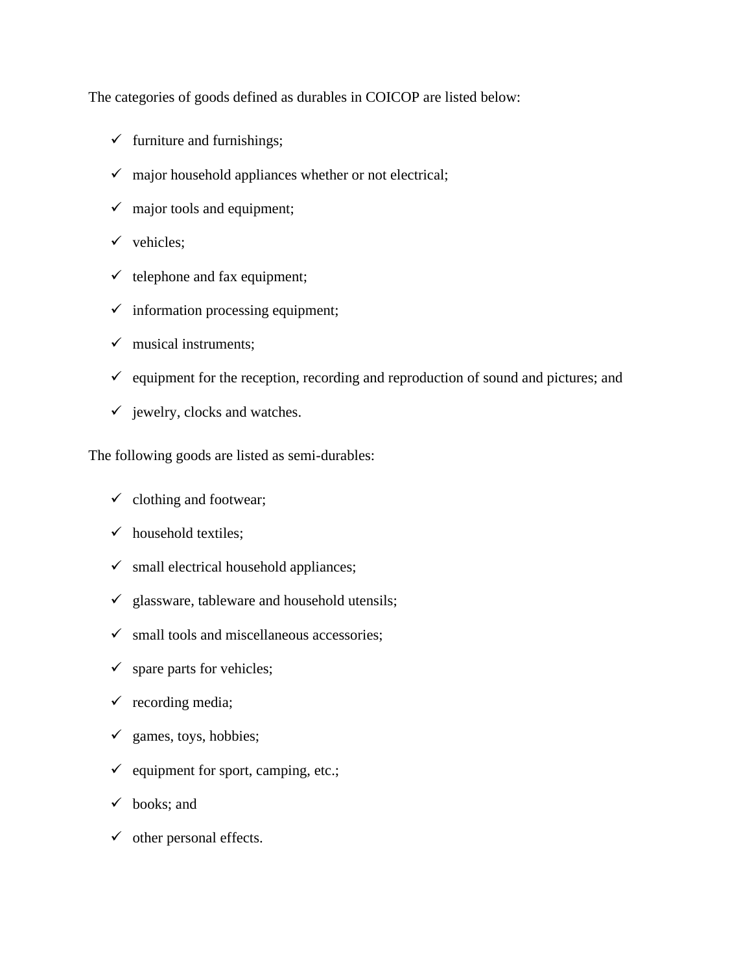The categories of goods defined as durables in COICOP are listed below:

- $\checkmark$  furniture and furnishings;
- $\checkmark$  major household appliances whether or not electrical;
- $\checkmark$  major tools and equipment;
- $\checkmark$  vehicles;
- $\checkmark$  telephone and fax equipment;
- $\checkmark$  information processing equipment;
- $\checkmark$  musical instruments;
- $\checkmark$  equipment for the reception, recording and reproduction of sound and pictures; and
- $\checkmark$  jewelry, clocks and watches.

The following goods are listed as semi-durables:

- $\checkmark$  clothing and footwear;
- $\checkmark$  household textiles;
- $\checkmark$  small electrical household appliances;
- $\checkmark$  glassware, tableware and household utensils;
- $\checkmark$  small tools and miscellaneous accessories;
- $\checkmark$  spare parts for vehicles;
- $\checkmark$  recording media;
- $\checkmark$  games, toys, hobbies;
- $\checkmark$  equipment for sport, camping, etc.;
- $\checkmark$  books; and
- $\checkmark$  other personal effects.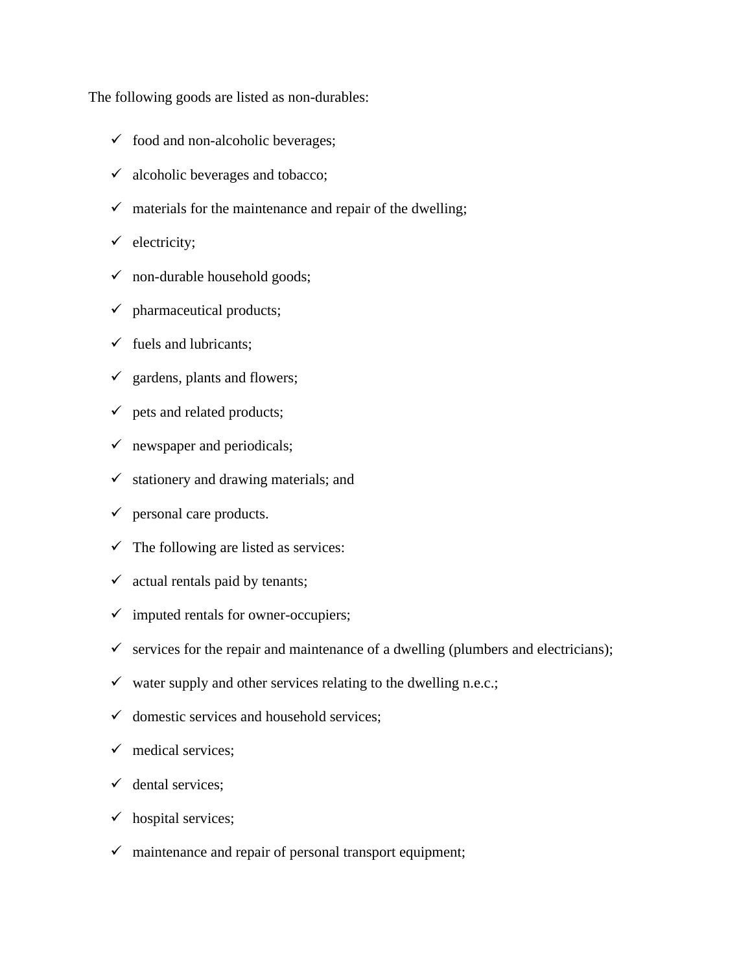The following goods are listed as non-durables:

- $\checkmark$  food and non-alcoholic beverages;
- $\checkmark$  alcoholic beverages and tobacco;
- $\checkmark$  materials for the maintenance and repair of the dwelling;
- $\checkmark$  electricity;
- $\checkmark$  non-durable household goods;
- $\checkmark$  pharmaceutical products;
- $\checkmark$  fuels and lubricants;
- $\checkmark$  gardens, plants and flowers;
- $\checkmark$  pets and related products;
- $\checkmark$  newspaper and periodicals;
- $\checkmark$  stationery and drawing materials; and
- $\checkmark$  personal care products.
- $\checkmark$  The following are listed as services:
- $\checkmark$  actual rentals paid by tenants;
- $\checkmark$  imputed rentals for owner-occupiers;
- $\checkmark$  services for the repair and maintenance of a dwelling (plumbers and electricians);
- $\checkmark$  water supply and other services relating to the dwelling n.e.c.;
- $\checkmark$  domestic services and household services:
- $\checkmark$  medical services:
- $\checkmark$  dental services;
- $\checkmark$  hospital services;
- $\checkmark$  maintenance and repair of personal transport equipment;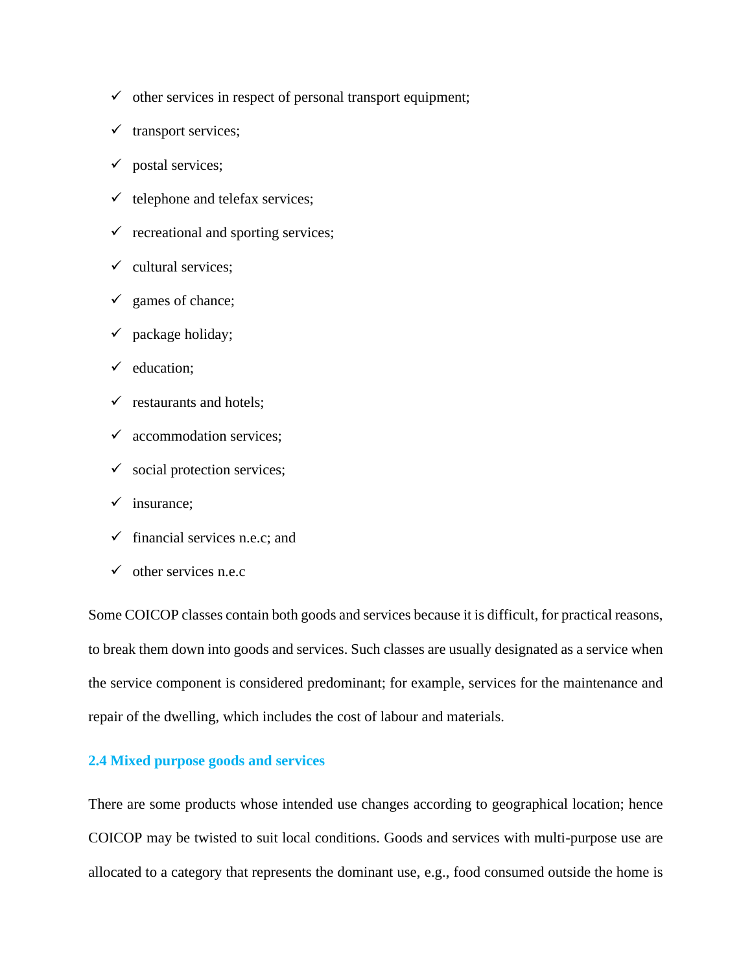- $\checkmark$  other services in respect of personal transport equipment;
- $\checkmark$  transport services;
- $\checkmark$  postal services;
- $\checkmark$  telephone and telefax services;
- $\checkmark$  recreational and sporting services;
- $\checkmark$  cultural services;
- $\checkmark$  games of chance;
- $\checkmark$  package holiday;
- $\checkmark$  education;
- $\checkmark$  restaurants and hotels;
- $\checkmark$  accommodation services;
- $\checkmark$  social protection services;
- $\checkmark$  insurance;
- $\checkmark$  financial services n.e.c: and
- $\checkmark$  other services n.e.c

Some COICOP classes contain both goods and services because it is difficult, for practical reasons, to break them down into goods and services. Such classes are usually designated as a service when the service component is considered predominant; for example, services for the maintenance and repair of the dwelling, which includes the cost of labour and materials.

# <span id="page-16-0"></span>**2.4 Mixed purpose goods and services**

There are some products whose intended use changes according to geographical location; hence COICOP may be twisted to suit local conditions. Goods and services with multi-purpose use are allocated to a category that represents the dominant use, e.g., food consumed outside the home is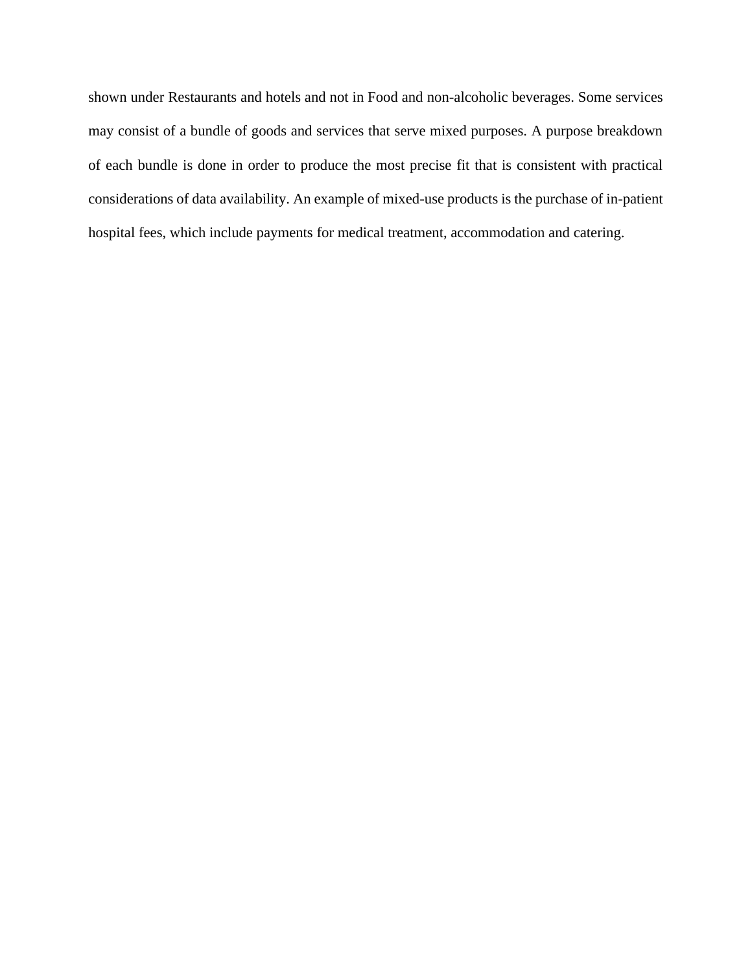shown under Restaurants and hotels and not in Food and non-alcoholic beverages. Some services may consist of a bundle of goods and services that serve mixed purposes. A purpose breakdown of each bundle is done in order to produce the most precise fit that is consistent with practical considerations of data availability. An example of mixed-use products is the purchase of in-patient hospital fees, which include payments for medical treatment, accommodation and catering.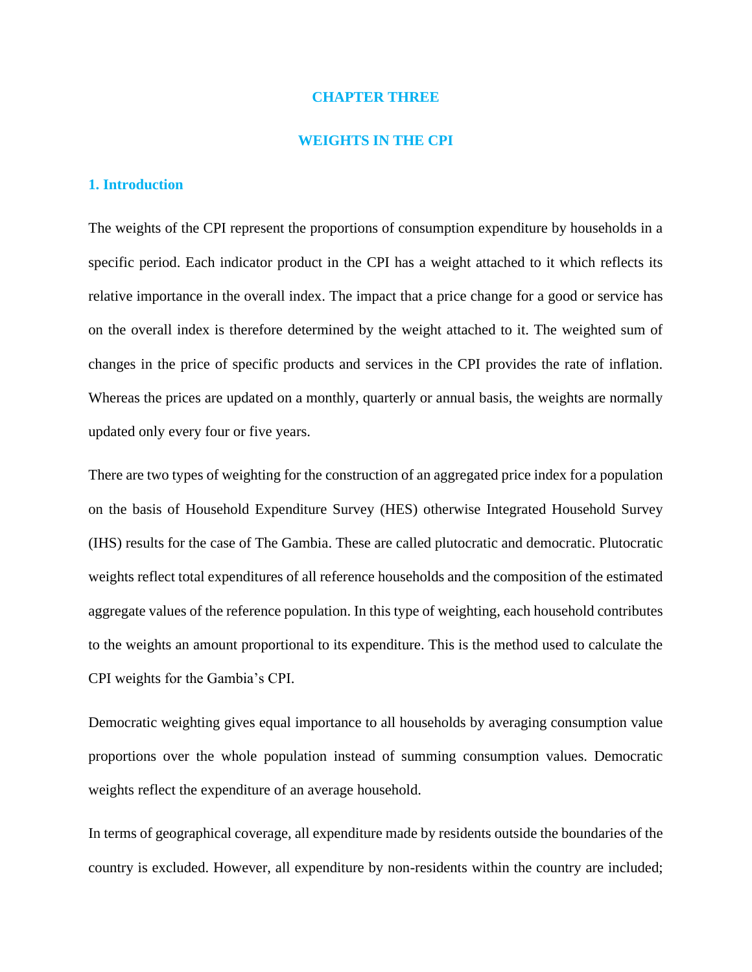#### **CHAPTER THREE**

#### **WEIGHTS IN THE CPI**

## <span id="page-18-2"></span><span id="page-18-1"></span><span id="page-18-0"></span>**1. Introduction**

The weights of the CPI represent the proportions of consumption expenditure by households in a specific period. Each indicator product in the CPI has a weight attached to it which reflects its relative importance in the overall index. The impact that a price change for a good or service has on the overall index is therefore determined by the weight attached to it. The weighted sum of changes in the price of specific products and services in the CPI provides the rate of inflation. Whereas the prices are updated on a monthly, quarterly or annual basis, the weights are normally updated only every four or five years.

There are two types of weighting for the construction of an aggregated price index for a population on the basis of Household Expenditure Survey (HES) otherwise Integrated Household Survey (IHS) results for the case of The Gambia. These are called plutocratic and democratic. Plutocratic weights reflect total expenditures of all reference households and the composition of the estimated aggregate values of the reference population. In this type of weighting, each household contributes to the weights an amount proportional to its expenditure. This is the method used to calculate the CPI weights for the Gambia's CPI.

Democratic weighting gives equal importance to all households by averaging consumption value proportions over the whole population instead of summing consumption values. Democratic weights reflect the expenditure of an average household.

In terms of geographical coverage, all expenditure made by residents outside the boundaries of the country is excluded. However, all expenditure by non-residents within the country are included;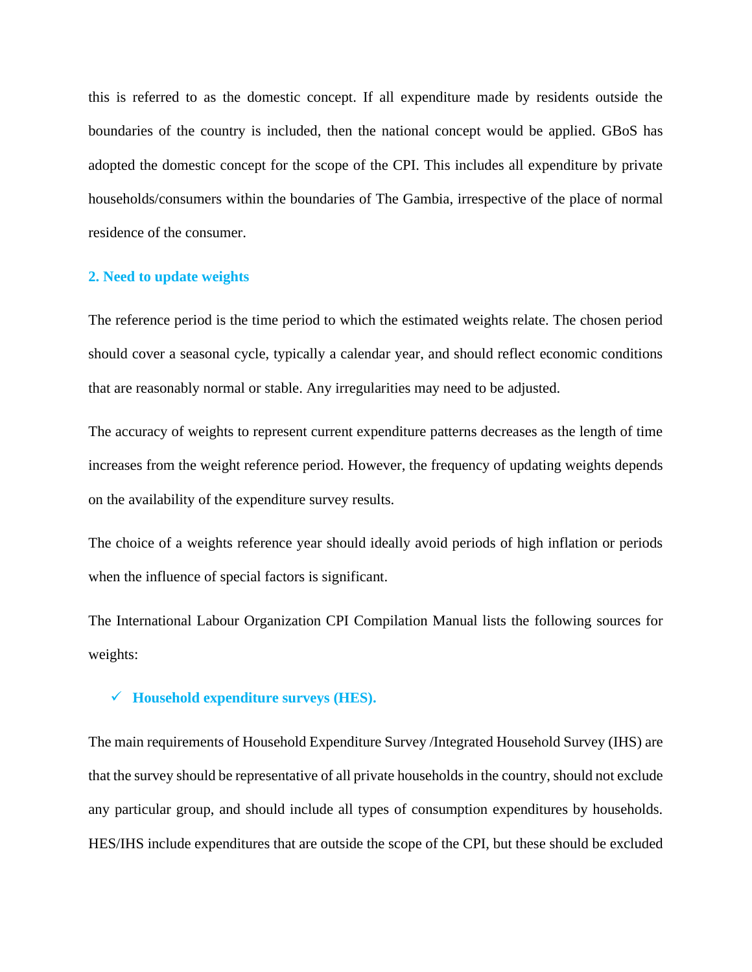this is referred to as the domestic concept. If all expenditure made by residents outside the boundaries of the country is included, then the national concept would be applied. GBoS has adopted the domestic concept for the scope of the CPI. This includes all expenditure by private households/consumers within the boundaries of The Gambia, irrespective of the place of normal residence of the consumer.

# <span id="page-19-0"></span>**2. Need to update weights**

The reference period is the time period to which the estimated weights relate. The chosen period should cover a seasonal cycle, typically a calendar year, and should reflect economic conditions that are reasonably normal or stable. Any irregularities may need to be adjusted.

The accuracy of weights to represent current expenditure patterns decreases as the length of time increases from the weight reference period. However, the frequency of updating weights depends on the availability of the expenditure survey results.

The choice of a weights reference year should ideally avoid periods of high inflation or periods when the influence of special factors is significant.

The International Labour Organization CPI Compilation Manual lists the following sources for weights:

# ✓ **Household expenditure surveys (HES).**

The main requirements of Household Expenditure Survey /Integrated Household Survey (IHS) are that the survey should be representative of all private households in the country, should not exclude any particular group, and should include all types of consumption expenditures by households. HES/IHS include expenditures that are outside the scope of the CPI, but these should be excluded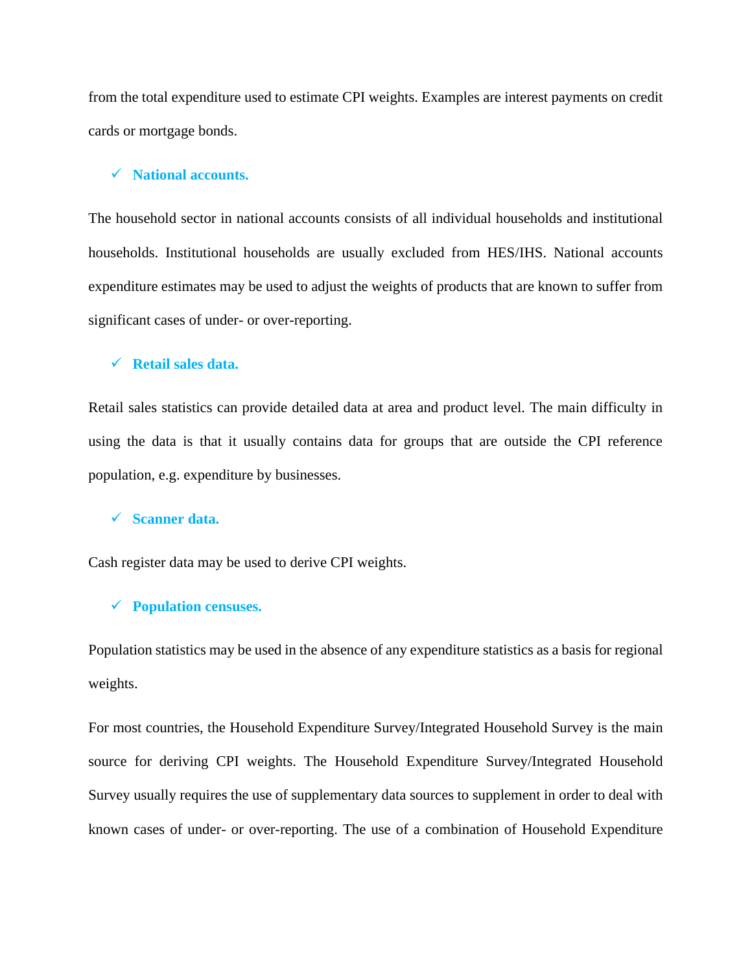from the total expenditure used to estimate CPI weights. Examples are interest payments on credit cards or mortgage bonds.

# ✓ **National accounts.**

The household sector in national accounts consists of all individual households and institutional households. Institutional households are usually excluded from HES/IHS. National accounts expenditure estimates may be used to adjust the weights of products that are known to suffer from significant cases of under- or over-reporting.

# ✓ **Retail sales data.**

Retail sales statistics can provide detailed data at area and product level. The main difficulty in using the data is that it usually contains data for groups that are outside the CPI reference population, e.g. expenditure by businesses.

#### ✓ **Scanner data.**

Cash register data may be used to derive CPI weights.

# ✓ **Population censuses.**

Population statistics may be used in the absence of any expenditure statistics as a basis for regional weights.

For most countries, the Household Expenditure Survey/Integrated Household Survey is the main source for deriving CPI weights. The Household Expenditure Survey/Integrated Household Survey usually requires the use of supplementary data sources to supplement in order to deal with known cases of under- or over-reporting. The use of a combination of Household Expenditure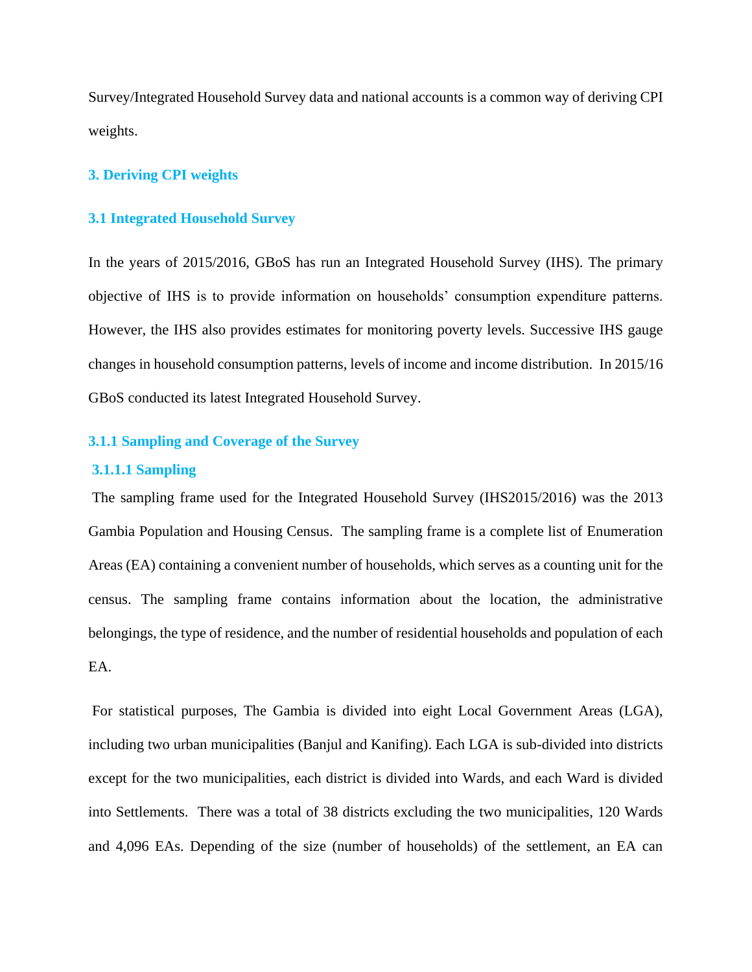Survey/Integrated Household Survey data and national accounts is a common way of deriving CPI weights.

# <span id="page-21-0"></span>**3. Deriving CPI weights**

## <span id="page-21-1"></span>**3.1 Integrated Household Survey**

In the years of 2015/2016, GBoS has run an Integrated Household Survey (IHS). The primary objective of IHS is to provide information on households' consumption expenditure patterns. However, the IHS also provides estimates for monitoring poverty levels. Successive IHS gauge changes in household consumption patterns, levels of income and income distribution. In 2015/16 GBoS conducted its latest Integrated Household Survey.

# <span id="page-21-2"></span>**3.1.1 Sampling and Coverage of the Survey**

# **3.1.1.1 Sampling**

The sampling frame used for the Integrated Household Survey (IHS2015/2016) was the 2013 Gambia Population and Housing Census. The sampling frame is a complete list of Enumeration Areas (EA) containing a convenient number of households, which serves as a counting unit for the census. The sampling frame contains information about the location, the administrative belongings, the type of residence, and the number of residential households and population of each EA.

For statistical purposes, The Gambia is divided into eight Local Government Areas (LGA), including two urban municipalities (Banjul and Kanifing). Each LGA is sub-divided into districts except for the two municipalities, each district is divided into Wards, and each Ward is divided into Settlements. There was a total of 38 districts excluding the two municipalities, 120 Wards and 4,096 EAs. Depending of the size (number of households) of the settlement, an EA can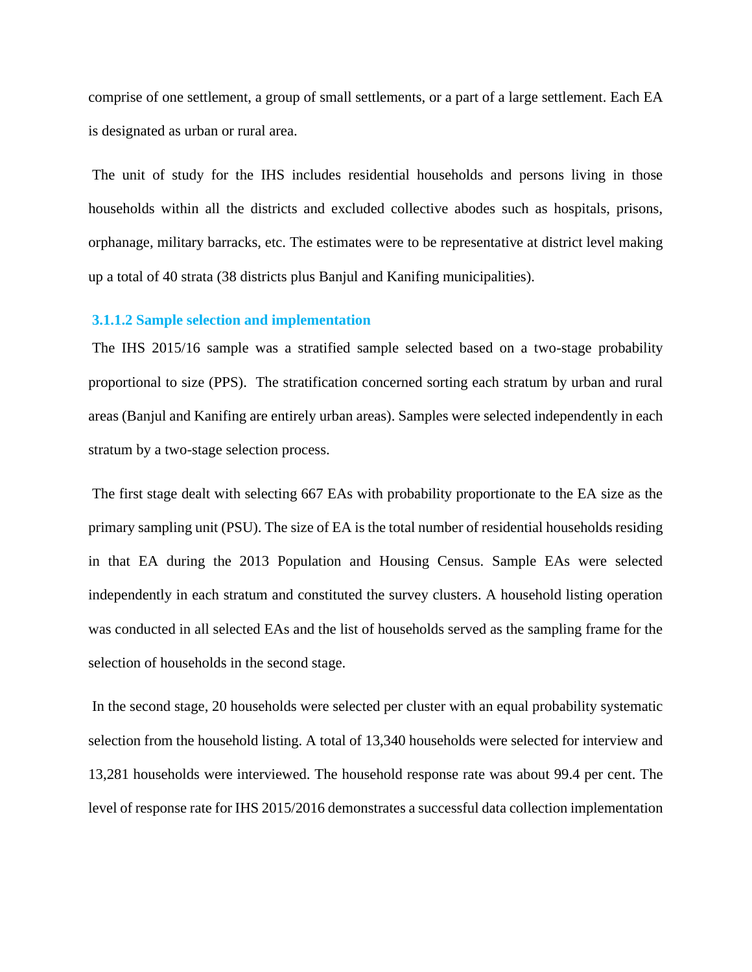comprise of one settlement, a group of small settlements, or a part of a large settlement. Each EA is designated as urban or rural area.

The unit of study for the IHS includes residential households and persons living in those households within all the districts and excluded collective abodes such as hospitals, prisons, orphanage, military barracks, etc. The estimates were to be representative at district level making up a total of 40 strata (38 districts plus Banjul and Kanifing municipalities).

#### **3.1.1.2 Sample selection and implementation**

The IHS 2015/16 sample was a stratified sample selected based on a two-stage probability proportional to size (PPS). The stratification concerned sorting each stratum by urban and rural areas (Banjul and Kanifing are entirely urban areas). Samples were selected independently in each stratum by a two-stage selection process.

The first stage dealt with selecting 667 EAs with probability proportionate to the EA size as the primary sampling unit (PSU). The size of EA is the total number of residential households residing in that EA during the 2013 Population and Housing Census. Sample EAs were selected independently in each stratum and constituted the survey clusters. A household listing operation was conducted in all selected EAs and the list of households served as the sampling frame for the selection of households in the second stage.

In the second stage, 20 households were selected per cluster with an equal probability systematic selection from the household listing. A total of 13,340 households were selected for interview and 13,281 households were interviewed. The household response rate was about 99.4 per cent. The level of response rate for IHS 2015/2016 demonstrates a successful data collection implementation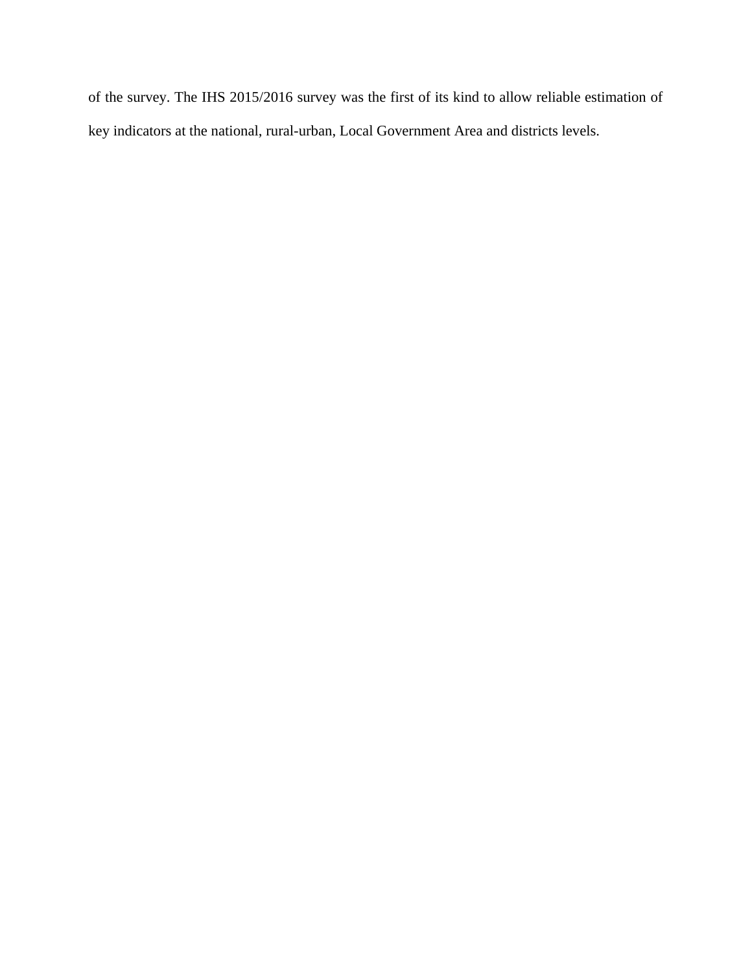of the survey. The IHS 2015/2016 survey was the first of its kind to allow reliable estimation of key indicators at the national, rural-urban, Local Government Area and districts levels.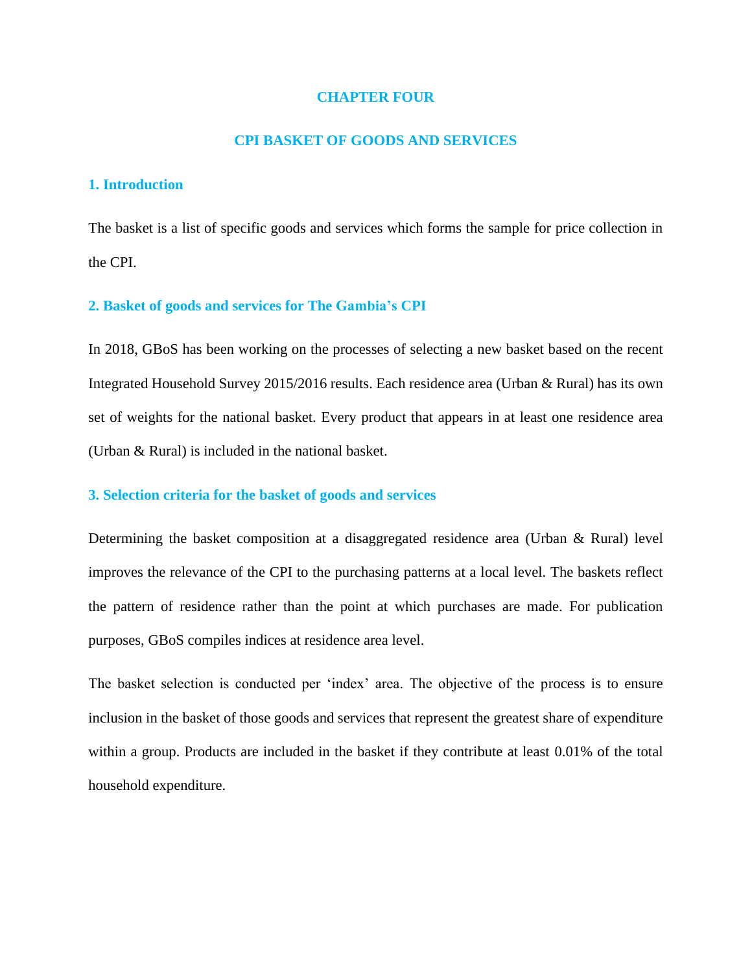# **CHAPTER FOUR**

## **CPI BASKET OF GOODS AND SERVICES**

# <span id="page-24-2"></span><span id="page-24-1"></span><span id="page-24-0"></span>**1. Introduction**

The basket is a list of specific goods and services which forms the sample for price collection in the CPI.

# <span id="page-24-3"></span>**2. Basket of goods and services for The Gambia's CPI**

In 2018, GBoS has been working on the processes of selecting a new basket based on the recent Integrated Household Survey 2015/2016 results. Each residence area (Urban & Rural) has its own set of weights for the national basket. Every product that appears in at least one residence area (Urban & Rural) is included in the national basket.

# <span id="page-24-4"></span>**3. Selection criteria for the basket of goods and services**

Determining the basket composition at a disaggregated residence area (Urban & Rural) level improves the relevance of the CPI to the purchasing patterns at a local level. The baskets reflect the pattern of residence rather than the point at which purchases are made. For publication purposes, GBoS compiles indices at residence area level.

The basket selection is conducted per 'index' area. The objective of the process is to ensure inclusion in the basket of those goods and services that represent the greatest share of expenditure within a group. Products are included in the basket if they contribute at least 0.01% of the total household expenditure.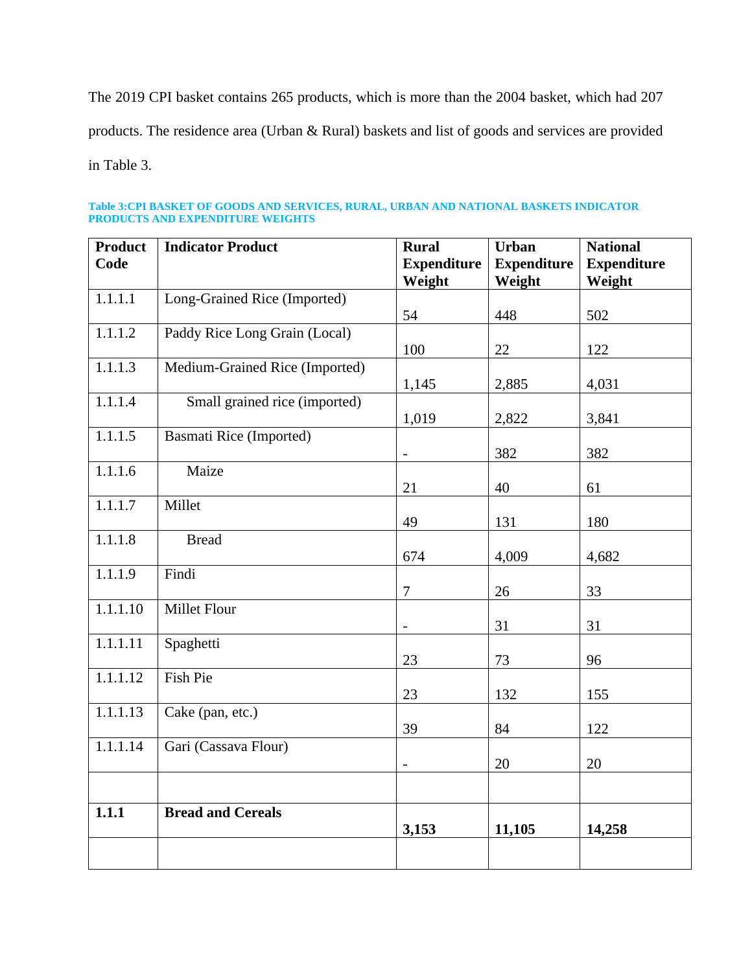The 2019 CPI basket contains 265 products, which is more than the 2004 basket, which had 207 products. The residence area (Urban & Rural) baskets and list of goods and services are provided in Table 3.

<span id="page-25-0"></span>

| Table 3:CPI BASKET OF GOODS AND SERVICES, RURAL, URBAN AND NATIONAL BASKETS INDICATOR |  |  |
|---------------------------------------------------------------------------------------|--|--|
| <b>PRODUCTS AND EXPENDITURE WEIGHTS</b>                                               |  |  |

| <b>Product</b><br>Code | <b>Indicator Product</b>       | <b>Rural</b><br><b>Expenditure</b> | <b>Urban</b><br><b>Expenditure</b> | <b>National</b><br><b>Expenditure</b> |
|------------------------|--------------------------------|------------------------------------|------------------------------------|---------------------------------------|
|                        |                                | Weight                             | Weight                             | Weight                                |
| 1.1.1.1                | Long-Grained Rice (Imported)   | 54                                 | 448                                | 502                                   |
| 1.1.1.2                | Paddy Rice Long Grain (Local)  | 100                                | 22                                 | 122                                   |
| 1.1.1.3                | Medium-Grained Rice (Imported) | 1,145                              | 2,885                              | 4,031                                 |
| 1.1.1.4                | Small grained rice (imported)  | 1,019                              | 2,822                              | 3,841                                 |
| 1.1.1.5                | <b>Basmati Rice (Imported)</b> | $\overline{\phantom{0}}$           | 382                                | 382                                   |
| 1.1.1.6                | Maize                          | 21                                 | 40                                 | 61                                    |
| 1.1.1.7                | Millet                         | 49                                 | 131                                | 180                                   |
| 1.1.1.8                | <b>Bread</b>                   | 674                                | 4,009                              | 4,682                                 |
| 1.1.1.9                | Findi                          | $\overline{7}$                     | 26                                 | 33                                    |
| 1.1.1.10               | Millet Flour                   | $\overline{\phantom{0}}$           | 31                                 | 31                                    |
| 1.1.1.11               | Spaghetti                      | 23                                 | 73                                 | 96                                    |
| 1.1.1.12               | Fish Pie                       | 23                                 | 132                                | 155                                   |
| 1.1.1.13               | Cake (pan, etc.)               | 39                                 | 84                                 | 122                                   |
| 1.1.1.14               | Gari (Cassava Flour)           | $\overline{\phantom{0}}$           | 20                                 | 20                                    |
|                        |                                |                                    |                                    |                                       |
| 1.1.1                  | <b>Bread and Cereals</b>       | 3,153                              | 11,105                             | 14,258                                |
|                        |                                |                                    |                                    |                                       |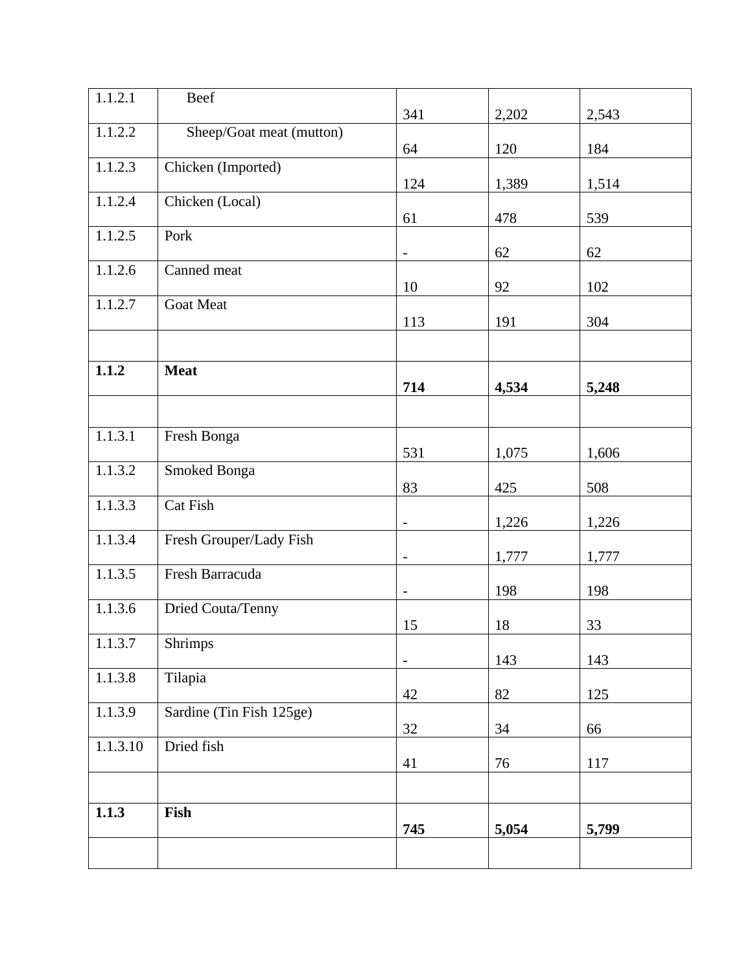| $1.1.2.\overline{1}$ | Beef                     |                          |       |       |
|----------------------|--------------------------|--------------------------|-------|-------|
| 1.1.2.2              | Sheep/Goat meat (mutton) | 341                      | 2,202 | 2,543 |
|                      |                          | 64                       | 120   | 184   |
| 1.1.2.3              | Chicken (Imported)       | 124                      | 1,389 | 1,514 |
| 1.1.2.4              | Chicken (Local)          | 61                       | 478   | 539   |
| 1.1.2.5              | Pork                     | $\overline{\phantom{a}}$ | 62    | 62    |
| 1.1.2.6              | Canned meat              | 10                       | 92    | 102   |
| 1.1.2.7              | <b>Goat Meat</b>         | 113                      | 191   | 304   |
|                      |                          |                          |       |       |
| 1.1.2                | <b>Meat</b>              | 714                      | 4,534 | 5,248 |
|                      |                          |                          |       |       |
| 1.1.3.1              | Fresh Bonga              | 531                      | 1,075 | 1,606 |
| 1.1.3.2              | Smoked Bonga             |                          |       |       |
| 1.1.3.3              | Cat Fish                 | 83                       | 425   | 508   |
|                      |                          | $\overline{a}$           | 1,226 | 1,226 |
| 1.1.3.4              | Fresh Grouper/Lady Fish  | $\qquad \qquad -$        | 1,777 | 1,777 |
| 1.1.3.5              | Fresh Barracuda          | $\overline{\phantom{a}}$ | 198   | 198   |
| 1.1.3.6              | Dried Couta/Tenny        | 15                       | 18    | 33    |
| 1.1.3.7              | <b>Shrimps</b>           |                          | 143   | 143   |
| 1.1.3.8              | Tilapia                  | 42                       | 82    | 125   |
| 1.1.3.9              | Sardine (Tin Fish 125ge) | 32                       | 34    | 66    |
| 1.1.3.10             | Dried fish               | 41                       | 76    | 117   |
|                      |                          |                          |       |       |
| 1.1.3                | Fish                     | 745                      | 5,054 | 5,799 |
|                      |                          |                          |       |       |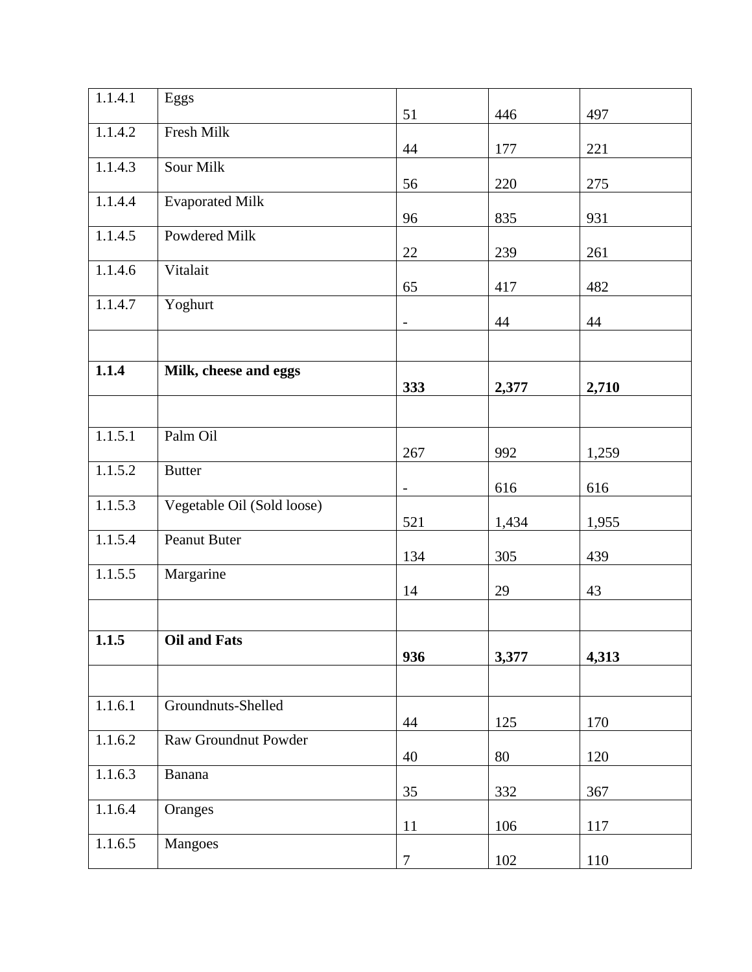| 1.1.4.1 | Eggs                       | 51                       | 446   | 497   |
|---------|----------------------------|--------------------------|-------|-------|
| 1.1.4.2 | Fresh Milk                 |                          |       |       |
|         |                            | 44                       | 177   | 221   |
| 1.1.4.3 | Sour Milk                  | 56                       | 220   | 275   |
| 1.1.4.4 | <b>Evaporated Milk</b>     | 96                       | 835   | 931   |
| 1.1.4.5 | Powdered Milk              | 22                       | 239   | 261   |
| 1.1.4.6 | Vitalait                   | 65                       | 417   | 482   |
| 1.1.4.7 | Yoghurt                    | $\overline{\phantom{0}}$ | 44    | 44    |
|         |                            |                          |       |       |
| 1.1.4   | Milk, cheese and eggs      | 333                      | 2,377 | 2,710 |
|         |                            |                          |       |       |
| 1.1.5.1 | Palm Oil                   | 267                      | 992   | 1,259 |
| 1.1.5.2 | <b>Butter</b>              | $\overline{\phantom{a}}$ | 616   | 616   |
| 1.1.5.3 | Vegetable Oil (Sold loose) | 521                      | 1,434 | 1,955 |
| 1.1.5.4 | Peanut Buter               | 134                      | 305   | 439   |
| 1.1.5.5 | Margarine                  | 14                       | 29    | 43    |
|         |                            |                          |       |       |
| 1.1.5   | <b>Oil and Fats</b>        | 936                      | 3,377 | 4,313 |
|         |                            |                          |       |       |
| 1.1.6.1 | Groundnuts-Shelled         | 44                       | 125   | 170   |
| 1.1.6.2 | Raw Groundnut Powder       | 40                       | 80    | 120   |
| 1.1.6.3 | Banana                     | 35                       | 332   | 367   |
| 1.1.6.4 | Oranges                    | 11                       | 106   | 117   |
| 1.1.6.5 | Mangoes                    | $\overline{7}$           | 102   | 110   |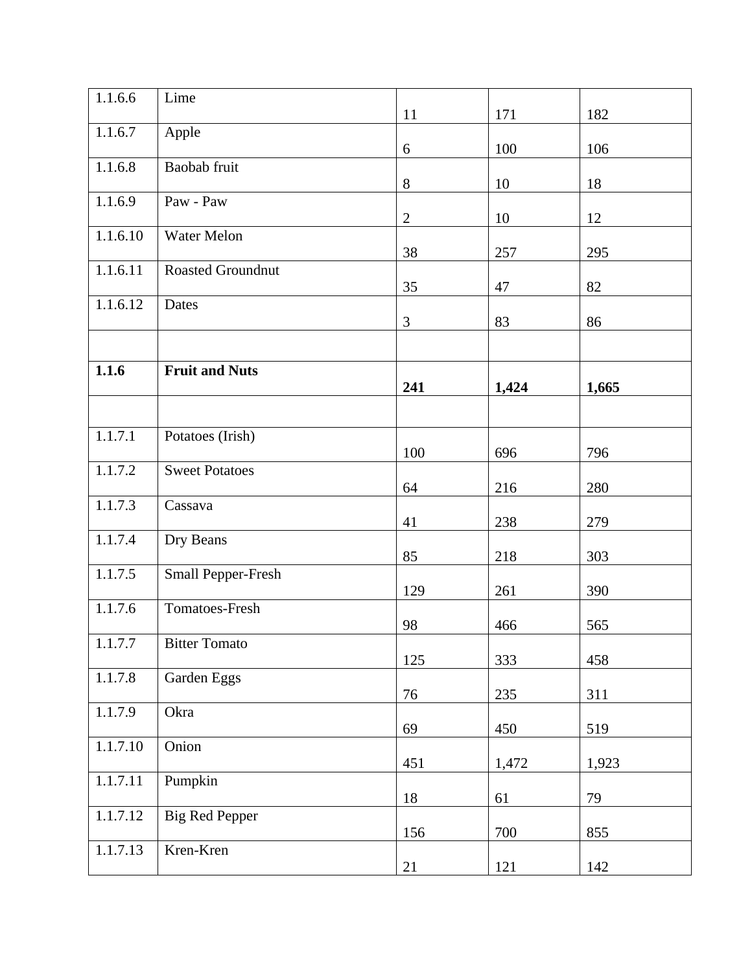| 1.1.6.6  | Lime                  | 11           | 171   | 182   |
|----------|-----------------------|--------------|-------|-------|
| 1.1.6.7  | Apple                 |              |       |       |
|          |                       | 6            | 100   | 106   |
| 1.1.6.8  | Baobab fruit          | $\, 8$       | 10    | 18    |
| 1.1.6.9  | Paw - Paw             | $\mathbf{2}$ | 10    | 12    |
| 1.1.6.10 | Water Melon           | 38           | 257   | 295   |
| 1.1.6.11 | Roasted Groundnut     | 35           | 47    | 82    |
| 1.1.6.12 | Dates                 | 3            | 83    | 86    |
|          |                       |              |       |       |
| 1.1.6    | <b>Fruit and Nuts</b> | 241          | 1,424 | 1,665 |
|          |                       |              |       |       |
| 1.1.7.1  | Potatoes (Irish)      | 100          | 696   | 796   |
| 1.1.7.2  | <b>Sweet Potatoes</b> | 64           | 216   | 280   |
| 1.1.7.3  | Cassava               |              |       |       |
|          |                       | 41           | 238   | 279   |
| 1.1.7.4  | Dry Beans             | 85           | 218   | 303   |
| 1.1.7.5  | Small Pepper-Fresh    | 129          | 261   | 390   |
| 1.1.7.6  | <b>Tomatoes-Fresh</b> | 98           | 466   | 565   |
| 1.1.7.7  | <b>Bitter Tomato</b>  | 125          |       |       |
| 1.1.7.8  | Garden Eggs           |              | 333   | 458   |
| 1.1.7.9  | Okra                  | 76           | 235   | 311   |
|          |                       | 69           | 450   | 519   |
| 1.1.7.10 | Onion                 | 451          | 1,472 | 1,923 |
| 1.1.7.11 | Pumpkin               | $18\,$       | 61    | 79    |
| 1.1.7.12 | <b>Big Red Pepper</b> | 156          | 700   | 855   |
| 1.1.7.13 | Kren-Kren             | 21           | 121   | 142   |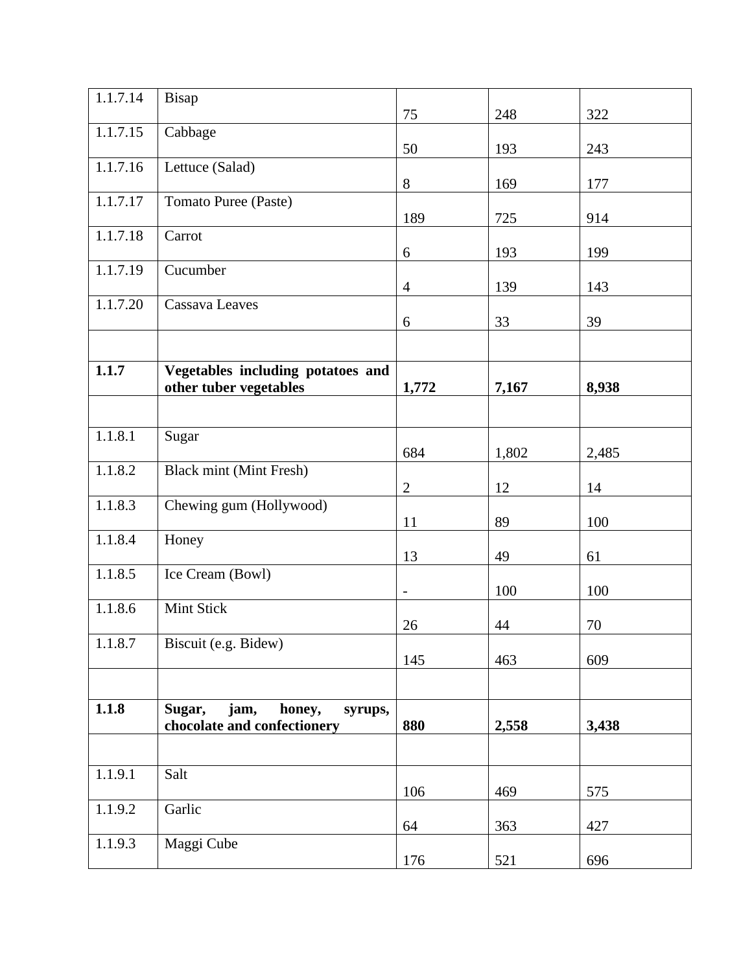| 1.1.7.14 | Bisap                                                              |                          |       |       |
|----------|--------------------------------------------------------------------|--------------------------|-------|-------|
|          |                                                                    | 75                       | 248   | 322   |
| 1.1.7.15 | Cabbage                                                            | 50                       | 193   | 243   |
| 1.1.7.16 | Lettuce (Salad)                                                    | 8                        | 169   | 177   |
| 1.1.7.17 | Tomato Puree (Paste)                                               | 189                      | 725   | 914   |
| 1.1.7.18 | Carrot                                                             | 6                        | 193   | 199   |
| 1.1.7.19 | Cucumber                                                           | $\overline{4}$           | 139   | 143   |
| 1.1.7.20 | Cassava Leaves                                                     | 6                        | 33    | 39    |
| 1.1.7    | Vegetables including potatoes and<br>other tuber vegetables        | 1,772                    | 7,167 | 8,938 |
|          |                                                                    |                          |       |       |
| 1.1.8.1  | Sugar                                                              | 684                      | 1,802 | 2,485 |
| 1.1.8.2  | <b>Black mint (Mint Fresh)</b>                                     | $\mathbf{2}$             | 12    | 14    |
| 1.1.8.3  | Chewing gum (Hollywood)                                            | 11                       | 89    | 100   |
| 1.1.8.4  | Honey                                                              | 13                       | 49    | 61    |
| 1.1.8.5  | Ice Cream (Bowl)                                                   | $\overline{\phantom{a}}$ | 100   | 100   |
| 1.1.8.6  | Mint Stick                                                         | 26                       | 44    | 70    |
| 1.1.8.7  | Biscuit (e.g. Bidew)                                               | 145                      | 463   | 609   |
|          |                                                                    |                          |       |       |
| 1.1.8    | Sugar,<br>jam,<br>honey,<br>syrups,<br>chocolate and confectionery | 880                      | 2,558 | 3,438 |
|          |                                                                    |                          |       |       |
| 1.1.9.1  | Salt                                                               | 106                      | 469   | 575   |
| 1.1.9.2  | Garlic                                                             | 64                       | 363   | 427   |
| 1.1.9.3  | Maggi Cube                                                         | 176                      | 521   | 696   |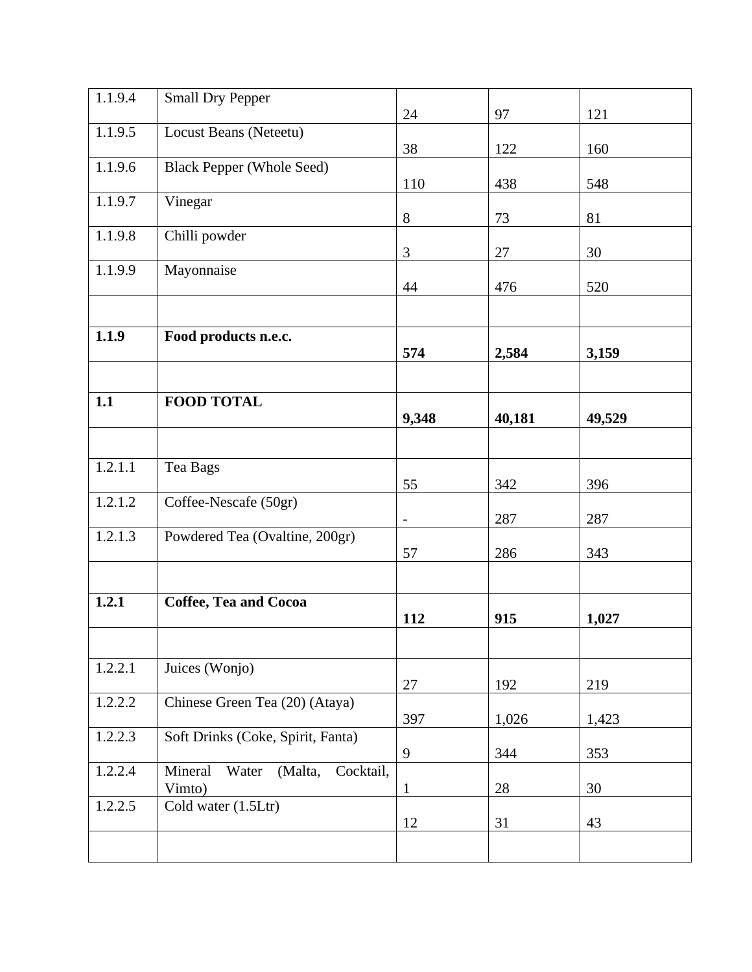| 1.1.9.4 | <b>Small Dry Pepper</b>                            |                          |        |        |
|---------|----------------------------------------------------|--------------------------|--------|--------|
|         |                                                    | 24                       | 97     | 121    |
| 1.1.9.5 | Locust Beans (Neteetu)                             | 38                       | 122    | 160    |
| 1.1.9.6 | <b>Black Pepper (Whole Seed)</b>                   | 110                      | 438    | 548    |
| 1.1.9.7 | Vinegar                                            | 8                        | 73     | 81     |
| 1.1.9.8 | Chilli powder                                      |                          |        |        |
| 1.1.9.9 | Mayonnaise                                         | 3                        | 27     | 30     |
|         |                                                    | 44                       | 476    | 520    |
| 1.1.9   | Food products n.e.c.                               | 574                      | 2,584  | 3,159  |
|         |                                                    |                          |        |        |
| 1.1     | <b>FOOD TOTAL</b>                                  | 9,348                    | 40,181 | 49,529 |
|         |                                                    |                          |        |        |
| 1.2.1.1 | Tea Bags                                           | 55                       | 342    | 396    |
| 1.2.1.2 | Coffee-Nescafe (50gr)                              | $\overline{\phantom{0}}$ | 287    | 287    |
| 1.2.1.3 | Powdered Tea (Ovaltine, 200gr)                     | 57                       | 286    | 343    |
|         |                                                    |                          |        |        |
| 1.2.1   | Coffee, Tea and Cocoa                              | 112                      | 915    | 1,027  |
|         |                                                    |                          |        |        |
| 1.2.2.1 | Juices (Wonjo)                                     | 27                       | 192    | 219    |
| 1.2.2.2 | Chinese Green Tea (20) (Ataya)                     | 397                      | 1,026  | 1,423  |
| 1.2.2.3 | Soft Drinks (Coke, Spirit, Fanta)                  | 9                        | 344    | 353    |
| 1.2.2.4 | Water<br>Mineral<br>(Malta,<br>Cocktail,<br>Vimto) | $\mathbf{1}$             | 28     | 30     |
| 1.2.2.5 | Cold water (1.5Ltr)                                | 12                       | 31     | 43     |
|         |                                                    |                          |        |        |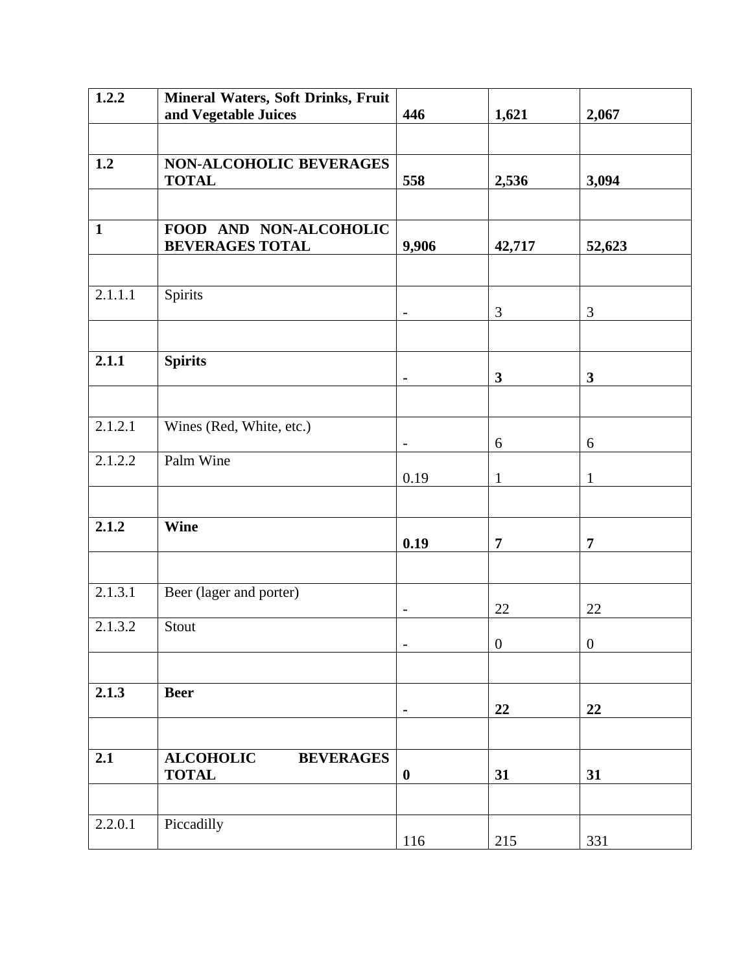| 1.2.2        | Mineral Waters, Soft Drinks, Fruit                   |                          |                  |                  |
|--------------|------------------------------------------------------|--------------------------|------------------|------------------|
|              | and Vegetable Juices                                 | 446                      | 1,621            | 2,067            |
| 1.2          | NON-ALCOHOLIC BEVERAGES<br><b>TOTAL</b>              | 558                      | 2,536            | 3,094            |
| $\mathbf{1}$ | FOOD AND NON-ALCOHOLIC<br><b>BEVERAGES TOTAL</b>     | 9,906                    | 42,717           | 52,623           |
| 2.1.1.1      | Spirits                                              | $\overline{\phantom{a}}$ | 3                | 3                |
| 2.1.1        | <b>Spirits</b>                                       | $\blacksquare$           | $\mathbf{3}$     | $\mathbf{3}$     |
| 2.1.2.1      | Wines (Red, White, etc.)                             | $\overline{\phantom{a}}$ | 6                | 6                |
| 2.1.2.2      | Palm Wine                                            | 0.19                     | $\mathbf{1}$     | $\mathbf{1}$     |
| 2.1.2        | Wine                                                 | 0.19                     | $\overline{7}$   | $\overline{7}$   |
| 2.1.3.1      | Beer (lager and porter)                              |                          | 22               | 22               |
| 2.1.3.2      | Stout                                                | $\overline{\phantom{0}}$ | $\boldsymbol{0}$ | $\boldsymbol{0}$ |
| 2.1.3        | <b>Beer</b>                                          | $\blacksquare$           | 22               | 22               |
| 2.1          | <b>ALCOHOLIC</b><br><b>BEVERAGES</b><br><b>TOTAL</b> | $\boldsymbol{0}$         | 31               | 31               |
| 2.2.0.1      | Piccadilly                                           | 116                      | 215              | 331              |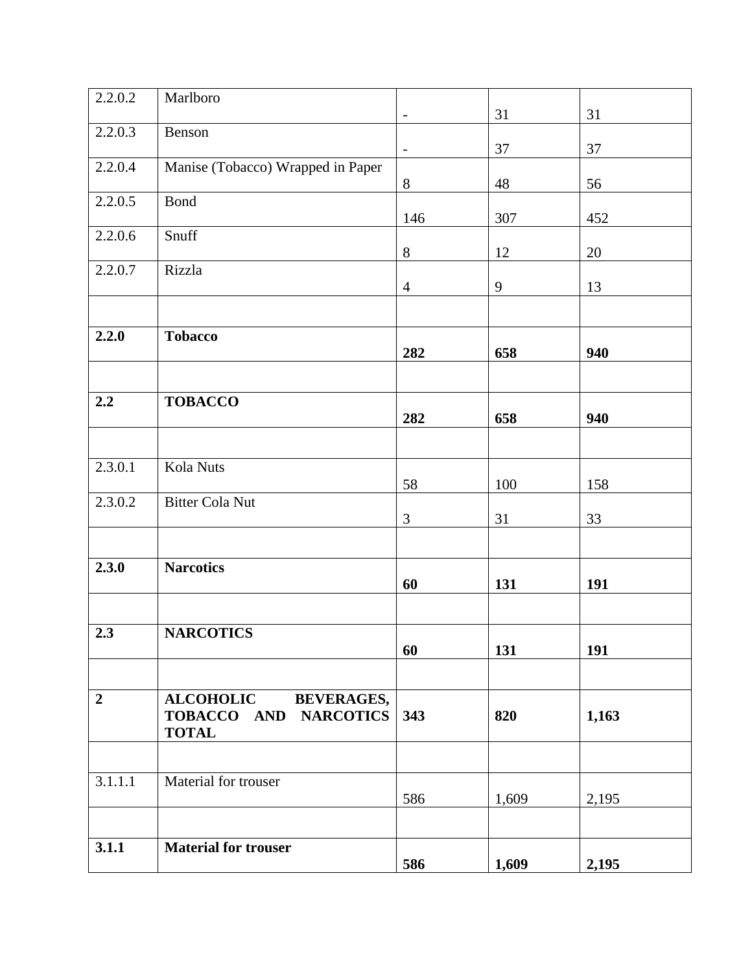| 2.2.0.2        | Marlboro                                                                                        | $\qquad \qquad -$ | 31    | 31    |
|----------------|-------------------------------------------------------------------------------------------------|-------------------|-------|-------|
| 2.2.0.3        | Benson                                                                                          | $\blacksquare$    | 37    | 37    |
| 2.2.0.4        | Manise (Tobacco) Wrapped in Paper                                                               |                   |       |       |
| 2.2.0.5        | <b>Bond</b>                                                                                     | 8                 | 48    | 56    |
| 2.2.0.6        | Snuff                                                                                           | 146               | 307   | 452   |
| 2.2.0.7        | Rizzla                                                                                          | $8\,$             | 12    | 20    |
|                |                                                                                                 | $\overline{4}$    | 9     | 13    |
| 2.2.0          | <b>Tobacco</b>                                                                                  |                   |       |       |
|                |                                                                                                 | 282               | 658   | 940   |
| 2.2            | <b>TOBACCO</b>                                                                                  | 282               | 658   | 940   |
| 2.3.0.1        | Kola Nuts                                                                                       | 58                | 100   | 158   |
| 2.3.0.2        | <b>Bitter Cola Nut</b>                                                                          | 3                 | 31    | 33    |
| 2.3.0          | <b>Narcotics</b>                                                                                |                   |       |       |
|                |                                                                                                 | 60                | 131   | 191   |
| 2.3            | <b>NARCOTICS</b>                                                                                | 60                | 131   | 191   |
| $\overline{2}$ | <b>ALCOHOLIC</b><br><b>BEVERAGES,</b><br><b>NARCOTICS</b><br><b>TOBACCO AND</b><br><b>TOTAL</b> | 343               | 820   | 1,163 |
|                |                                                                                                 |                   |       |       |
| 3.1.1.1        | Material for trouser                                                                            | 586               | 1,609 | 2,195 |
| 3.1.1          | <b>Material for trouser</b>                                                                     | 586               | 1,609 | 2,195 |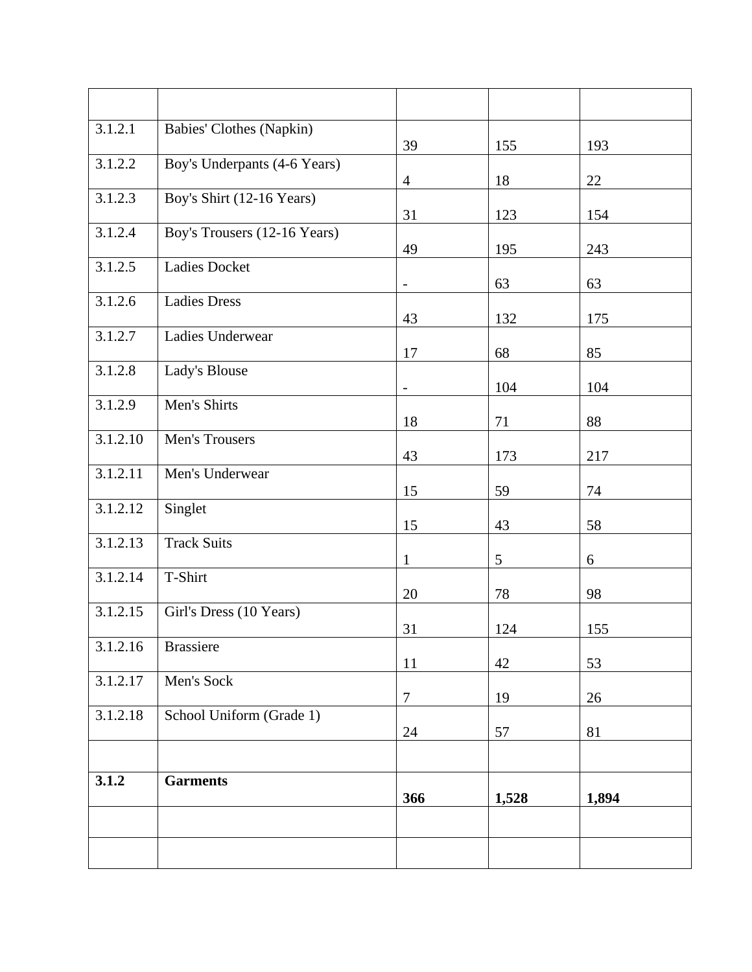| 3.1.2.1  | Babies' Clothes (Napkin)     | 39                       | 155   | 193   |
|----------|------------------------------|--------------------------|-------|-------|
| 3.1.2.2  | Boy's Underpants (4-6 Years) | $\overline{4}$           | 18    | 22    |
| 3.1.2.3  | Boy's Shirt (12-16 Years)    | 31                       | 123   | 154   |
| 3.1.2.4  | Boy's Trousers (12-16 Years) | 49                       | 195   | 243   |
| 3.1.2.5  | <b>Ladies Docket</b>         | $\qquad \qquad -$        | 63    | 63    |
| 3.1.2.6  | <b>Ladies Dress</b>          | 43                       | 132   | 175   |
| 3.1.2.7  | Ladies Underwear             | 17                       | 68    | 85    |
| 3.1.2.8  | Lady's Blouse                | $\overline{\phantom{0}}$ | 104   | 104   |
| 3.1.2.9  | Men's Shirts                 | 18                       | 71    | 88    |
| 3.1.2.10 | Men's Trousers               | 43                       | 173   | 217   |
| 3.1.2.11 | Men's Underwear              | 15                       | 59    | 74    |
| 3.1.2.12 | Singlet                      | 15                       | 43    | 58    |
| 3.1.2.13 | <b>Track Suits</b>           | $\mathbf{1}$             | 5     | 6     |
| 3.1.2.14 | T-Shirt                      | 20                       | 78    | 98    |
| 3.1.2.15 | Girl's Dress (10 Years)      | 31                       | 124   | 155   |
| 3.1.2.16 | <b>Brassiere</b>             | 11                       | 42    | 53    |
| 3.1.2.17 | Men's Sock                   | $\overline{7}$           | 19    | 26    |
| 3.1.2.18 | School Uniform (Grade 1)     | 24                       | 57    | 81    |
|          |                              |                          |       |       |
| 3.1.2    | <b>Garments</b>              | 366                      | 1,528 | 1,894 |
|          |                              |                          |       |       |
|          |                              |                          |       |       |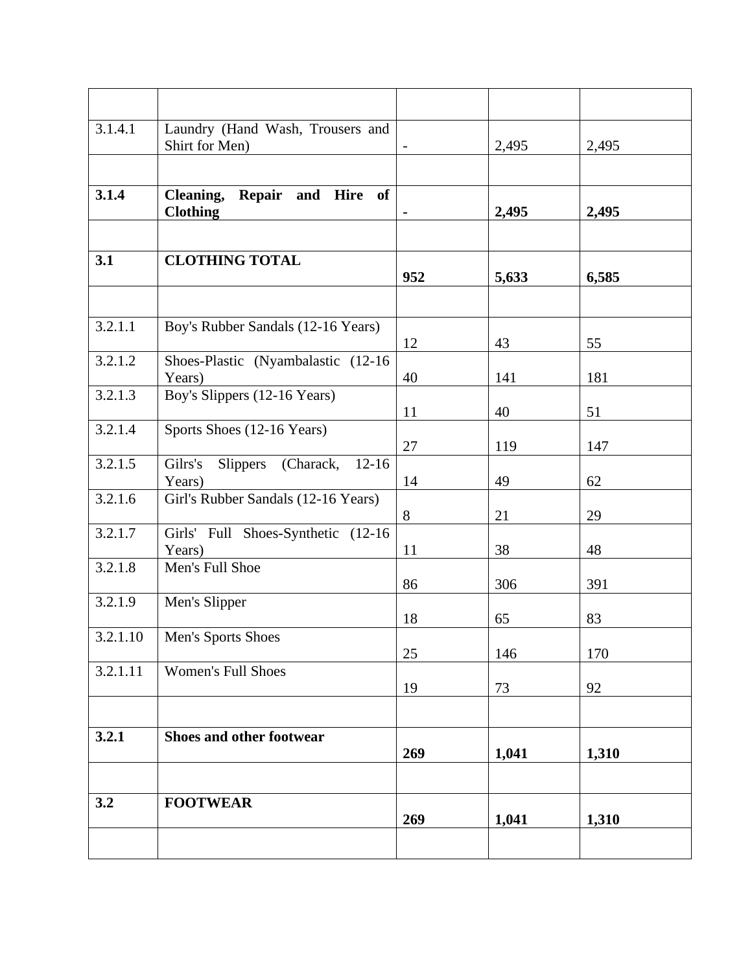| 3.1.4.1  | Laundry (Hand Wash, Trousers and<br>Shirt for Men)        |     | 2,495 | 2,495 |
|----------|-----------------------------------------------------------|-----|-------|-------|
|          |                                                           |     |       |       |
| 3.1.4    | Repair and Hire of<br><b>Cleaning,</b><br><b>Clothing</b> |     | 2,495 | 2,495 |
|          |                                                           |     |       |       |
| 3.1      | <b>CLOTHING TOTAL</b>                                     | 952 | 5,633 | 6,585 |
|          |                                                           |     |       |       |
| 3.2.1.1  | Boy's Rubber Sandals (12-16 Years)                        | 12  | 43    | 55    |
| 3.2.1.2  | Shoes-Plastic (Nyambalastic (12-16)<br>Years)             | 40  | 141   | 181   |
| 3.2.1.3  | Boy's Slippers (12-16 Years)                              | 11  | 40    | 51    |
| 3.2.1.4  | Sports Shoes (12-16 Years)                                | 27  | 119   | 147   |
| 3.2.1.5  | Gilrs's<br>Slippers (Charack, 12-16)<br>Years)            | 14  | 49    | 62    |
| 3.2.1.6  | Girl's Rubber Sandals (12-16 Years)                       | 8   | 21    | 29    |
| 3.2.1.7  | Girls' Full Shoes-Synthetic (12-16<br>Years)              | 11  | 38    | 48    |
| 3.2.1.8  | Men's Full Shoe                                           | 86  | 306   | 391   |
| 3.2.1.9  | Men's Slipper                                             | 18  | 65    | 83    |
| 3.2.1.10 | Men's Sports Shoes                                        | 25  | 146   | 170   |
| 3.2.1.11 | <b>Women's Full Shoes</b>                                 | 19  | 73    | 92    |
|          |                                                           |     |       |       |
| 3.2.1    | Shoes and other footwear                                  | 269 | 1,041 | 1,310 |
|          |                                                           |     |       |       |
| 3.2      | <b>FOOTWEAR</b>                                           | 269 | 1,041 | 1,310 |
|          |                                                           |     |       |       |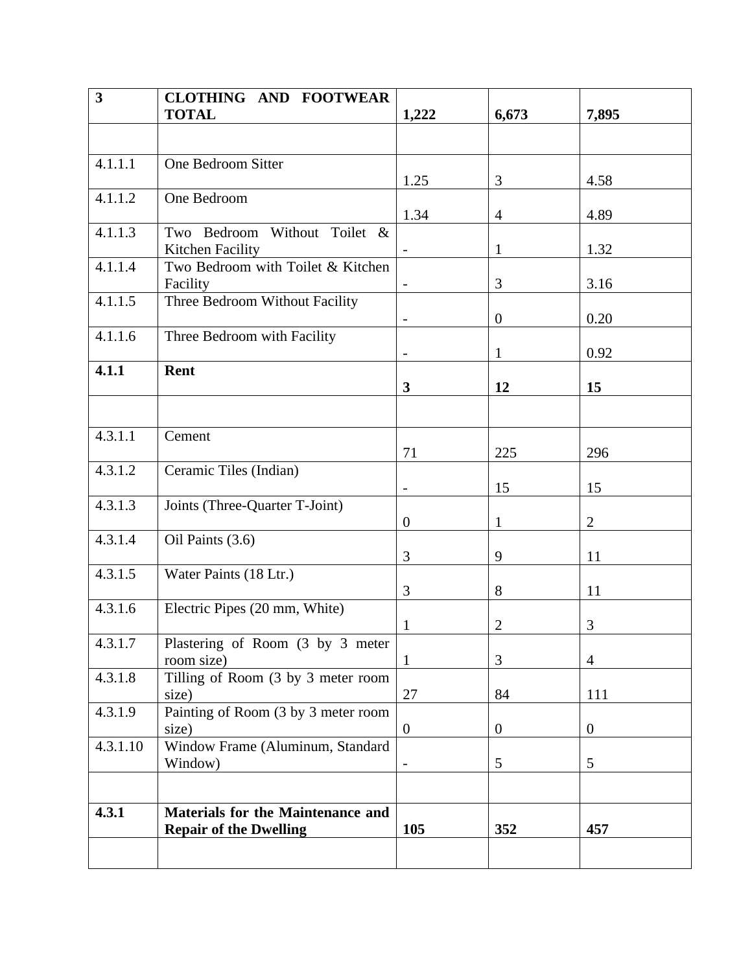| $\overline{\mathbf{3}}$ | <b>CLOTHING AND FOOTWEAR</b>                   |                          |                  |                  |
|-------------------------|------------------------------------------------|--------------------------|------------------|------------------|
|                         | <b>TOTAL</b>                                   | 1,222                    | 6,673            | 7,895            |
|                         |                                                |                          |                  |                  |
| 4.1.1.1                 | One Bedroom Sitter                             |                          |                  |                  |
|                         |                                                | 1.25                     | 3                | 4.58             |
| 4.1.1.2                 | One Bedroom                                    |                          |                  |                  |
| 4.1.1.3                 | Two Bedroom Without Toilet &                   | 1.34                     | 4                | 4.89             |
|                         | Kitchen Facility                               |                          | $\mathbf{1}$     | 1.32             |
| 4.1.1.4                 | Two Bedroom with Toilet & Kitchen<br>Facility  |                          | 3                | 3.16             |
| 4.1.1.5                 | Three Bedroom Without Facility                 |                          |                  |                  |
|                         |                                                | $\overline{\phantom{a}}$ | $\boldsymbol{0}$ | 0.20             |
| 4.1.1.6                 | Three Bedroom with Facility                    |                          |                  |                  |
|                         |                                                | $\overline{a}$           | $\mathbf{1}$     | 0.92             |
| 4.1.1                   | Rent                                           |                          |                  |                  |
|                         |                                                | $\mathbf{3}$             | 12               | 15               |
|                         |                                                |                          |                  |                  |
| 4.3.1.1                 | Cement                                         |                          |                  |                  |
|                         |                                                | 71                       | 225              | 296              |
| 4.3.1.2                 | Ceramic Tiles (Indian)                         |                          |                  |                  |
|                         |                                                | $\overline{\phantom{a}}$ | 15               | 15               |
| 4.3.1.3                 | Joints (Three-Quarter T-Joint)                 |                          |                  |                  |
|                         |                                                | $\mathbf{0}$             | 1                | $\overline{2}$   |
| 4.3.1.4                 | Oil Paints (3.6)                               |                          |                  |                  |
|                         |                                                | 3                        | 9                | 11               |
| 4.3.1.5                 | Water Paints (18 Ltr.)                         |                          |                  |                  |
|                         |                                                | 3                        | 8                | 11               |
| 4.3.1.6                 | Electric Pipes (20 mm, White)                  |                          |                  |                  |
|                         |                                                | 1                        | $\overline{2}$   | $\mathfrak{Z}$   |
| 4.3.1.7                 | Plastering of Room (3 by 3 meter<br>room size) | $\mathbf{1}$             | 3                | $\overline{4}$   |
| 4.3.1.8                 | Tilling of Room (3 by 3 meter room             |                          |                  |                  |
|                         | size)                                          | 27                       | 84               | 111              |
| 4.3.1.9                 | Painting of Room (3 by 3 meter room            |                          |                  |                  |
|                         | size)                                          | $\boldsymbol{0}$         | $\overline{0}$   | $\boldsymbol{0}$ |
| 4.3.1.10                | Window Frame (Aluminum, Standard               |                          |                  |                  |
|                         | Window)                                        |                          | 5                | 5                |
|                         |                                                |                          |                  |                  |
| 4.3.1                   | <b>Materials for the Maintenance and</b>       |                          |                  |                  |
|                         | <b>Repair of the Dwelling</b>                  | 105                      | 352              | 457              |
|                         |                                                |                          |                  |                  |
|                         |                                                |                          |                  |                  |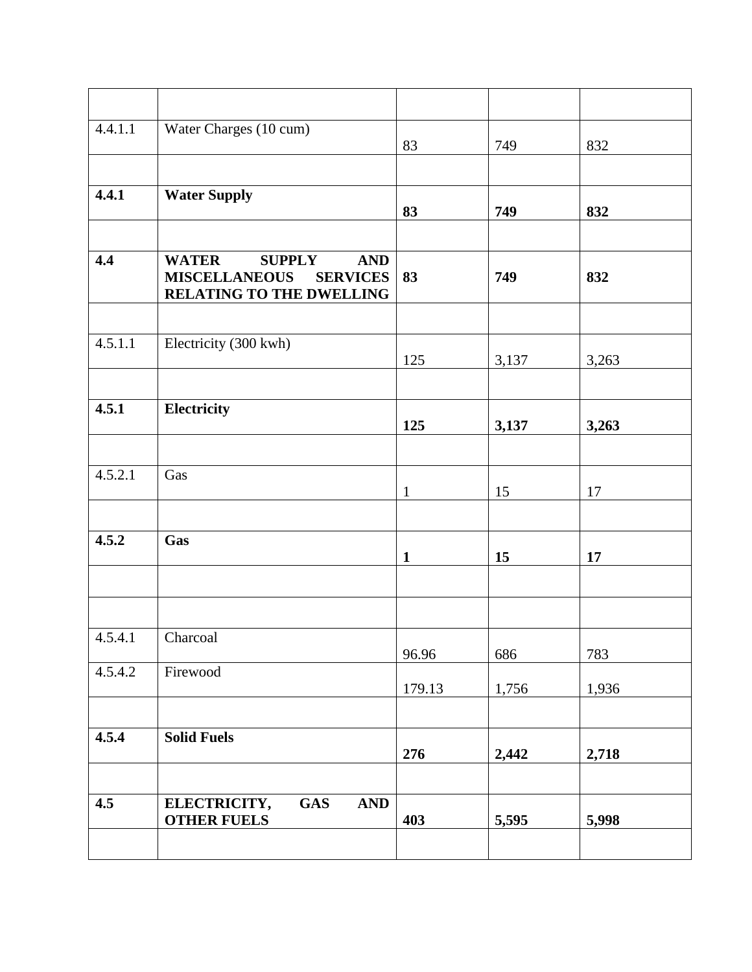| 4.4.1.1 | Water Charges (10 cum)                                                                                             | 83           | 749   | 832   |
|---------|--------------------------------------------------------------------------------------------------------------------|--------------|-------|-------|
|         |                                                                                                                    |              |       |       |
| 4.4.1   | <b>Water Supply</b>                                                                                                | 83           | 749   | 832   |
|         |                                                                                                                    |              |       |       |
| 4.4     | <b>WATER</b><br><b>SUPPLY</b><br><b>AND</b><br><b>MISCELLANEOUS</b><br><b>SERVICES</b><br>RELATING TO THE DWELLING | 83           | 749   | 832   |
|         |                                                                                                                    |              |       |       |
| 4.5.1.1 | Electricity (300 kwh)                                                                                              | 125          | 3,137 | 3,263 |
|         |                                                                                                                    |              |       |       |
| 4.5.1   | Electricity                                                                                                        | 125          | 3,137 | 3,263 |
|         |                                                                                                                    |              |       |       |
| 4.5.2.1 | Gas                                                                                                                | $\mathbf{1}$ | 15    | 17    |
|         |                                                                                                                    |              |       |       |
| 4.5.2   | Gas                                                                                                                | $\mathbf{1}$ | 15    | 17    |
|         |                                                                                                                    |              |       |       |
| 4.5.4.1 | Charcoal                                                                                                           | 96.96        | 686   | 783   |
| 4.5.4.2 | Firewood                                                                                                           | 179.13       | 1,756 | 1,936 |
|         |                                                                                                                    |              |       |       |
| 4.5.4   | <b>Solid Fuels</b>                                                                                                 | 276          | 2,442 | 2,718 |
|         |                                                                                                                    |              |       |       |
| 4.5     | <b>GAS</b><br><b>AND</b><br>ELECTRICITY,<br><b>OTHER FUELS</b>                                                     | 403          | 5,595 | 5,998 |
|         |                                                                                                                    |              |       |       |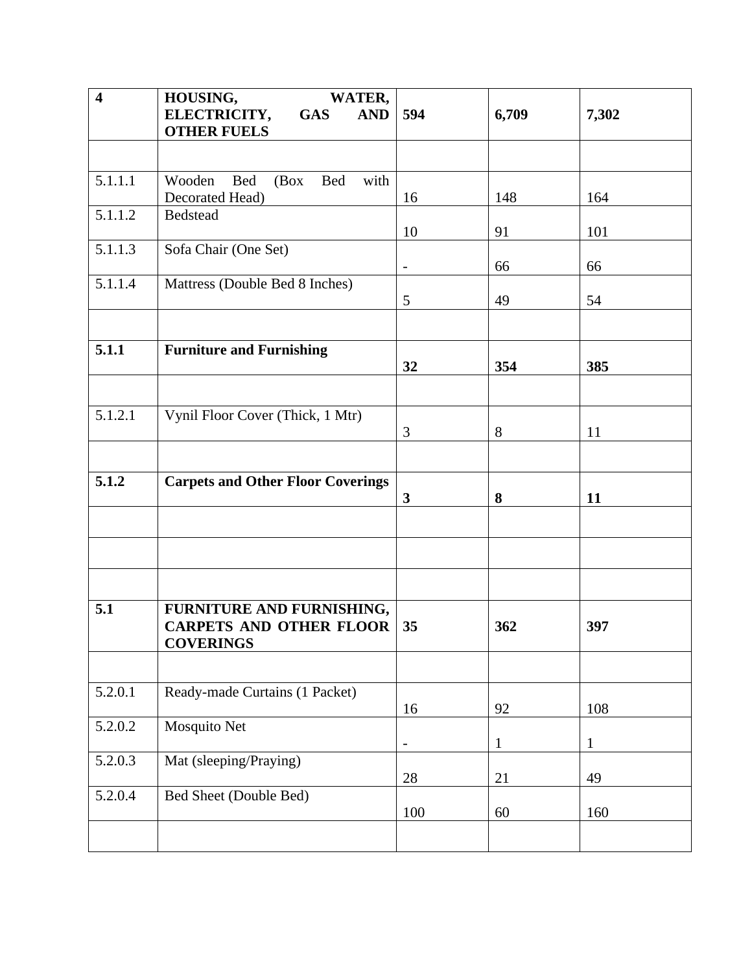| $\overline{\mathbf{4}}$ | HOUSING,<br><b>WATER,</b>                           |                          |              |              |
|-------------------------|-----------------------------------------------------|--------------------------|--------------|--------------|
|                         | ELECTRICITY,<br><b>GAS</b><br><b>AND</b>            | 594                      | 6,709        | 7,302        |
|                         | <b>OTHER FUELS</b>                                  |                          |              |              |
|                         |                                                     |                          |              |              |
| 5.1.1.1                 | Wooden<br><b>Bed</b><br><b>Bed</b><br>with<br>(Box) |                          |              |              |
|                         | Decorated Head)                                     | 16                       | 148          | 164          |
| 5.1.1.2                 | Bedstead                                            |                          |              |              |
|                         |                                                     | 10                       | 91           | 101          |
| 5.1.1.3                 | Sofa Chair (One Set)                                |                          |              |              |
|                         |                                                     | $\frac{1}{2}$            | 66           | 66           |
| 5.1.1.4                 | Mattress (Double Bed 8 Inches)                      |                          |              |              |
|                         |                                                     | 5                        | 49           | 54           |
|                         |                                                     |                          |              |              |
| 5.1.1                   | <b>Furniture and Furnishing</b>                     |                          |              |              |
|                         |                                                     | 32                       | 354          | 385          |
|                         |                                                     |                          |              |              |
|                         |                                                     |                          |              |              |
| 5.1.2.1                 | Vynil Floor Cover (Thick, 1 Mtr)                    |                          |              |              |
|                         |                                                     | 3                        | 8            | 11           |
|                         |                                                     |                          |              |              |
| 5.1.2                   | <b>Carpets and Other Floor Coverings</b>            |                          |              |              |
|                         |                                                     | 3                        | 8            | 11           |
|                         |                                                     |                          |              |              |
|                         |                                                     |                          |              |              |
|                         |                                                     |                          |              |              |
|                         |                                                     |                          |              |              |
|                         |                                                     |                          |              |              |
| 5.1                     | FURNITURE AND FURNISHING,                           |                          |              |              |
|                         | <b>CARPETS AND OTHER FLOOR</b>                      | 35                       | 362          | 397          |
|                         | <b>COVERINGS</b>                                    |                          |              |              |
|                         |                                                     |                          |              |              |
| 5.2.0.1                 | Ready-made Curtains (1 Packet)                      |                          |              |              |
|                         |                                                     | 16                       | 92           | 108          |
| 5.2.0.2                 | Mosquito Net                                        |                          |              |              |
|                         |                                                     | $\overline{\phantom{0}}$ | $\mathbf{1}$ | $\mathbf{1}$ |
| 5.2.0.3                 | Mat (sleeping/Praying)                              |                          |              |              |
|                         |                                                     | 28                       | 21           | 49           |
| 5.2.0.4                 | Bed Sheet (Double Bed)                              |                          |              |              |
|                         |                                                     | 100                      | 60           | 160          |
|                         |                                                     |                          |              |              |
|                         |                                                     |                          |              |              |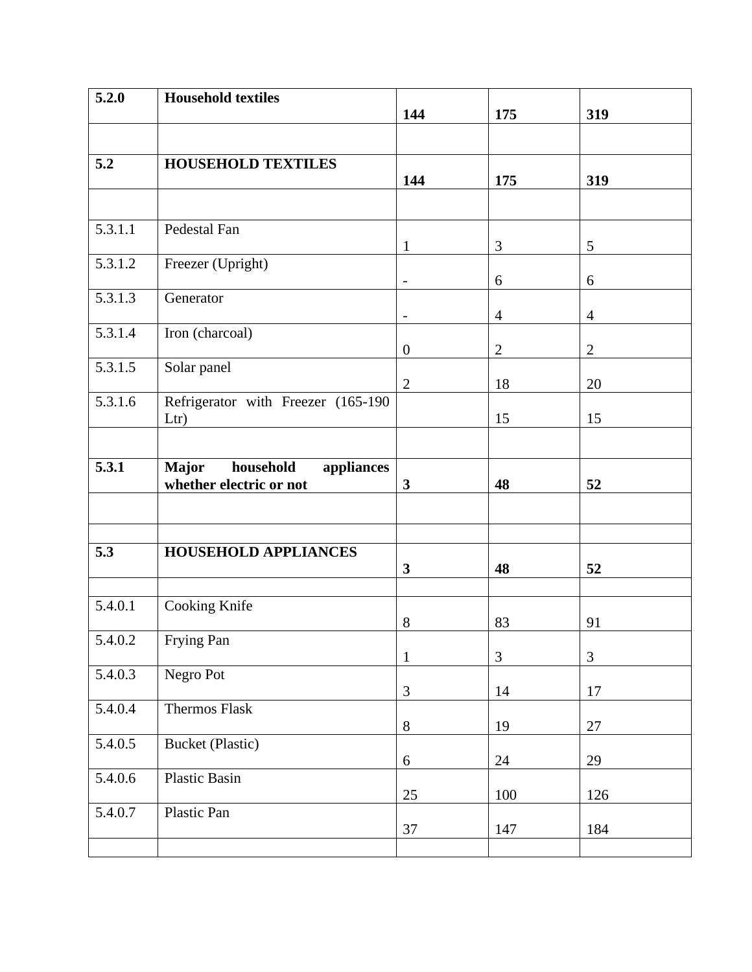| 5.2.0   | <b>Household textiles</b>               |                          |                |                |
|---------|-----------------------------------------|--------------------------|----------------|----------------|
|         |                                         | 144                      | 175            | 319            |
|         |                                         |                          |                |                |
| 5.2     | <b>HOUSEHOLD TEXTILES</b>               |                          |                |                |
|         |                                         | 144                      | 175            | 319            |
|         |                                         |                          |                |                |
|         |                                         |                          |                |                |
| 5.3.1.1 | Pedestal Fan                            |                          |                |                |
|         |                                         | 1                        | 3              | 5              |
| 5.3.1.2 | Freezer (Upright)                       |                          |                |                |
|         |                                         | $\overline{\phantom{a}}$ | 6              | 6              |
| 5.3.1.3 | Generator                               |                          |                |                |
|         |                                         |                          | $\overline{4}$ | $\overline{4}$ |
| 5.3.1.4 | Iron (charcoal)                         |                          |                |                |
|         |                                         | $\overline{0}$           | $\overline{2}$ | $\mathbf{2}$   |
| 5.3.1.5 | Solar panel                             | $\overline{2}$           | 18             | 20             |
| 5.3.1.6 | Refrigerator with Freezer (165-190      |                          |                |                |
|         | Ltr)                                    |                          | 15             | 15             |
|         |                                         |                          |                |                |
|         |                                         |                          |                |                |
| 5.3.1   | household<br><b>Major</b><br>appliances |                          |                |                |
|         | whether electric or not                 | $\overline{\mathbf{3}}$  | 48             | 52             |
|         |                                         |                          |                |                |
|         |                                         |                          |                |                |
|         |                                         |                          |                |                |
| 5.3     | <b>HOUSEHOLD APPLIANCES</b>             | $\mathbf{3}$             | 48             |                |
|         |                                         |                          |                | 52             |
| 5.4.0.1 |                                         |                          |                |                |
|         | Cooking Knife                           | 8                        | 83             | 91             |
| 5.4.0.2 | Frying Pan                              |                          |                |                |
|         |                                         | 1                        | 3              | $\mathfrak{Z}$ |
| 5.4.0.3 | Negro Pot                               |                          |                |                |
|         |                                         | $\mathfrak{Z}$           | 14             | 17             |
| 5.4.0.4 | Thermos Flask                           |                          |                |                |
|         |                                         | $8\,$                    | 19             | 27             |
| 5.4.0.5 | <b>Bucket (Plastic)</b>                 |                          |                |                |
|         |                                         | 6                        | 24             | 29             |
| 5.4.0.6 | Plastic Basin                           |                          |                |                |
|         |                                         | $25\,$                   | 100            | 126            |
| 5.4.0.7 | Plastic Pan                             |                          |                |                |
|         |                                         | 37                       | 147            | 184            |
|         |                                         |                          |                |                |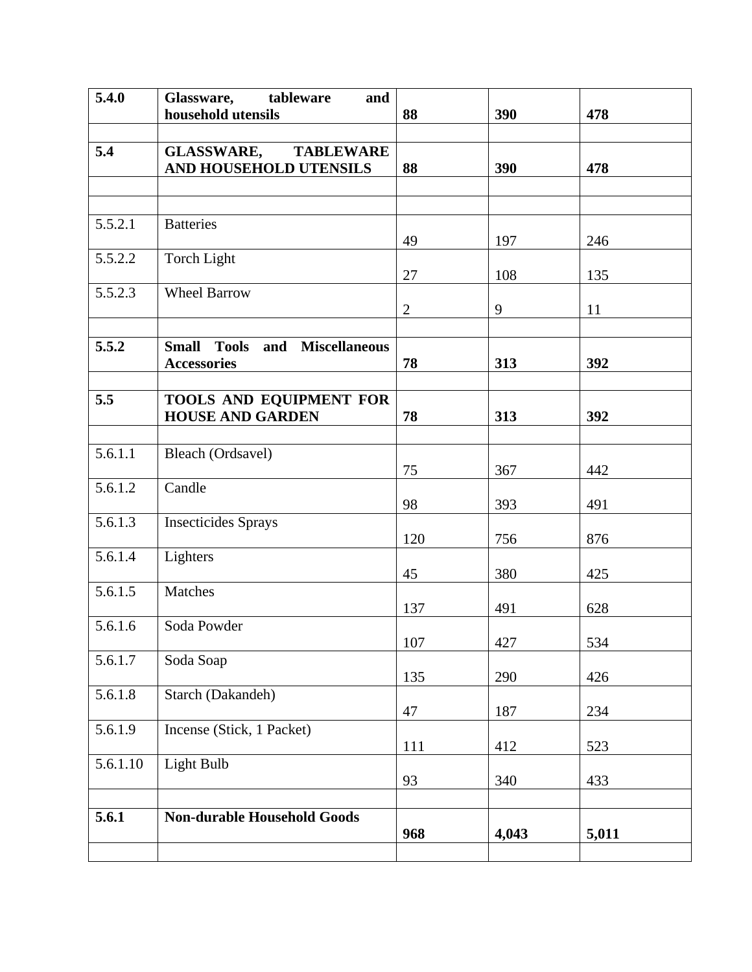| 5.4.0    | Glassware,<br>tableware<br>and                    |                |       |       |
|----------|---------------------------------------------------|----------------|-------|-------|
|          | household utensils                                | 88             | 390   | 478   |
| 5.4      | <b>GLASSWARE,</b><br><b>TABLEWARE</b>             |                |       |       |
|          | AND HOUSEHOLD UTENSILS                            | 88             | 390   | 478   |
|          |                                                   |                |       |       |
|          |                                                   |                |       |       |
| 5.5.2.1  | <b>Batteries</b>                                  |                |       |       |
|          |                                                   | 49             | 197   | 246   |
| 5.5.2.2  | Torch Light                                       | 27             | 108   | 135   |
| 5.5.2.3  | <b>Wheel Barrow</b>                               |                |       |       |
|          |                                                   | $\overline{2}$ | 9     | 11    |
|          |                                                   |                |       |       |
| 5.5.2    | and Miscellaneous<br><b>Tools</b><br><b>Small</b> |                |       |       |
|          | <b>Accessories</b>                                | 78             | 313   | 392   |
| 5.5      | TOOLS AND EQUIPMENT FOR                           |                |       |       |
|          | <b>HOUSE AND GARDEN</b>                           | 78             | 313   | 392   |
|          |                                                   |                |       |       |
| 5.6.1.1  | Bleach (Ordsavel)                                 |                |       |       |
| 5.6.1.2  |                                                   | 75             | 367   | 442   |
|          | Candle                                            | 98             | 393   | 491   |
| 5.6.1.3  | <b>Insecticides Sprays</b>                        |                |       |       |
|          |                                                   | 120            | 756   | 876   |
| 5.6.1.4  | Lighters                                          |                |       |       |
| 5.6.1.5  | Matches                                           | 45             | 380   | 425   |
|          |                                                   | 137            | 491   | 628   |
| 5.6.1.6  | Soda Powder                                       |                |       |       |
|          |                                                   | $107\,$        | 427   | 534   |
| 5.6.1.7  | Soda Soap                                         | 135            | 290   | 426   |
| 5.6.1.8  | Starch (Dakandeh)                                 |                |       |       |
|          |                                                   | 47             | 187   | 234   |
| 5.6.1.9  | Incense (Stick, 1 Packet)                         |                |       |       |
|          |                                                   | 111            | 412   | 523   |
| 5.6.1.10 | Light Bulb                                        | 93             | 340   | 433   |
|          |                                                   |                |       |       |
| 5.6.1    | <b>Non-durable Household Goods</b>                |                |       |       |
|          |                                                   | 968            | 4,043 | 5,011 |
|          |                                                   |                |       |       |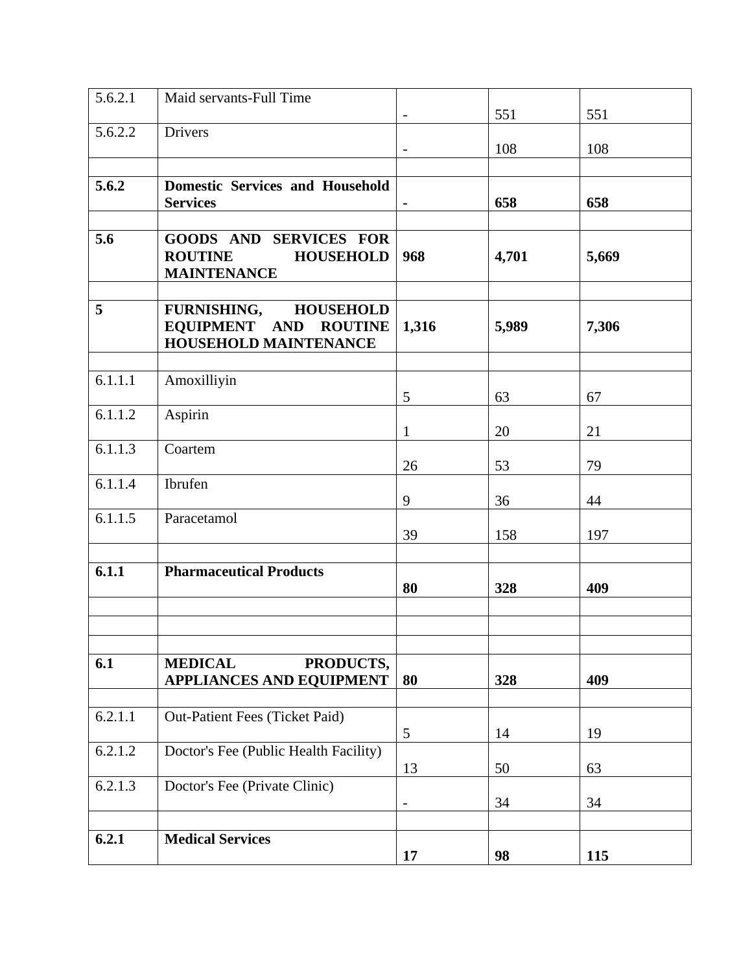| 5.6.2.1 | Maid servants-Full Time                                                                   |                              | 551   | 551   |
|---------|-------------------------------------------------------------------------------------------|------------------------------|-------|-------|
| 5.6.2.2 | Drivers                                                                                   | $\overline{\phantom{a}}$     | 108   | 108   |
|         |                                                                                           |                              |       |       |
| 5.6.2   | <b>Domestic Services and Household</b><br><b>Services</b>                                 |                              | 658   | 658   |
|         |                                                                                           |                              |       |       |
| 5.6     | <b>GOODS AND SERVICES FOR</b><br><b>ROUTINE</b><br><b>HOUSEHOLD</b><br><b>MAINTENANCE</b> | 968                          | 4,701 | 5,669 |
| 5       | FURNISHING, HOUSEHOLD                                                                     |                              |       |       |
|         | EQUIPMENT AND ROUTINE<br>HOUSEHOLD MAINTENANCE                                            | 1,316                        | 5,989 | 7,306 |
|         |                                                                                           |                              |       |       |
| 6.1.1.1 | Amoxilliyin                                                                               | 5                            | 63    | 67    |
| 6.1.1.2 | Aspirin                                                                                   | 1                            | 20    | 21    |
| 6.1.1.3 | Coartem                                                                                   |                              |       |       |
|         |                                                                                           | 26                           | 53    | 79    |
| 6.1.1.4 | Ibrufen                                                                                   | 9                            | 36    | 44    |
| 6.1.1.5 | Paracetamol                                                                               | 39                           | 158   | 197   |
|         |                                                                                           |                              |       |       |
| 6.1.1   | <b>Pharmaceutical Products</b>                                                            | 80                           | 328   | 409   |
|         |                                                                                           |                              |       |       |
| 6.1     | <b>MEDICAL</b><br>PRODUCTS,                                                               |                              |       |       |
|         | <b>APPLIANCES AND EQUIPMENT</b>                                                           | 80                           | 328   | 409   |
| 6.2.1.1 | Out-Patient Fees (Ticket Paid)                                                            |                              |       |       |
| 6.2.1.2 | Doctor's Fee (Public Health Facility)                                                     | 5                            | 14    | 19    |
|         |                                                                                           | 13                           | 50    | 63    |
| 6.2.1.3 | Doctor's Fee (Private Clinic)                                                             | $\qquad \qquad \blacksquare$ | 34    | 34    |
|         |                                                                                           |                              |       |       |
| 6.2.1   | <b>Medical Services</b>                                                                   | 17                           | 98    | 115   |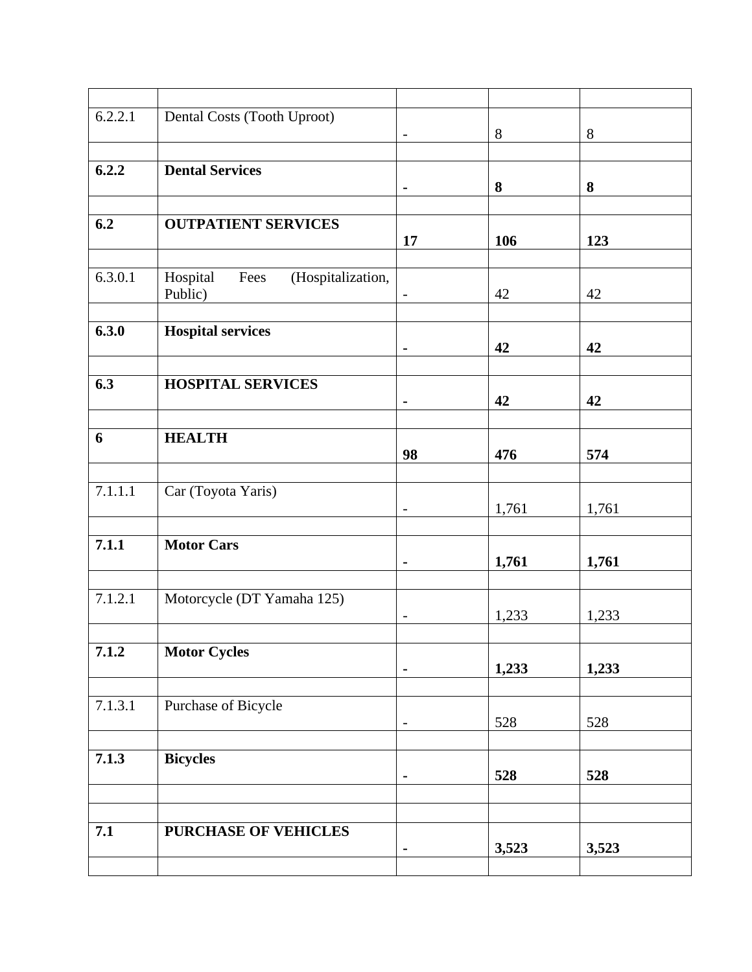| 6.2.2.1 | Dental Costs (Tooth Uproot)           | $\overline{\phantom{a}}$ | 8     | $8\phantom{1}$ |
|---------|---------------------------------------|--------------------------|-------|----------------|
|         |                                       |                          |       |                |
| 6.2.2   | <b>Dental Services</b>                |                          |       |                |
|         |                                       | $\blacksquare$           | 8     | 8              |
| 6.2     | <b>OUTPATIENT SERVICES</b>            |                          |       |                |
|         |                                       | 17                       | 106   | 123            |
|         |                                       |                          |       |                |
| 6.3.0.1 | (Hospitalization,<br>Hospital<br>Fees |                          |       |                |
|         | Public)                               | $\overline{\phantom{a}}$ | 42    | 42             |
| 6.3.0   | <b>Hospital services</b>              |                          |       |                |
|         |                                       | $\blacksquare$           | 42    | 42             |
|         |                                       |                          |       |                |
| 6.3     | <b>HOSPITAL SERVICES</b>              | $\blacksquare$           | 42    | 42             |
|         |                                       |                          |       |                |
| 6       | <b>HEALTH</b>                         |                          |       |                |
|         |                                       | 98                       | 476   | 574            |
|         |                                       |                          |       |                |
| 7.1.1.1 | Car (Toyota Yaris)                    | $\overline{\phantom{a}}$ | 1,761 | 1,761          |
|         |                                       |                          |       |                |
| 7.1.1   | <b>Motor Cars</b>                     |                          |       |                |
|         |                                       | $\blacksquare$           | 1,761 | 1,761          |
| 7.1.2.1 | Motorcycle (DT Yamaha 125)            |                          |       |                |
|         |                                       | $\qquad \qquad -$        | 1,233 | 1,233          |
|         |                                       |                          |       |                |
| 7.1.2   | <b>Motor Cycles</b>                   |                          |       |                |
|         |                                       | $\blacksquare$           | 1,233 | 1,233          |
| 7.1.3.1 | Purchase of Bicycle                   |                          |       |                |
|         |                                       | $\qquad \qquad -$        | 528   | 528            |
|         |                                       |                          |       |                |
| 7.1.3   | <b>Bicycles</b>                       | $\blacksquare$           | 528   | 528            |
|         |                                       |                          |       |                |
|         |                                       |                          |       |                |
| 7.1     | PURCHASE OF VEHICLES                  |                          |       |                |
|         |                                       | $\blacksquare$           | 3,523 | 3,523          |
|         |                                       |                          |       |                |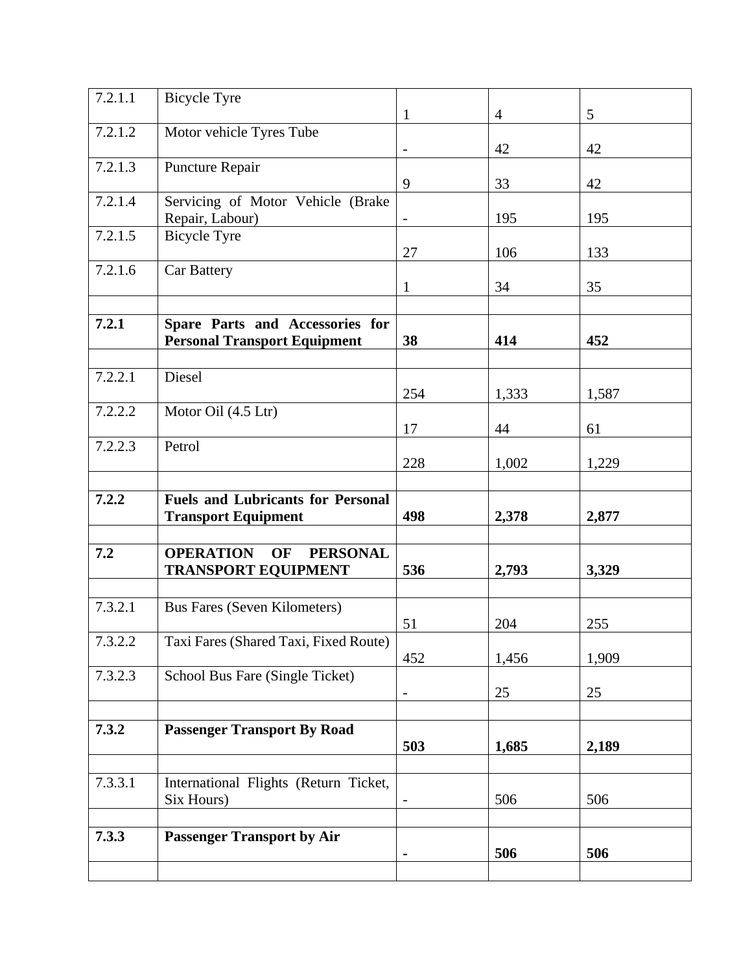| 7.2.1.1 | <b>Bicycle Tyre</b>                                                    | $\mathbf{1}$ | $\overline{4}$ | 5     |  |
|---------|------------------------------------------------------------------------|--------------|----------------|-------|--|
| 7.2.1.2 | Motor vehicle Tyres Tube                                               |              | 42             | 42    |  |
| 7.2.1.3 | Puncture Repair                                                        |              |                |       |  |
| 7.2.1.4 |                                                                        | 9            | 33             | 42    |  |
|         | Servicing of Motor Vehicle (Brake<br>Repair, Labour)                   |              | 195            | 195   |  |
| 7.2.1.5 | <b>Bicycle Tyre</b>                                                    | 27           | 106            | 133   |  |
| 7.2.1.6 | <b>Car Battery</b>                                                     | 1            | 34             | 35    |  |
|         |                                                                        |              |                |       |  |
| 7.2.1   | Spare Parts and Accessories for<br><b>Personal Transport Equipment</b> | 38           | 414            | 452   |  |
| 7.2.2.1 | Diesel                                                                 |              |                |       |  |
|         |                                                                        | 254          | 1,333          | 1,587 |  |
| 7.2.2.2 | Motor Oil (4.5 Ltr)                                                    | 17           | 44             | 61    |  |
| 7.2.2.3 | Petrol                                                                 | 228          | 1,002          | 1,229 |  |
|         |                                                                        |              |                |       |  |
| 7.2.2   | <b>Fuels and Lubricants for Personal</b><br><b>Transport Equipment</b> | 498          | 2,378          | 2,877 |  |
|         |                                                                        |              |                |       |  |
| 7.2     | <b>OPERATION</b><br>OF PERSONAL<br><b>TRANSPORT EQUIPMENT</b>          | 536          | 2,793          | 3,329 |  |
| 7.3.2.1 | <b>Bus Fares (Seven Kilometers)</b>                                    |              |                |       |  |
| 7.3.2.2 | $\sim$<br>Taxi Fares (Shared Taxi, Fixed Route)                        | 51           | 204            | 255   |  |
|         |                                                                        | 452          | 1,456          | 1,909 |  |
| 7.3.2.3 | School Bus Fare (Single Ticket)                                        |              | 25             | 25    |  |
|         |                                                                        |              |                |       |  |
| 7.3.2   | <b>Passenger Transport By Road</b>                                     | 503          | 1,685          | 2,189 |  |
|         |                                                                        |              |                |       |  |
| 7.3.3.1 | International Flights (Return Ticket,<br>Six Hours)                    |              | 506            | 506   |  |
|         |                                                                        |              |                |       |  |
| 7.3.3   | <b>Passenger Transport by Air</b>                                      |              | 506            | 506   |  |
|         |                                                                        |              |                |       |  |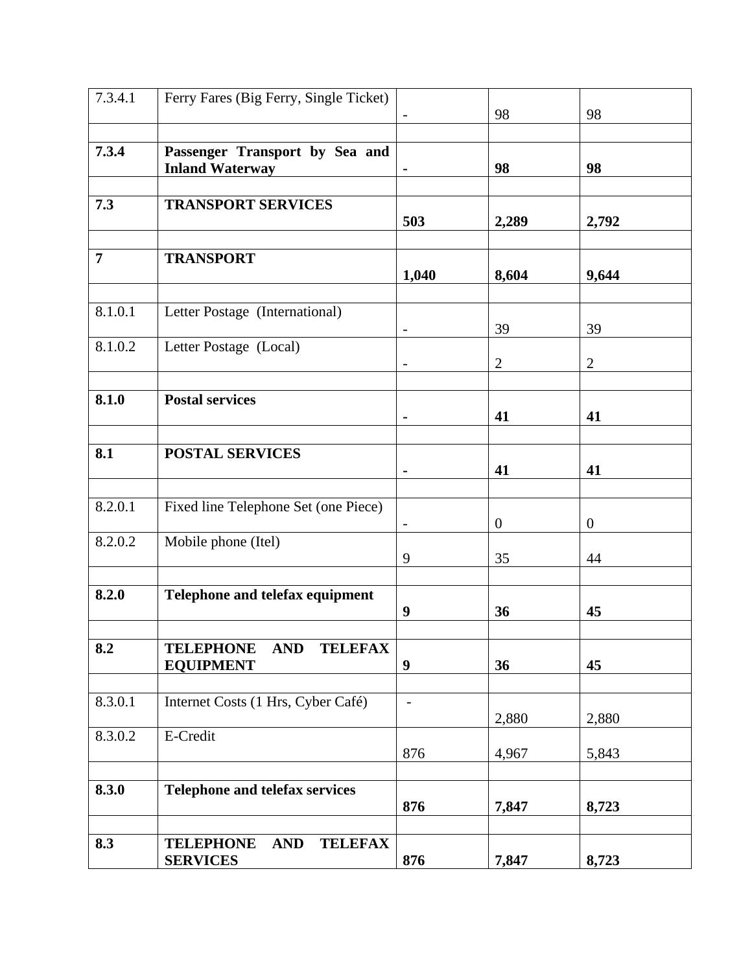| 7.3.4.1        | Ferry Fares (Big Ferry, Single Ticket)                               |                  | 98                   | 98                   |
|----------------|----------------------------------------------------------------------|------------------|----------------------|----------------------|
|                |                                                                      |                  |                      |                      |
| 7.3.4          | Passenger Transport by Sea and<br><b>Inland Waterway</b>             |                  | 98                   | 98                   |
| 7.3            | <b>TRANSPORT SERVICES</b>                                            | 503              | 2,289                | 2,792                |
|                |                                                                      |                  |                      |                      |
| $\overline{7}$ | <b>TRANSPORT</b>                                                     | 1,040            | 8,604                | 9,644                |
|                |                                                                      |                  |                      |                      |
| 8.1.0.1        | Letter Postage (International)                                       |                  | 39                   | 39                   |
| 8.1.0.2        | Letter Postage (Local)                                               |                  | $\overline{2}$       | $\overline{2}$       |
|                |                                                                      |                  |                      |                      |
| 8.1.0          | <b>Postal services</b>                                               |                  | 41                   | 41                   |
| 8.1            | <b>POSTAL SERVICES</b>                                               |                  | 41                   | 41                   |
| 8.2.0.1        | Fixed line Telephone Set (one Piece)                                 |                  |                      |                      |
| 8.2.0.2        | Mobile phone (Itel)                                                  | 9                | $\overline{0}$<br>35 | $\overline{0}$<br>44 |
|                |                                                                      |                  |                      |                      |
| 8.2.0          | Telephone and telefax equipment                                      | 9                | 36                   | 45                   |
|                |                                                                      |                  |                      |                      |
| 8.2            | <b>TELEPHONE</b><br><b>AND</b><br><b>TELEFAX</b><br><b>EQUIPMENT</b> | $\boldsymbol{9}$ | 36                   | 45                   |
| 8.3.0.1        | Internet Costs (1 Hrs, Cyber Café)                                   | $\blacksquare$   |                      |                      |
|                |                                                                      |                  | 2,880                | 2,880                |
| 8.3.0.2        | E-Credit                                                             | 876              | 4,967                | 5,843                |
| 8.3.0          | Telephone and telefax services                                       | 876              | 7,847                | 8,723                |
| 8.3            | <b>TELEPHONE</b><br><b>AND</b><br><b>TELEFAX</b><br><b>SERVICES</b>  | 876              | 7,847                | 8,723                |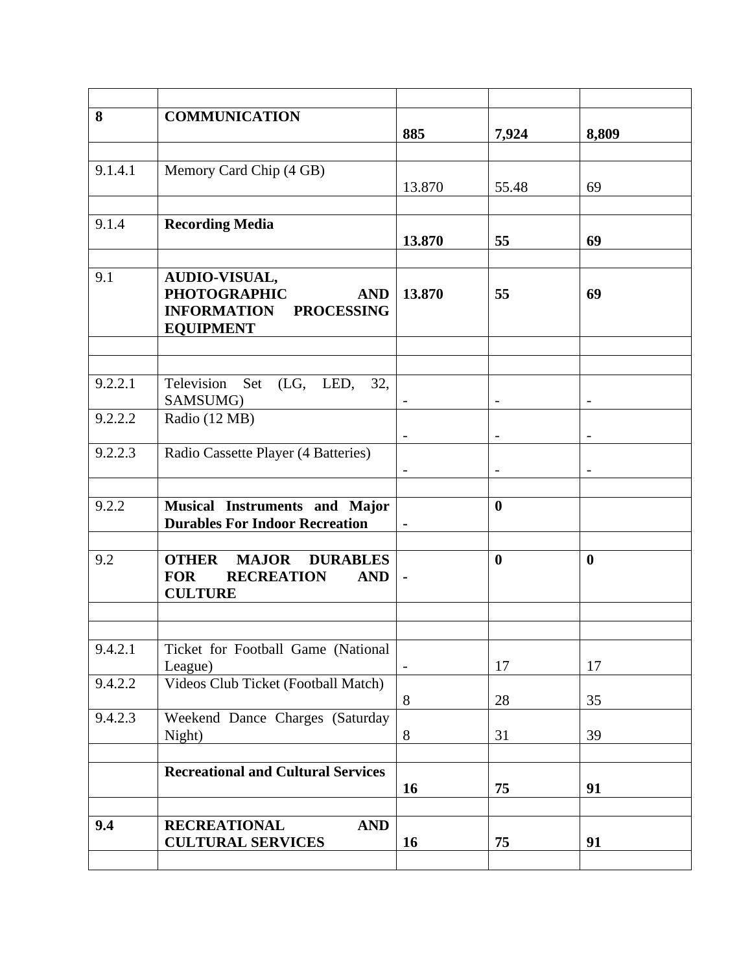| 8       | <b>COMMUNICATION</b>                                                                                     | 885            | 7,924             | 8,809                    |
|---------|----------------------------------------------------------------------------------------------------------|----------------|-------------------|--------------------------|
| 9.1.4.1 | Memory Card Chip (4 GB)                                                                                  | 13.870         | 55.48             | 69                       |
| 9.1.4   | <b>Recording Media</b>                                                                                   | 13.870         | 55                | 69                       |
| 9.1     | AUDIO-VISUAL,<br><b>PHOTOGRAPHIC</b><br><b>AND</b><br><b>INFORMATION PROCESSING</b><br><b>EQUIPMENT</b>  | 13.870         | 55                | 69                       |
|         |                                                                                                          |                |                   |                          |
| 9.2.2.1 | Television Set (LG, LED, 32,<br>SAMSUMG)                                                                 | $\blacksquare$ | $\qquad \qquad -$ | $\overline{\phantom{a}}$ |
| 9.2.2.2 | Radio (12 MB)                                                                                            |                |                   |                          |
| 9.2.2.3 | Radio Cassette Player (4 Batteries)                                                                      |                |                   |                          |
| 9.2.2   | Musical Instruments and Major<br><b>Durables For Indoor Recreation</b>                                   |                | $\bf{0}$          |                          |
| 9.2     | <b>MAJOR DURABLES</b><br><b>OTHER</b><br><b>FOR</b><br><b>RECREATION</b><br><b>AND</b><br><b>CULTURE</b> | $\blacksquare$ | $\boldsymbol{0}$  | $\boldsymbol{0}$         |
| 9.4.2.1 | Ticket for Football Game (National                                                                       |                |                   |                          |
|         | League)                                                                                                  | $\sim$         | 17                | 17                       |
| 9.4.2.2 | Videos Club Ticket (Football Match)                                                                      | 8              | 28                | 35                       |
| 9.4.2.3 | Weekend Dance Charges (Saturday<br>Night)                                                                | 8              | 31                | 39                       |
|         | <b>Recreational and Cultural Services</b>                                                                | 16             | 75                | 91                       |
| 9.4     | <b>RECREATIONAL</b><br><b>AND</b><br><b>CULTURAL SERVICES</b>                                            | 16             | 75                | 91                       |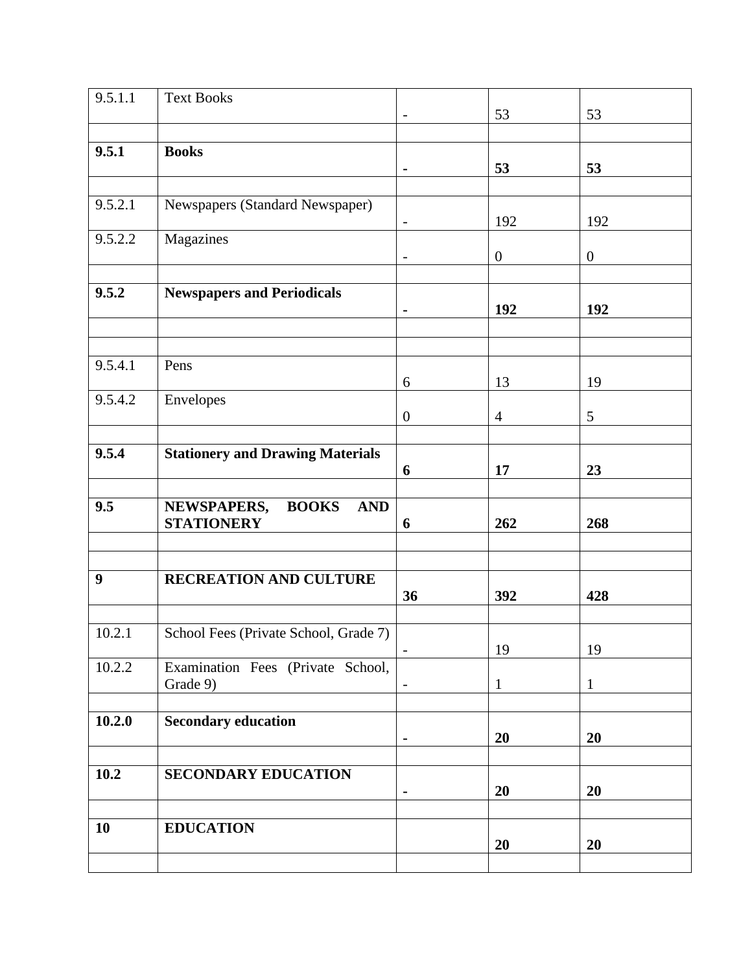| 9.5.1.1 | <b>Text Books</b>                         |                          | 53             | 53             |
|---------|-------------------------------------------|--------------------------|----------------|----------------|
|         |                                           |                          |                |                |
| 9.5.1   | <b>Books</b>                              |                          |                |                |
|         |                                           | $\blacksquare$           | 53             | 53             |
|         |                                           |                          |                |                |
| 9.5.2.1 | Newspapers (Standard Newspaper)           |                          | 192            | 192            |
| 9.5.2.2 | Magazines                                 | $\overline{\phantom{a}}$ |                |                |
|         |                                           |                          | $\overline{0}$ | $\overline{0}$ |
|         |                                           |                          |                |                |
| 9.5.2   | <b>Newspapers and Periodicals</b>         |                          |                |                |
|         |                                           | $\blacksquare$           | 192            | 192            |
|         |                                           |                          |                |                |
| 9.5.4.1 | Pens                                      |                          |                |                |
|         |                                           | 6                        | 13             | 19             |
| 9.5.4.2 | Envelopes                                 |                          |                |                |
|         |                                           | $\overline{0}$           | $\overline{4}$ | $\mathfrak{S}$ |
|         |                                           |                          |                |                |
| 9.5.4   | <b>Stationery and Drawing Materials</b>   |                          |                |                |
|         |                                           | 6                        | 17             | 23             |
| 9.5     | NEWSPAPERS,<br><b>BOOKS</b><br><b>AND</b> |                          |                |                |
|         | <b>STATIONERY</b>                         | 6                        | 262            | 268            |
|         |                                           |                          |                |                |
|         |                                           |                          |                |                |
| 9       | RECREATION AND CULTURE                    |                          |                |                |
|         |                                           | 36                       | 392            | 428            |
| 10.2.1  | School Fees (Private School, Grade 7)     |                          |                |                |
|         |                                           |                          | 19             | 19             |
| 10.2.2  | Examination Fees (Private School,         |                          |                |                |
|         | Grade 9)                                  | $\overline{\phantom{a}}$ | $\mathbf{1}$   | $\mathbf{1}$   |
|         |                                           |                          |                |                |
| 10.2.0  | <b>Secondary education</b>                |                          |                |                |
|         |                                           |                          | 20             | 20             |
| 10.2    | <b>SECONDARY EDUCATION</b>                |                          |                |                |
|         |                                           | $\blacksquare$           | 20             | 20             |
|         |                                           |                          |                |                |
| 10      | <b>EDUCATION</b>                          |                          |                |                |
|         |                                           |                          | 20             | 20             |
|         |                                           |                          |                |                |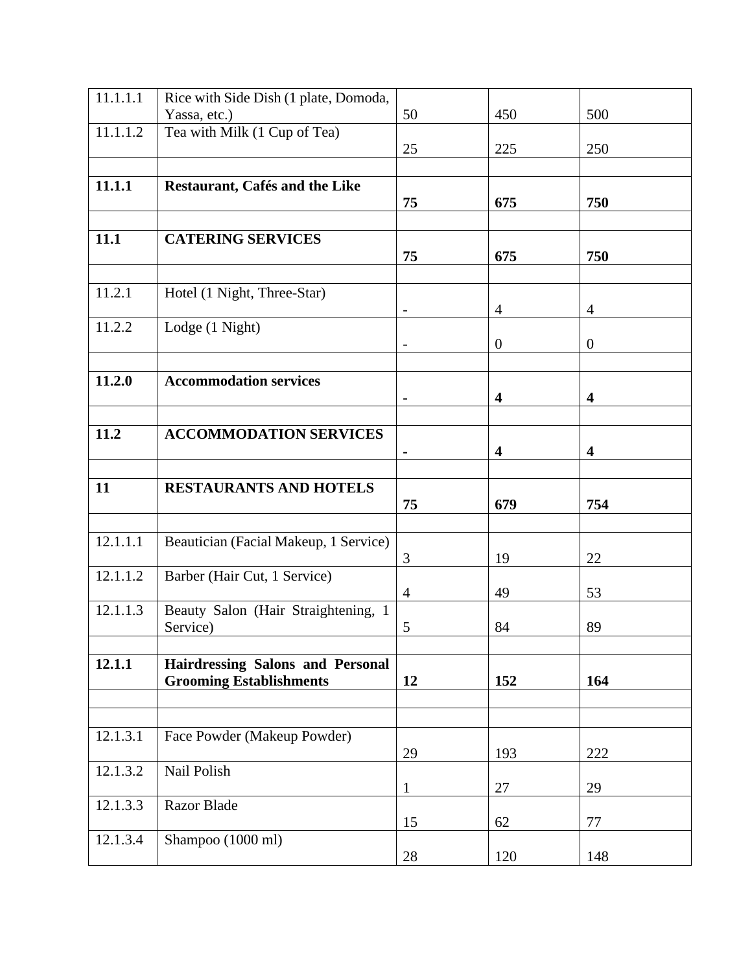| 11.1.1.1 | Rice with Side Dish (1 plate, Domoda,   |                          |                         |                         |
|----------|-----------------------------------------|--------------------------|-------------------------|-------------------------|
|          | Yassa, etc.)                            | 50                       | 450                     | 500                     |
| 11.1.1.2 | Tea with Milk (1 Cup of Tea)            |                          |                         |                         |
|          |                                         | 25                       | 225                     | 250                     |
|          |                                         |                          |                         |                         |
| 11.1.1   | Restaurant, Cafés and the Like          |                          |                         |                         |
|          |                                         | 75                       | 675                     | 750                     |
|          |                                         |                          |                         |                         |
| 11.1     | <b>CATERING SERVICES</b>                |                          |                         |                         |
|          |                                         | 75                       | 675                     | 750                     |
|          |                                         |                          |                         |                         |
| 11.2.1   | Hotel (1 Night, Three-Star)             |                          |                         |                         |
|          |                                         | $\overline{\phantom{a}}$ | $\overline{4}$          | $\overline{4}$          |
| 11.2.2   | Lodge (1 Night)                         |                          |                         |                         |
|          |                                         |                          | $\overline{0}$          | $\boldsymbol{0}$        |
|          |                                         |                          |                         |                         |
| 11.2.0   | <b>Accommodation services</b>           |                          |                         |                         |
|          |                                         | $\blacksquare$           | 4                       | $\overline{\mathbf{4}}$ |
|          |                                         |                          |                         |                         |
| 11.2     | <b>ACCOMMODATION SERVICES</b>           |                          |                         |                         |
|          |                                         |                          | $\overline{\mathbf{4}}$ | $\overline{\mathbf{4}}$ |
|          |                                         |                          |                         |                         |
| 11       | <b>RESTAURANTS AND HOTELS</b>           |                          |                         |                         |
|          |                                         | 75                       | 679                     | 754                     |
|          |                                         |                          |                         |                         |
| 12.1.1.1 | Beautician (Facial Makeup, 1 Service)   |                          |                         |                         |
|          |                                         | 3                        | 19                      | 22                      |
| 12.1.1.2 | Barber (Hair Cut, 1 Service)            |                          |                         |                         |
|          |                                         | $\overline{4}$           | 49                      | 53                      |
| 12.1.1.3 | Beauty Salon (Hair Straightening, 1     |                          |                         |                         |
|          | Service)                                | 5                        | 84                      | 89                      |
|          |                                         |                          |                         |                         |
| 12.1.1   | <b>Hairdressing Salons and Personal</b> | 12                       | 152                     | 164                     |
|          | <b>Grooming Establishments</b>          |                          |                         |                         |
|          |                                         |                          |                         |                         |
|          |                                         |                          |                         |                         |
| 12.1.3.1 | Face Powder (Makeup Powder)             |                          |                         |                         |
|          |                                         | 29                       | 193                     | 222                     |
| 12.1.3.2 | Nail Polish                             |                          |                         |                         |
| 12.1.3.3 | <b>Razor Blade</b>                      | 1                        | 27                      | 29                      |
|          |                                         | 15                       | 62                      | 77                      |
| 12.1.3.4 | Shampoo (1000 ml)                       |                          |                         |                         |
|          |                                         | 28                       | 120                     | 148                     |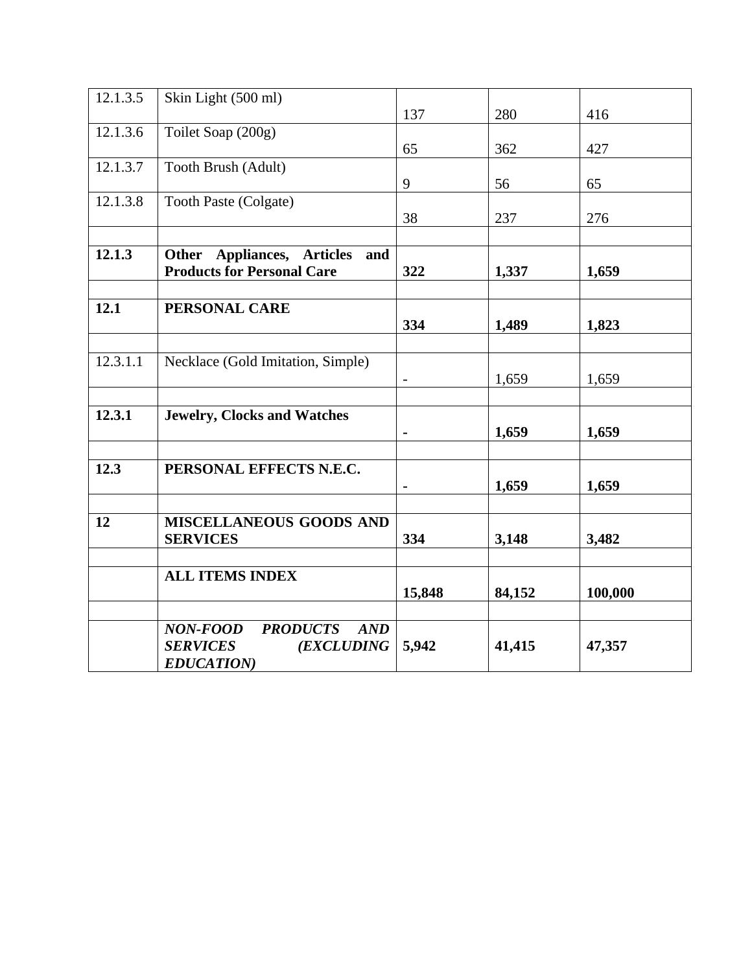| 12.1.3.5 | Skin Light (500 ml)                  |                          |        |         |
|----------|--------------------------------------|--------------------------|--------|---------|
|          |                                      | 137                      | 280    | 416     |
|          |                                      |                          |        |         |
| 12.1.3.6 | Toilet Soap (200g)                   |                          |        |         |
|          |                                      | 65                       | 362    | 427     |
| 12.1.3.7 | Tooth Brush (Adult)                  |                          |        |         |
|          |                                      |                          |        |         |
|          |                                      | 9                        | 56     | 65      |
| 12.1.3.8 | <b>Tooth Paste (Colgate)</b>         |                          |        |         |
|          |                                      |                          |        |         |
|          |                                      | 38                       | 237    | 276     |
|          |                                      |                          |        |         |
| 12.1.3   |                                      |                          |        |         |
|          | Other Appliances, Articles and       |                          |        |         |
|          | <b>Products for Personal Care</b>    | 322                      | 1,337  | 1,659   |
|          |                                      |                          |        |         |
|          |                                      |                          |        |         |
| 12.1     | PERSONAL CARE                        |                          |        |         |
|          |                                      | 334                      | 1,489  | 1,823   |
|          |                                      |                          |        |         |
|          |                                      |                          |        |         |
| 12.3.1.1 | Necklace (Gold Imitation, Simple)    |                          |        |         |
|          |                                      |                          |        |         |
|          |                                      | $\overline{\phantom{a}}$ | 1,659  | 1,659   |
|          |                                      |                          |        |         |
| 12.3.1   | <b>Jewelry, Clocks and Watches</b>   |                          |        |         |
|          |                                      |                          |        |         |
|          |                                      |                          | 1,659  | 1,659   |
|          |                                      |                          |        |         |
|          |                                      |                          |        |         |
| 12.3     | PERSONAL EFFECTS N.E.C.              |                          |        |         |
|          |                                      |                          | 1,659  | 1,659   |
|          |                                      |                          |        |         |
|          |                                      |                          |        |         |
| 12       | MISCELLANEOUS GOODS AND              |                          |        |         |
|          | <b>SERVICES</b>                      | 334                      | 3,148  | 3,482   |
|          |                                      |                          |        |         |
|          |                                      |                          |        |         |
|          | <b>ALL ITEMS INDEX</b>               |                          |        |         |
|          |                                      |                          |        |         |
|          |                                      | 15,848                   | 84,152 | 100,000 |
|          |                                      |                          |        |         |
|          |                                      |                          |        |         |
|          | NON-FOOD<br><b>PRODUCTS</b><br>AND   |                          |        |         |
|          | <b>SERVICES</b><br><b>(EXCLUDING</b> | 5,942                    | 41,415 | 47,357  |
|          | <b>EDUCATION</b> )                   |                          |        |         |
|          |                                      |                          |        |         |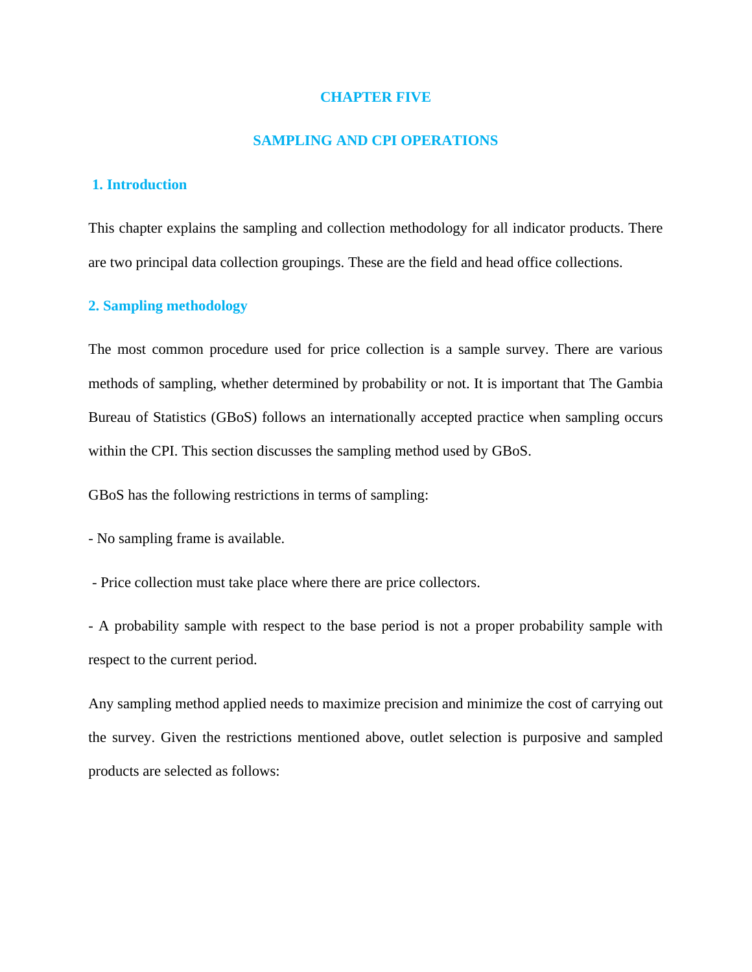### **CHAPTER FIVE**

### **SAMPLING AND CPI OPERATIONS**

# **1. Introduction**

This chapter explains the sampling and collection methodology for all indicator products. There are two principal data collection groupings. These are the field and head office collections.

# **2. Sampling methodology**

The most common procedure used for price collection is a sample survey. There are various methods of sampling, whether determined by probability or not. It is important that The Gambia Bureau of Statistics (GBoS) follows an internationally accepted practice when sampling occurs within the CPI. This section discusses the sampling method used by GBoS.

GBoS has the following restrictions in terms of sampling:

- No sampling frame is available.

- Price collection must take place where there are price collectors.

- A probability sample with respect to the base period is not a proper probability sample with respect to the current period.

Any sampling method applied needs to maximize precision and minimize the cost of carrying out the survey. Given the restrictions mentioned above, outlet selection is purposive and sampled products are selected as follows: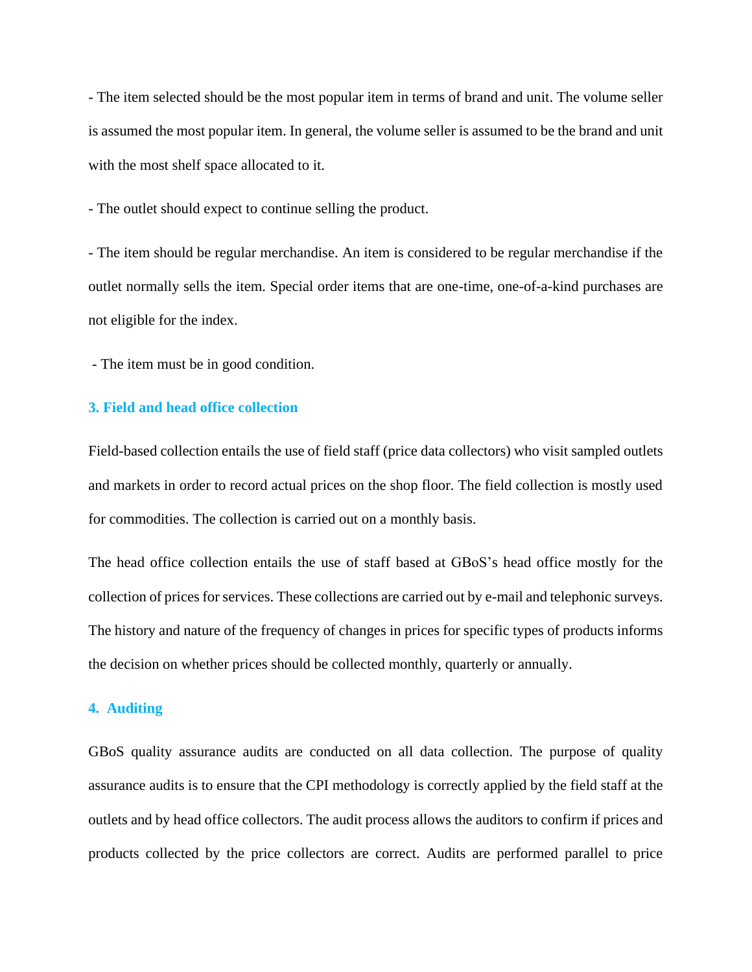- The item selected should be the most popular item in terms of brand and unit. The volume seller is assumed the most popular item. In general, the volume seller is assumed to be the brand and unit with the most shelf space allocated to it.

- The outlet should expect to continue selling the product.

- The item should be regular merchandise. An item is considered to be regular merchandise if the outlet normally sells the item. Special order items that are one-time, one-of-a-kind purchases are not eligible for the index.

- The item must be in good condition.

# **3. Field and head office collection**

Field-based collection entails the use of field staff (price data collectors) who visit sampled outlets and markets in order to record actual prices on the shop floor. The field collection is mostly used for commodities. The collection is carried out on a monthly basis.

The head office collection entails the use of staff based at GBoS's head office mostly for the collection of prices for services. These collections are carried out by e-mail and telephonic surveys. The history and nature of the frequency of changes in prices for specific types of products informs the decision on whether prices should be collected monthly, quarterly or annually.

### **4. Auditing**

GBoS quality assurance audits are conducted on all data collection. The purpose of quality assurance audits is to ensure that the CPI methodology is correctly applied by the field staff at the outlets and by head office collectors. The audit process allows the auditors to confirm if prices and products collected by the price collectors are correct. Audits are performed parallel to price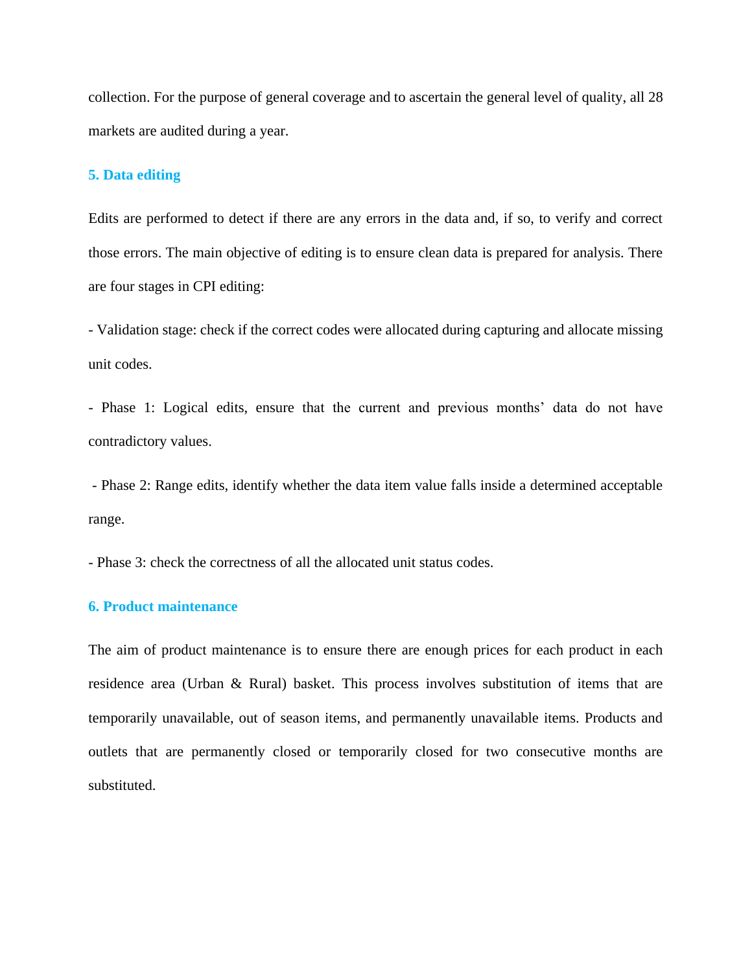collection. For the purpose of general coverage and to ascertain the general level of quality, all 28 markets are audited during a year.

# **5. Data editing**

Edits are performed to detect if there are any errors in the data and, if so, to verify and correct those errors. The main objective of editing is to ensure clean data is prepared for analysis. There are four stages in CPI editing:

- Validation stage: check if the correct codes were allocated during capturing and allocate missing unit codes.

- Phase 1: Logical edits, ensure that the current and previous months' data do not have contradictory values.

- Phase 2: Range edits, identify whether the data item value falls inside a determined acceptable range.

- Phase 3: check the correctness of all the allocated unit status codes.

# **6. Product maintenance**

The aim of product maintenance is to ensure there are enough prices for each product in each residence area (Urban & Rural) basket. This process involves substitution of items that are temporarily unavailable, out of season items, and permanently unavailable items. Products and outlets that are permanently closed or temporarily closed for two consecutive months are substituted.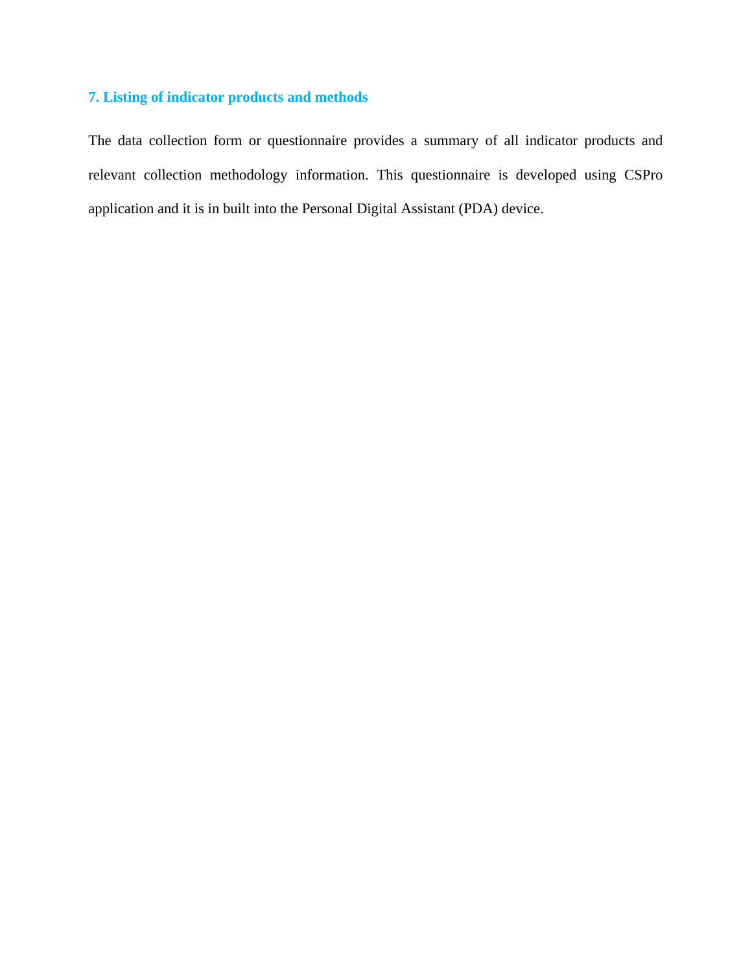# **7. Listing of indicator products and methods**

The data collection form or questionnaire provides a summary of all indicator products and relevant collection methodology information. This questionnaire is developed using CSPro application and it is in built into the Personal Digital Assistant (PDA) device.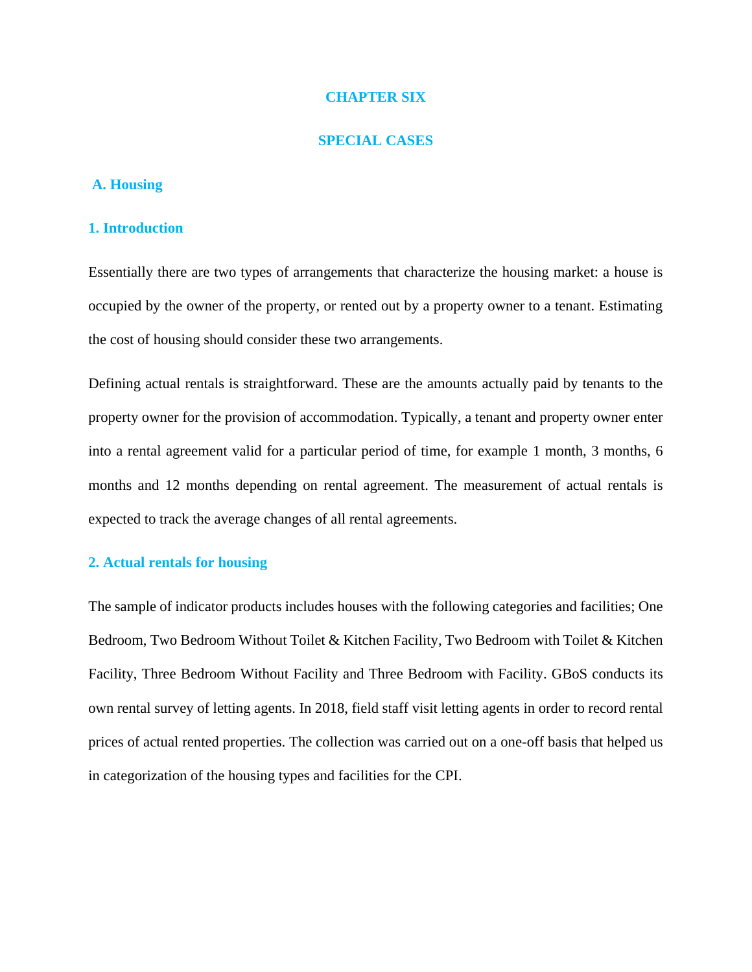# **CHAPTER SIX**

#### **SPECIAL CASES**

# **A. Housing**

#### **1. Introduction**

Essentially there are two types of arrangements that characterize the housing market: a house is occupied by the owner of the property, or rented out by a property owner to a tenant. Estimating the cost of housing should consider these two arrangements.

Defining actual rentals is straightforward. These are the amounts actually paid by tenants to the property owner for the provision of accommodation. Typically, a tenant and property owner enter into a rental agreement valid for a particular period of time, for example 1 month, 3 months, 6 months and 12 months depending on rental agreement. The measurement of actual rentals is expected to track the average changes of all rental agreements.

# **2. Actual rentals for housing**

The sample of indicator products includes houses with the following categories and facilities; One Bedroom, Two Bedroom Without Toilet & Kitchen Facility, Two Bedroom with Toilet & Kitchen Facility, Three Bedroom Without Facility and Three Bedroom with Facility. GBoS conducts its own rental survey of letting agents. In 2018, field staff visit letting agents in order to record rental prices of actual rented properties. The collection was carried out on a one-off basis that helped us in categorization of the housing types and facilities for the CPI.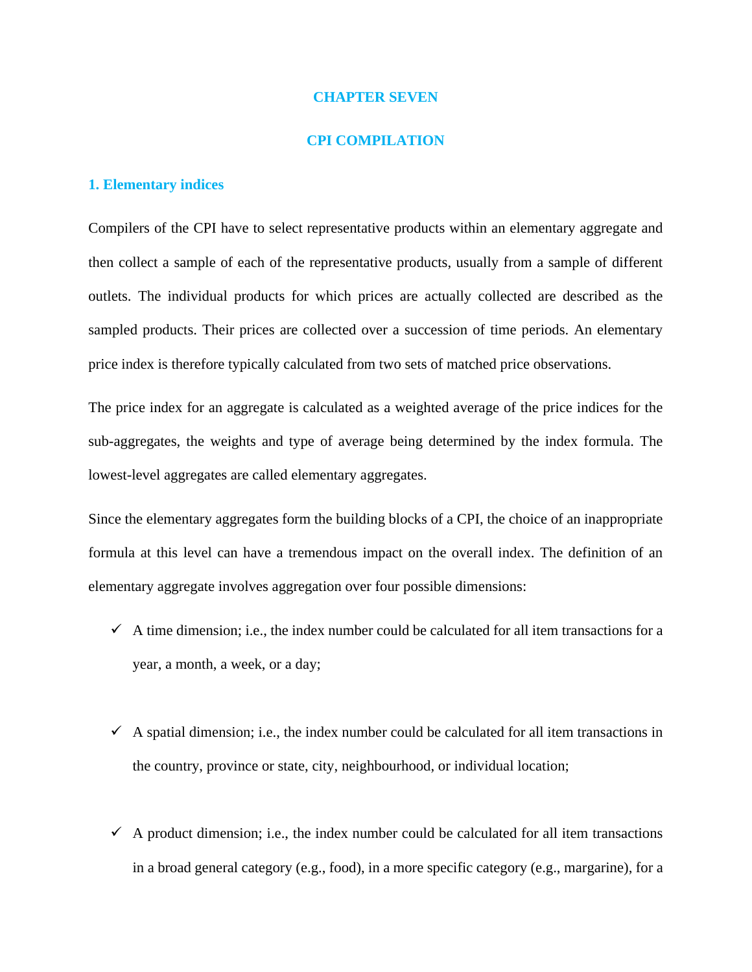### **CHAPTER SEVEN**

#### **CPI COMPILATION**

### **1. Elementary indices**

Compilers of the CPI have to select representative products within an elementary aggregate and then collect a sample of each of the representative products, usually from a sample of different outlets. The individual products for which prices are actually collected are described as the sampled products. Their prices are collected over a succession of time periods. An elementary price index is therefore typically calculated from two sets of matched price observations.

The price index for an aggregate is calculated as a weighted average of the price indices for the sub-aggregates, the weights and type of average being determined by the index formula. The lowest-level aggregates are called elementary aggregates.

Since the elementary aggregates form the building blocks of a CPI, the choice of an inappropriate formula at this level can have a tremendous impact on the overall index. The definition of an elementary aggregate involves aggregation over four possible dimensions:

- $\checkmark$  A time dimension; i.e., the index number could be calculated for all item transactions for a year, a month, a week, or a day;
- $\checkmark$  A spatial dimension; i.e., the index number could be calculated for all item transactions in the country, province or state, city, neighbourhood, or individual location;
- $\checkmark$  A product dimension; i.e., the index number could be calculated for all item transactions in a broad general category (e.g., food), in a more specific category (e.g., margarine), for a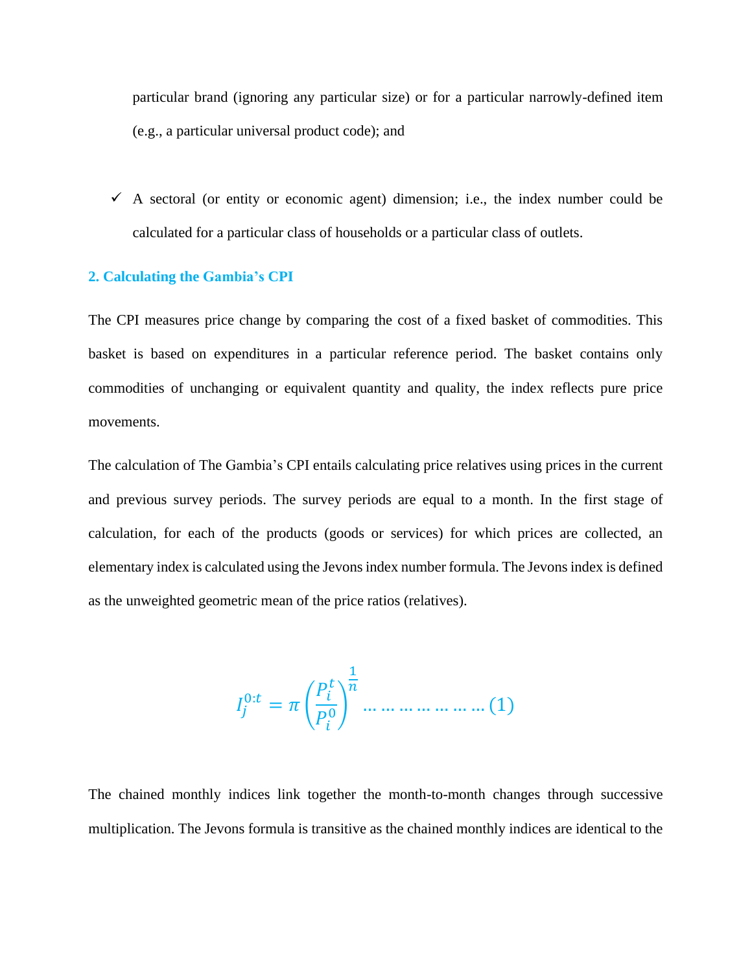particular brand (ignoring any particular size) or for a particular narrowly-defined item (e.g., a particular universal product code); and

 $\checkmark$  A sectoral (or entity or economic agent) dimension; i.e., the index number could be calculated for a particular class of households or a particular class of outlets.

# **2. Calculating the Gambia's CPI**

The CPI measures price change by comparing the cost of a fixed basket of commodities. This basket is based on expenditures in a particular reference period. The basket contains only commodities of unchanging or equivalent quantity and quality, the index reflects pure price movements.

The calculation of The Gambia's CPI entails calculating price relatives using prices in the current and previous survey periods. The survey periods are equal to a month. In the first stage of calculation, for each of the products (goods or services) for which prices are collected, an elementary index is calculated using the Jevons index number formula. The Jevons index is defined as the unweighted geometric mean of the price ratios (relatives).

 0: = ( 0 ) 1 … … … … … … … (1)

The chained monthly indices link together the month-to-month changes through successive multiplication. The Jevons formula is transitive as the chained monthly indices are identical to the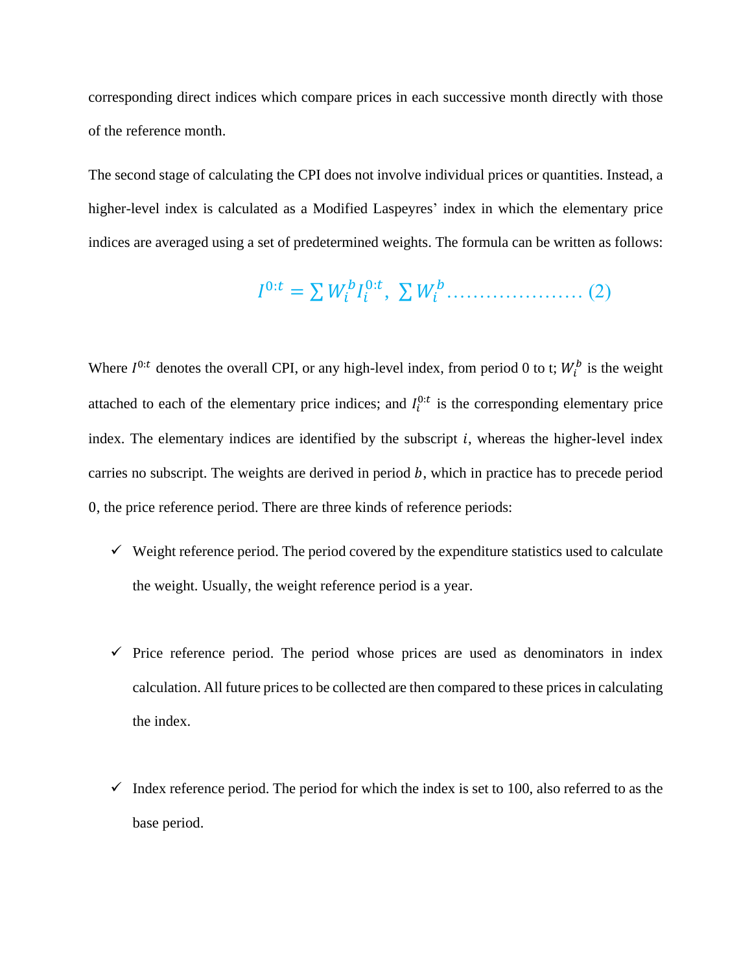corresponding direct indices which compare prices in each successive month directly with those of the reference month.

The second stage of calculating the CPI does not involve individual prices or quantities. Instead, a higher-level index is calculated as a Modified Laspeyres' index in which the elementary price indices are averaged using a set of predetermined weights. The formula can be written as follows:

 0: = ∑ 0: , ∑ ………………… (2)

Where  $I^{0:t}$  denotes the overall CPI, or any high-level index, from period 0 to t;  $W_i^b$  is the weight attached to each of the elementary price indices; and  $I_i^{0:t}$  is the corresponding elementary price index. The elementary indices are identified by the subscript  $i$ , whereas the higher-level index carries no subscript. The weights are derived in period  $b$ , which in practice has to precede period 0, the price reference period. There are three kinds of reference periods:

- $\checkmark$  Weight reference period. The period covered by the expenditure statistics used to calculate the weight. Usually, the weight reference period is a year.
- $\checkmark$  Price reference period. The period whose prices are used as denominators in index calculation. All future prices to be collected are then compared to these prices in calculating the index.
- $\checkmark$  Index reference period. The period for which the index is set to 100, also referred to as the base period.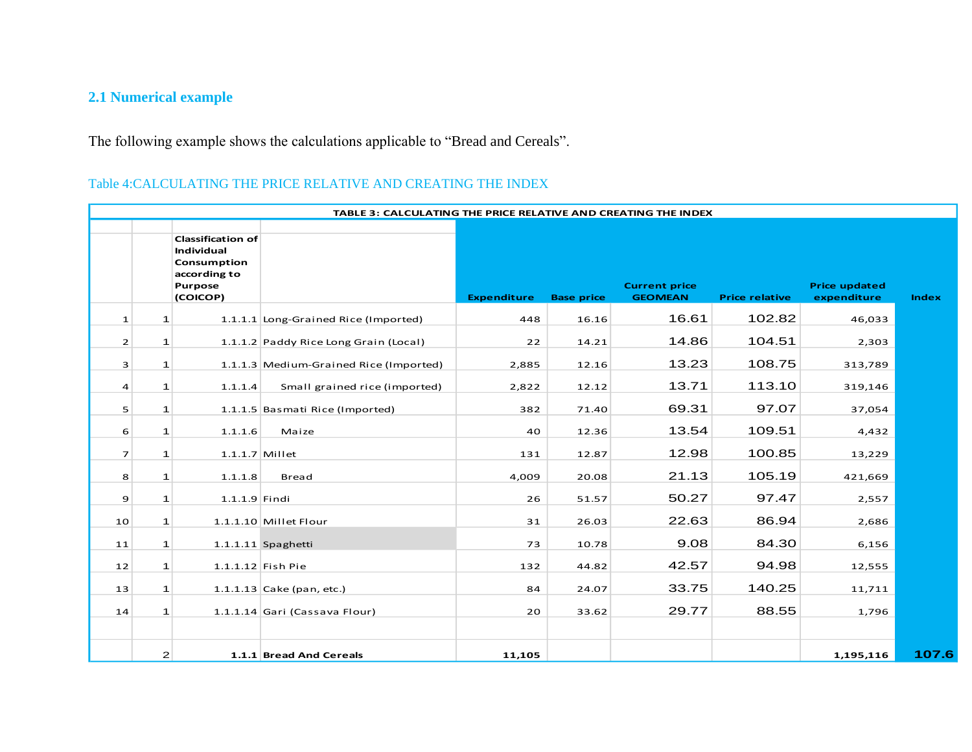# **2.1 Numerical example**

The following example shows the calculations applicable to "Bread and Cereals".

# Table 4:CALCULATING THE PRICE RELATIVE AND CREATING THE INDEX

|                | TABLE 3: CALCULATING THE PRICE RELATIVE AND CREATING THE INDEX |                                                                                              |                                        |                    |                   |                                        |                       |                                     |              |  |  |  |
|----------------|----------------------------------------------------------------|----------------------------------------------------------------------------------------------|----------------------------------------|--------------------|-------------------|----------------------------------------|-----------------------|-------------------------------------|--------------|--|--|--|
|                |                                                                | <b>Classification of</b><br>Individual<br>Consumption<br>according to<br>Purpose<br>(COICOP) |                                        | <b>Expenditure</b> | <b>Base price</b> | <b>Current price</b><br><b>GEOMEAN</b> | <b>Price relative</b> | <b>Price updated</b><br>expenditure | <b>Index</b> |  |  |  |
| $\mathbf{1}$   | $\mathbf{1}$                                                   |                                                                                              | 1.1.1.1 Long-Grained Rice (Imported)   | 448                | 16.16             | 16.61                                  | 102.82                | 46,033                              |              |  |  |  |
| $\overline{2}$ | $\mathbf{1}$                                                   |                                                                                              | 1.1.1.2 Paddy Rice Long Grain (Local)  | 22                 | 14.21             | 14.86                                  | 104.51                | 2,303                               |              |  |  |  |
| 3              | $\mathbf{1}$                                                   |                                                                                              | 1.1.1.3 Medium-Grained Rice (Imported) | 2,885              | 12.16             | 13.23                                  | 108.75                | 313,789                             |              |  |  |  |
| 4              | $\mathbf{1}$                                                   | 1.1.1.4                                                                                      | Small grained rice (imported)          | 2,822              | 12.12             | 13.71                                  | 113.10                | 319,146                             |              |  |  |  |
| 5              | $\mathbf{1}$                                                   |                                                                                              | 1.1.1.5 Basmati Rice (Imported)        | 382                | 71.40             | 69.31                                  | 97.07                 | 37,054                              |              |  |  |  |
| 6              | $\mathbf{1}$                                                   | 1.1.1.6                                                                                      | Maize                                  | 40                 | 12.36             | 13.54                                  | 109.51                | 4,432                               |              |  |  |  |
| $\overline{7}$ | $\mathbf{1}$                                                   | $1.1.1.7$ Millet                                                                             |                                        | 131                | 12.87             | 12.98                                  | 100.85                | 13,229                              |              |  |  |  |
| 8              | $\mathbf{1}$                                                   | 1.1.1.8                                                                                      | <b>Bread</b>                           | 4,009              | 20.08             | 21.13                                  | 105.19                | 421,669                             |              |  |  |  |
| 9              | $\mathbf{1}$                                                   | $1.1.1.9$ Findi                                                                              |                                        | 26                 | 51.57             | 50.27                                  | 97.47                 | 2,557                               |              |  |  |  |
| 10             | $\mathbf{1}$                                                   |                                                                                              | $1.1.1.10$ Millet Flour                | 31                 | 26.03             | 22.63                                  | 86.94                 | 2,686                               |              |  |  |  |
| 11             | $\mathbf{1}$                                                   |                                                                                              | 1.1.1.11 Spaghetti                     | 73                 | 10.78             | 9.08                                   | 84.30                 | 6,156                               |              |  |  |  |
| 12             | $\mathbf{1}$                                                   |                                                                                              | $1.1.1.12$ Fish Pie                    | 132                | 44.82             | 42.57                                  | 94.98                 | 12,555                              |              |  |  |  |
| 13             | $\mathbf{1}$                                                   |                                                                                              | 1.1.1.13 Cake (pan, etc.)              | 84                 | 24.07             | 33.75                                  | 140.25                | 11,711                              |              |  |  |  |
| 14             | 1                                                              |                                                                                              | 1.1.1.14 Gari (Cassava Flour)          | 20                 | 33.62             | 29.77                                  | 88.55                 | 1,796                               |              |  |  |  |
|                |                                                                |                                                                                              |                                        |                    |                   |                                        |                       |                                     |              |  |  |  |
|                | $\mathbf{2}$                                                   |                                                                                              | 1.1.1 Bread And Cereals                | 11,105             |                   |                                        |                       | 1,195,116                           | 107.6        |  |  |  |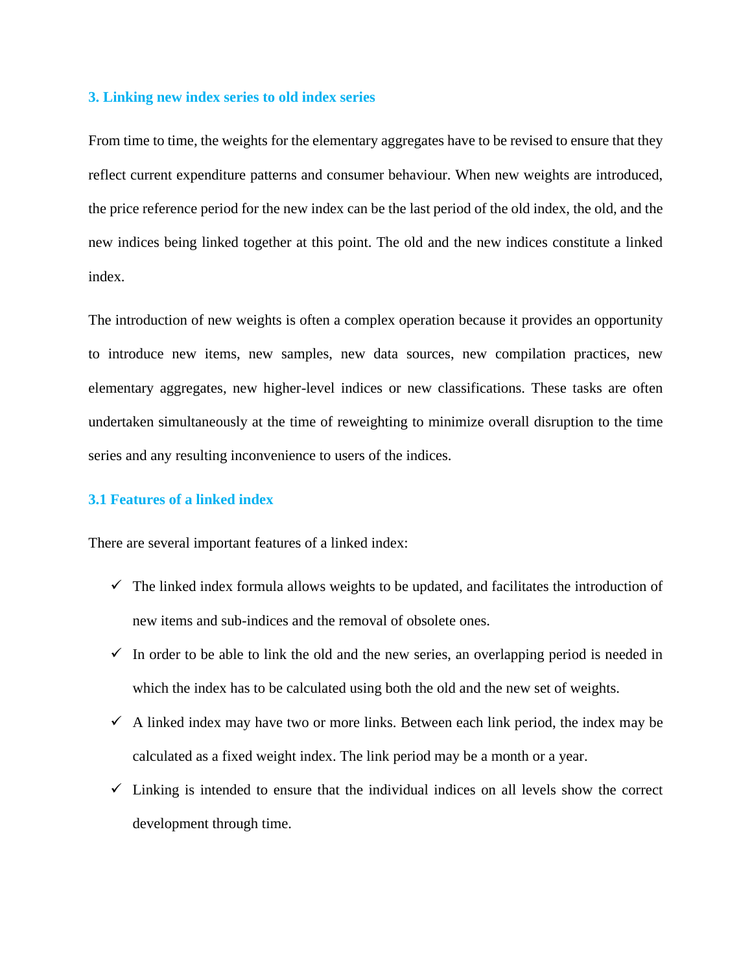# **3. Linking new index series to old index series**

From time to time, the weights for the elementary aggregates have to be revised to ensure that they reflect current expenditure patterns and consumer behaviour. When new weights are introduced, the price reference period for the new index can be the last period of the old index, the old, and the new indices being linked together at this point. The old and the new indices constitute a linked index.

The introduction of new weights is often a complex operation because it provides an opportunity to introduce new items, new samples, new data sources, new compilation practices, new elementary aggregates, new higher-level indices or new classifications. These tasks are often undertaken simultaneously at the time of reweighting to minimize overall disruption to the time series and any resulting inconvenience to users of the indices.

# **3.1 Features of a linked index**

There are several important features of a linked index:

- $\checkmark$  The linked index formula allows weights to be updated, and facilitates the introduction of new items and sub-indices and the removal of obsolete ones.
- $\checkmark$  In order to be able to link the old and the new series, an overlapping period is needed in which the index has to be calculated using both the old and the new set of weights.
- $\checkmark$  A linked index may have two or more links. Between each link period, the index may be calculated as a fixed weight index. The link period may be a month or a year.
- $\checkmark$  Linking is intended to ensure that the individual indices on all levels show the correct development through time.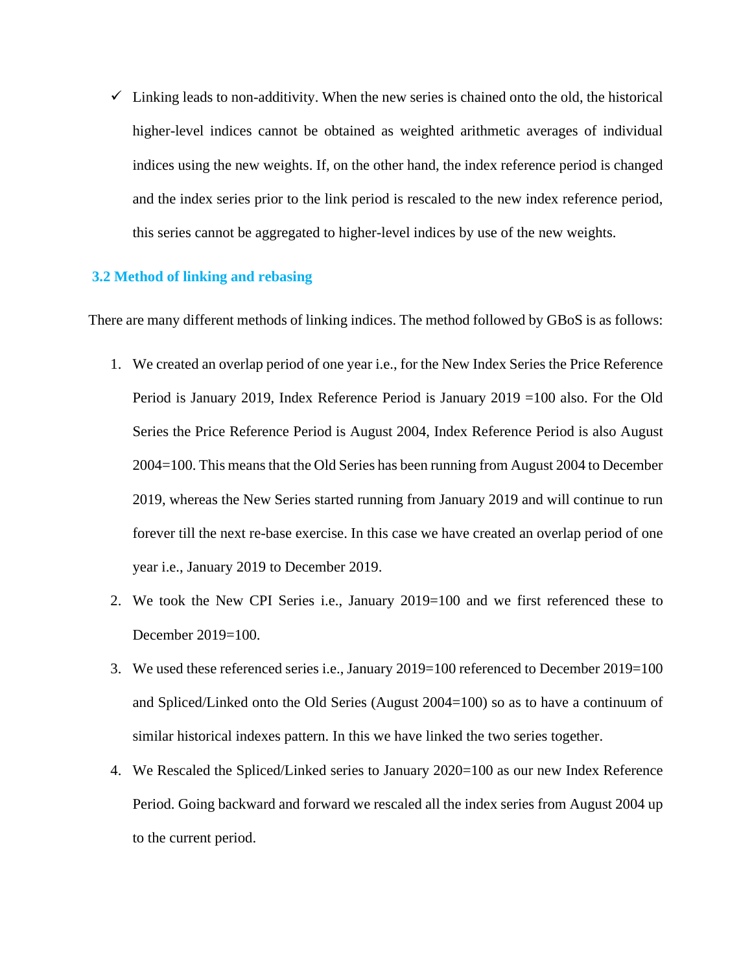$\checkmark$  Linking leads to non-additivity. When the new series is chained onto the old, the historical higher-level indices cannot be obtained as weighted arithmetic averages of individual indices using the new weights. If, on the other hand, the index reference period is changed and the index series prior to the link period is rescaled to the new index reference period, this series cannot be aggregated to higher-level indices by use of the new weights.

# **3.2 Method of linking and rebasing**

There are many different methods of linking indices. The method followed by GBoS is as follows:

- 1. We created an overlap period of one year i.e., for the New Index Series the Price Reference Period is January 2019, Index Reference Period is January 2019 =100 also. For the Old Series the Price Reference Period is August 2004, Index Reference Period is also August 2004=100. This means that the Old Series has been running from August 2004 to December 2019, whereas the New Series started running from January 2019 and will continue to run forever till the next re-base exercise. In this case we have created an overlap period of one year i.e., January 2019 to December 2019.
- 2. We took the New CPI Series i.e., January 2019=100 and we first referenced these to December 2019=100.
- 3. We used these referenced series i.e., January 2019=100 referenced to December 2019=100 and Spliced/Linked onto the Old Series (August 2004=100) so as to have a continuum of similar historical indexes pattern. In this we have linked the two series together.
- 4. We Rescaled the Spliced/Linked series to January 2020=100 as our new Index Reference Period. Going backward and forward we rescaled all the index series from August 2004 up to the current period.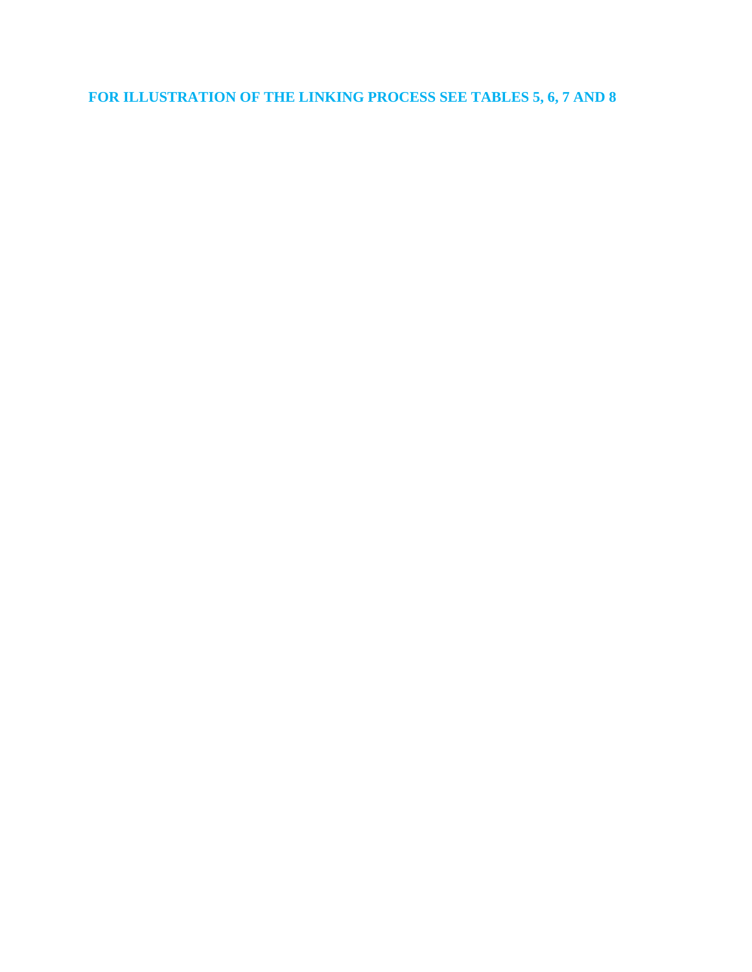**FOR ILLUSTRATION OF THE LINKING PROCESS SEE TABLES 5, 6, 7 AND 8**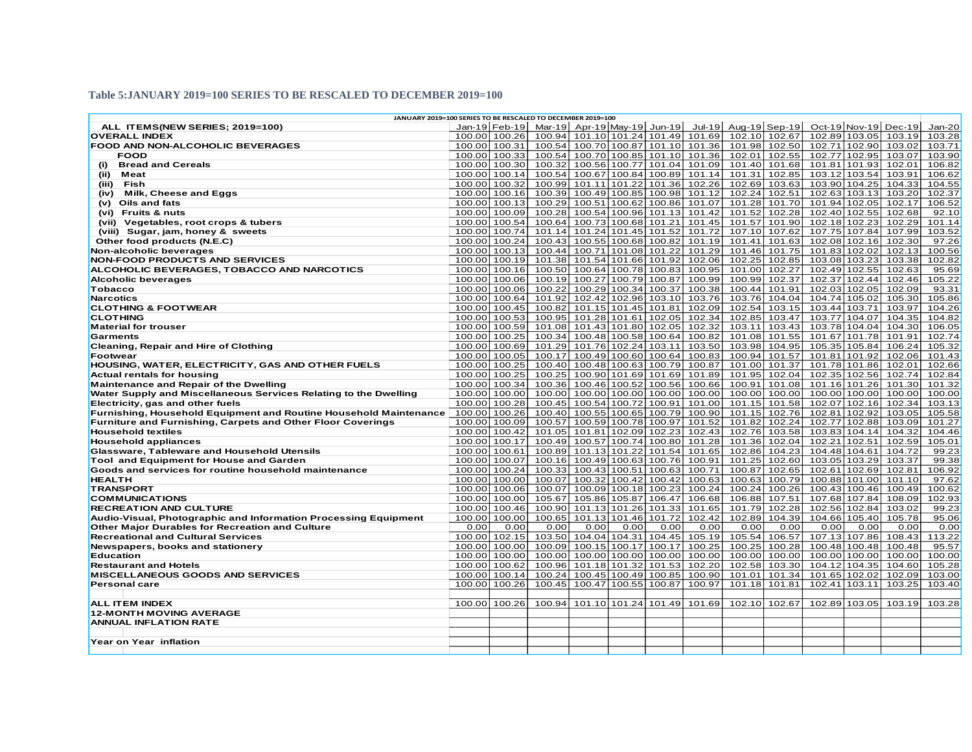#### **Table 5:JANUARY 2019=100 SERIES TO BE RESCALED TO DECEMBER 2019=100**

| JANUARY 2019=100 SERIES TO BE RESCALED TO DECEMBER 2019=100                                            |                                |               |                      |        |               |                                                     |                                   |                      |                                |               |                                |                      |                 |
|--------------------------------------------------------------------------------------------------------|--------------------------------|---------------|----------------------|--------|---------------|-----------------------------------------------------|-----------------------------------|----------------------|--------------------------------|---------------|--------------------------------|----------------------|-----------------|
| ALL ITEMS(NEW SERIES; 2019=100)                                                                        |                                |               | Jan-19 Feb-19 Mar-19 |        |               | Apr-19 May-19 Jun-19                                |                                   | Jul-19 Aug-19 Sep-19 |                                |               |                                | Oct-19 Nov-19 Dec-19 | $Jan-20$        |
| <b>OVERALL INDEX</b>                                                                                   |                                | 100.00 100.26 | 100.94               |        |               |                                                     | 101.10 101.24 101.49 101.69       |                      | 102.10 102.67                  |               | 102.89 103.05                  | 103.19               | 103.28          |
| <b>FOOD AND NON-ALCOHOLIC BEVERAGES</b>                                                                | 100.00 100.31                  |               | 100.54               |        |               |                                                     | 100.70 100.87 101.10 101.36       |                      | 101.98 102.50                  |               |                                | 102.71 102.90 103.02 | 103.71          |
| <b>FOOD</b>                                                                                            |                                | 100.00 100.33 | 100.54               |        |               |                                                     | 100.70 100.85 101.10 101.36       |                      | 102.01 102.55                  |               | 102.77 102.95                  | 103.07               | 103.90          |
| <b>Bread and Cereals</b><br>(i)                                                                        |                                | 100.00 100.30 | 100.32               |        |               |                                                     | 100.56 100.77 101.04 101.09       |                      | 101.40 101.68                  |               | 101.81 101.93                  | 102.01               | 106.82          |
| Meat<br>(ii)                                                                                           |                                | 100.00 100.14 | 100.54               |        |               |                                                     | 100.67   100.84   100.89   101.14 |                      | 101.31 102.85                  |               | 103.12 103.54                  | 103.91               | 106.62          |
| (iii)<br>Fish                                                                                          |                                | 100.00 100.32 | 100.99               |        |               |                                                     | 101.11 101.22 101.36 102.26       |                      | 102.69 103.63                  |               | 103.90 104.25                  | 104.33               | 104.55          |
| (iv) Milk, Cheese and Eggs                                                                             |                                | 100.00 100.16 | 100.39               |        |               | 100.49 100.85 100.98 101.12                         |                                   |                      | 102.24 102.51                  |               | 102.63 103.13                  | 103.20               | 102.37          |
| (v) Oils and fats                                                                                      |                                | 100.00 100.13 | 100.29               |        |               | 100.51 100.62 100.86 101.07                         |                                   |                      | 101.28 101.70                  |               | 101.94 102.05                  | 102.17               | 106.52          |
| (vi) Fruits & nuts                                                                                     | 100.00 100.09                  |               | 100.28               |        |               |                                                     | 100.54 100.96 101.13 101.42       |                      | 101.52 102.28                  |               | 102.40 102.55                  | 102.68               | 92.10           |
| (vii) Vegetables, root crops & tubers                                                                  |                                | 100.00 100.54 | 100.64               |        |               | 100.73 100.68 101.21                                | 101.45                            |                      | 101.57 101.90                  |               | 102.18 102.23                  | 102.29               | 101.14          |
| (viii) Sugar, jam, honey & sweets                                                                      |                                | 100.00 100.74 | 101.14               |        |               | 101.24 101.45 101.52                                | 101.72                            |                      | 107.10 107.62                  |               | 107.75 107.84                  | 107.99               | 103.52          |
| Other food products (N.E.C)                                                                            |                                | 100.00 100.24 | 100.43               |        |               | 100.55 100.68 100.82                                | 101.19                            |                      | 101.41 101.63                  |               | 102.08 102.16                  | 102.30               | 97.26           |
| Non-alcoholic beverages                                                                                | 100.00 100.13                  |               | 100.44               |        |               | 100.71 101.08 101.22                                | 101.29                            |                      | 101.46 101.75                  | 101.83 102.02 |                                | 102.13               | 100.56          |
| <b>NON-FOOD PRODUCTS AND SERVICES</b>                                                                  |                                | 100.00 100.19 | 101.38               |        |               | 101.54 101.66 101.92                                | 102.06                            |                      | 102.25 102.85                  |               | 103.08 103.23                  | 103.38               | 102.82          |
| ALCOHOLIC BEVERAGES, TOBACCO AND NARCOTICS                                                             |                                | 100.00 100.16 | 100.50               |        |               | 100.64 100.78 100.83                                | 100.95                            |                      | 101.00 102.27                  |               | 102.49 102.55                  | 102.63               | 95.69           |
| Alcoholic beverages                                                                                    |                                | 100.00 100.06 | 100.19               |        |               | 100.27 100.79 100.87                                | 100.99                            |                      | 100.99 102.37                  |               | 102.37 102.44                  | 102.46               | 105.22          |
| <b>Tobacco</b>                                                                                         |                                | 100.00 100.06 | 100.22               |        |               | 100.29 100.34 100.37                                | 100.38                            |                      | 100.44 101.91                  |               | 102.03 102.05                  | 102.09               | 93.31           |
| <b>Narcotics</b>                                                                                       |                                | 100.00 100.64 | 101.92               |        |               |                                                     | 102.42 102.96 103.10 103.76       |                      | 103.76 104.04                  |               | 104.74 105.02                  | 105.30               | 105.86          |
| <b>CLOTHING &amp; FOOTWEAR</b>                                                                         |                                | 100.00 100.45 | 100.82               |        |               | 101.15 101.45 101.81                                | 102.09                            |                      | 102.54 103.15                  | 103.44 103.71 |                                | 103.97               | 104.26          |
| <b>CLOTHING</b>                                                                                        |                                | 100.00 100.53 | 100.95               |        |               | 101.28 101.61 102.05 102.34                         |                                   |                      | 102.85 103.47                  |               | 103.77 104.07                  | 104.35               | 104.82          |
| <b>Material for trouser</b>                                                                            |                                | 100.00 100.59 | 101.08               |        |               | 101.43 101.80 102.05 102.32                         |                                   |                      | 103.11 103.43                  |               | 103.78 104.04                  | 104.30               | 106.05          |
| Garments                                                                                               |                                | 100.00 100.25 | 100.34               |        |               | 100.48 100.58 100.64                                | 100.82                            |                      | 101.08 101.55                  |               | 101.67 101.78                  | 101.91               | 102.74          |
| <b>Cleaning, Repair and Hire of Clothing</b>                                                           |                                | 100.00 100.69 | 101.29               |        |               | 101.76 102.24 103.11                                | 103.50                            |                      | 103.98 104.95                  |               | 105.35 105.84                  | 106.24               | 105.32          |
| <b>Footwear</b>                                                                                        | 100.00 100.05                  |               | 100.17               |        |               | 100.49 100.60 100.64                                | 100.83                            |                      | 100.94 101.57                  |               | 101.81 101.92                  | 102.06               | 101.43          |
| HOUSING, WATER, ELECTRICITY, GAS AND OTHER FUELS                                                       |                                | 100.00 100.25 | 100.40               |        |               | 100.48 100.63 100.79                                | 100.87                            |                      | 101.00 101.37                  |               | 101.78 101.86                  | 102.01               | 102.66          |
| <b>Actual rentals for housing</b>                                                                      |                                | 100.00 100.25 | 100.25               |        |               |                                                     | 100.90 101.69 101.69 101.89       |                      | 101.95 102.04                  |               | 102.35 102.56                  | 102.74               | 102.84          |
| Maintenance and Repair of the Dwelling                                                                 |                                | 100.00 100.34 | 100.36               |        |               | 100.46 100.52 100.56                                | 100.66                            |                      | 100.91 101.08                  |               | 101.16 101.26                  | 101.30               | 101.32          |
| Water Supply and Miscellaneous Services Relating to the Dwelling                                       |                                | 100.00 100.00 | 100.00               |        |               | 100.00 100.00 100.00                                | 100.00                            |                      | 100.00 100.00                  |               | 100.00 100.00                  | 100.00               | 100.00          |
| Electricity, gas and other fuels                                                                       |                                | 100.00 100.28 | 100.45               |        |               | 100.54 100.72 100.91                                | 101.00                            |                      | 101.15 101.58                  |               | 102.07 102.16                  | 102.34               | 103.13          |
| Furnishing, Household Equipment and Routine Household Maintenance                                      |                                | 100.00 100.26 | 100.40               |        |               | 100.55 100.65 100.79                                | 100.90                            |                      | 101.15 102.76                  |               | 102.81 102.92                  | 103.05               | 105.58          |
| <b>Furniture and Furnishing, Carpets and Other Floor Coverings</b>                                     | 100.00 100.09                  |               | 100.57               |        |               | 100.59 100.78 100.97                                | 101.52                            | 101.82               | 102.24                         |               | 102.77 102.88                  | 103.09               | 101.27          |
| <b>Household textiles</b>                                                                              |                                | 100.00 100.42 | 101.05               | 101.81 |               | 102.09 102.23                                       | 102.43                            |                      | 102.76 103.58                  |               | 103.83 104.14                  | 104.32               | 104.46          |
| <b>Household appliances</b>                                                                            | 100.00 100.17                  |               | 100.49               |        |               | 100.57 100.74 100.80                                | 101.28                            |                      | 101.36 102.04                  | 102.21 102.51 |                                | 102.59               | 105.01          |
| Glassware, Tableware and Household Utensils                                                            | 100.00 100.61                  |               | 100.89               |        |               | 101.13 101.22 101.54                                | 101.65                            |                      | 102.86 104.23                  |               | 104.48 104.61                  | 104.72               | 99.23           |
| <b>Tool and Equipment for House and Garden</b><br>Goods and services for routine household maintenance | 100.00 100.07<br>100.00 100.24 |               | 100.16<br>100.33     |        |               | 100.49 100.63 100.76 100.91<br>100.43 100.51 100.63 | 100.71                            |                      | 101.25 102.60<br>100.87 102.65 |               | 103.05 103.29<br>102.61 102.69 | 103.37<br>102.81     | 99.38<br>106.92 |
| <b>HEALTH</b>                                                                                          |                                | 100.00 100.00 | 100.07               |        |               | 100.32 100.42 100.42                                | 100.63                            |                      | 100.63 100.79                  |               | 100.88 101.00                  | 101.10               | 97.62           |
| <b>TRANSPORT</b>                                                                                       |                                | 100.00 100.06 | 100.07               |        |               | 100.09 100.18 100.23                                | 100.24                            | 100.24               | 100.26                         |               | 100.43 100.46                  | 100.49               | 100.62          |
| <b>COMMUNICATIONS</b>                                                                                  |                                | 100.00 100.00 | 105.67               |        | 105.86 105.87 | 106.47                                              | 106.68                            |                      | 106.88 107.51                  |               | 107.68 107.84                  | 108.09               | 102.93          |
| <b>RECREATION AND CULTURE</b>                                                                          |                                | 100.00 100.46 | 100.90               |        |               | 101.13 101.26 101.33                                | 101.65                            | 101.79               | 102.28                         |               | 102.56 102.84                  | 103.02               | 99.23           |
| Audio-Visual, Photographic and Information Processing Equipment                                        | 100.00 100.00                  |               | 100.65               | 101.13 | 101.46        | 101.72                                              | 102.42                            | 102.89               | 104.39                         | 104.66        | 105.40                         | 105.78               | 95.06           |
| Other Major Durables for Recreation and Culture                                                        | 0.00                           | 0.00          | 0.00                 | 0.00   | 0.00          | 0.00                                                | 0.00                              | 0.00                 | 0.00                           | 0.00          | 0.00                           | 0.00                 | 0.00            |
| <b>Recreational and Cultural Services</b>                                                              |                                | 100.00 102.15 | 103.50               |        |               | 104.04 104.31 104.45                                | 105.19                            | 105.54               | 106.57                         |               | 107.13 107.86                  | 108.43               | 113.22          |
| Newspapers, books and stationery                                                                       |                                | 100.00 100.00 | 100.09               |        | 100.15 100.17 | 100.17                                              | 100.25                            | 100.25               | 100.28                         | 100.48        | 100.48                         | 100.48               | 95.57           |
| <b>Education</b>                                                                                       |                                | 100.00 100.00 | 100.00               |        |               | 100.00 100.00 100.00                                | 100.00                            |                      | 100.00 100.00                  |               | 100.00 100.00                  | 100.00               | 100.00          |
| <b>Restaurant and Hotels</b>                                                                           | 100.00 100.62                  |               | 100.96               |        | 101.18 101.32 | 101.53                                              | 102.20                            | 102.58               | 103.30                         |               | 104.12 104.35                  | 104.60               | 105.28          |
| <b>MISCELLANEOUS GOODS AND SERVICES</b>                                                                | 100.00 100.14                  |               | 100.24               |        | 100.45 100.49 | 100.85                                              | 100.90                            | 101.01               | 101.34                         | 101.65        | 102.02                         | 102.09               | 103.00          |
| <b>Personal care</b>                                                                                   | 100.00 100.26                  |               | 100.45               | 100.47 | 100.55        | 100.87                                              | 100.97                            | 101.18               | 101.81                         | 102.41 103.11 |                                | 103.25               | 103.40          |
|                                                                                                        |                                |               |                      |        |               |                                                     |                                   |                      |                                |               |                                |                      |                 |
| <b>ALL ITEM INDEX</b>                                                                                  |                                | 100.00 100.26 | 100.94               |        |               | 101.10 101.24 101.49                                | 101.69                            |                      | 102.10 102.67                  |               | 102.89 103.05                  | 103.19               | 103.28          |
| <b>12-MONTH MOVING AVERAGE</b>                                                                         |                                |               |                      |        |               |                                                     |                                   |                      |                                |               |                                |                      |                 |
| <b>ANNUAL INFLATION RATE</b>                                                                           |                                |               |                      |        |               |                                                     |                                   |                      |                                |               |                                |                      |                 |
|                                                                                                        |                                |               |                      |        |               |                                                     |                                   |                      |                                |               |                                |                      |                 |
| Year on Year inflation                                                                                 |                                |               |                      |        |               |                                                     |                                   |                      |                                |               |                                |                      |                 |
|                                                                                                        |                                |               |                      |        |               |                                                     |                                   |                      |                                |               |                                |                      |                 |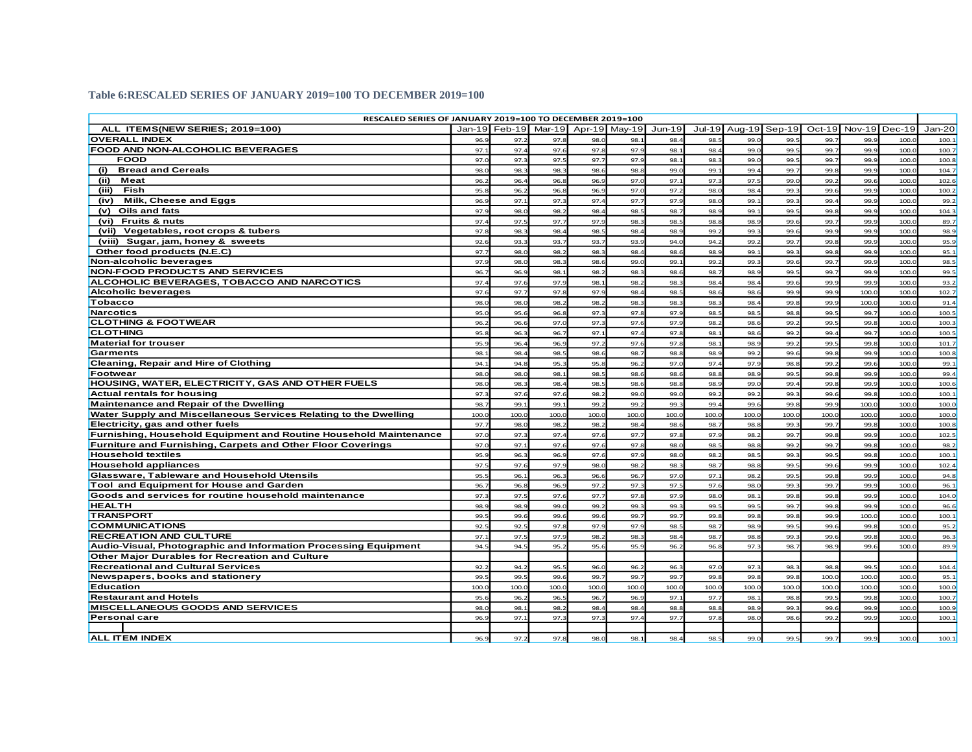#### **Table 6:RESCALED SERIES OF JANUARY 2019=100 TO DECEMBER 2019=100**

| RESCALED SERIES OF JANUARY 2019=100 TO DECEMBER 2019=100          |                 |                                    |      |       |       |          |        |       |               |          |               |       |        |
|-------------------------------------------------------------------|-----------------|------------------------------------|------|-------|-------|----------|--------|-------|---------------|----------|---------------|-------|--------|
| ALL ITEMS(NEW SERIES: 2019=100)                                   |                 | Jan-19 Feb-19 Mar-19 Apr-19 Mav-19 |      |       |       | $Jun-19$ | Jul-19 |       | Aug-19 Sep-19 | $Oct-19$ | Nov-19 Dec-19 |       | Jan-20 |
| <b>OVERALL INDEX</b>                                              | 96.9            | 97.2                               | 97.8 | 98.0  | 98.1  | 98.4     | 98.5   | 99.0  | 99.           | 99.7     | 99.9          | 100.0 | 100.1  |
| FOOD AND NON-ALCOHOLIC BEVERAGES                                  | 97.1            | 97.4                               | 97.6 | 97.8  | 97.9  | 98.1     | 98.4   | 99.0  | 99.5          | 99.7     | 99.9          | 100.0 | 100.7  |
| <b>FOOD</b>                                                       | 97.C            | 97.3                               | 97.5 | 97.7  | 97.9  | 98.1     | 98.3   | 99.0  | 99.           | 99.7     | 99.9          | 100.0 | 100.8  |
| <b>Bread and Cereals</b><br>(i)                                   | 98.0            | 98.3                               | 98.  | 98.6  | 98.8  | 99.0     | 99.1   | 99.4  | 99.           | 99.8     | 99.9          | 100.  | 104.7  |
| (ii)<br>Meat                                                      | 96.2            | 96.4                               | 96.8 | 96.9  | 97.C  | 97.1     | 97.    | 97.   | 99.0          | 99.2     | 99.6          | 100.  | 102.6  |
| (iii)<br>Fish                                                     | 95.             | 96.2                               | 96.8 | 96.   | 97.C  | 97.2     | 98.0   | 98.   | 99.           | 99.6     | 99.9          | 100.  | 100.2  |
| Milk, Cheese and Eggs<br>(iv)                                     | 96.9            | 97.1                               | 97.  | 97.4  | 97.7  | 97.9     | 98.C   | 99.1  | 99.           | 99.4     | 99.9          | 100.  | 99.2   |
| Oils and fats<br>(v)                                              | 97.9            | 98.0                               | 98.2 | 98.4  | 98.5  | 98.7     | 98.9   | 99.1  | 99.           | 99.8     | 99.9          | 100.0 | 104.3  |
| <b>Fruits &amp; nuts</b><br>(vi)                                  | 97.4            | 97.5                               | 97.7 | 97.9  | 98.3  | 98.5     | 98.8   | 98.9  | 99.6          | 99.7     | 99.S          | 100.0 | 89.7   |
| Vegetables, root crops & tubers<br>(vii)                          | 97.8            | 98.3                               | 98.4 | 98.5  | 98.4  | 98.9     | 99.2   | 99.3  | 99.6          | 99.9     | 99.9          | 100.0 | 98.9   |
| (viii) Sugar, jam, honey & sweets                                 | 92.6            | 93.3                               | 93.7 | 93.7  | 93.9  | 94.0     | 94.2   | 99.2  | 99.7          | 99.8     | 99.9          | 100.0 | 95.9   |
| Other food products (N.E.C)                                       | 97.7            | 98.0                               | 98.2 | 98.3  | 98.4  | 98.6     | 98.9   | 99.1  | 99.           | 99.8     | 99.9          | 100.0 | 95.1   |
| Non-alcoholic beverages                                           | 97.             | 98.C                               | 98.  | 98.   | 99.C  | 99.      | 99.2   | 99.3  | 99.6          | 99.7     | 99.9          | 100.  | 98.5   |
| <b>NON-FOOD PRODUCTS AND SERVICES</b>                             | 96.7            | 96.9                               | 98.  | 98.2  | 98.3  | 98.6     | 98.7   | 98.9  | 99.           | 99.7     | 99.9          | 100.  | 99.5   |
| ALCOHOLIC BEVERAGES, TOBACCO AND NARCOTICS                        | 97.4            | 97.6                               | 97.9 | 98.1  | 98.2  | 98.3     | 98.4   | 98.4  | 99.6          | 99.9     | 99.9          | 100.  | 93.2   |
| <b>Alcoholic beverages</b>                                        | 97.6            | 97.7                               | 97.8 | 97.9  | 98.4  | 98.5     | 98.6   | 98.6  | 99.9          | 99.9     | 100.0         | 100.  | 102.7  |
| <b>Tobacco</b>                                                    | 98.0            | 98.0                               | 98.2 | 98.2  | 98.3  | 98.3     | 98.3   | 98.4  | 99.8          | 99.9     | 100.C         | 100.0 | 91.4   |
| <b>Narcotics</b>                                                  | 95 <sub>c</sub> | 95.6                               | 96.8 | 97.3  | 97.8  | 97.9     | 98.5   | 98.5  | 98.8          | 99.5     | 99.7          | 100.0 | 100.5  |
| <b>CLOTHING &amp; FOOTWEAR</b>                                    | 96.2            | 96.6                               | 97.0 | 97.3  | 97.6  | 97.9     | 98.2   | 98.6  | 99.2          | 99.5     | 99.8          | 100.0 | 100.3  |
| <b>CLOTHING</b>                                                   | 95.8            | 96.3                               | 96.  | 97.1  | 97.4  | 97.8     | 98.1   | 98.6  | 99.           | 99.4     | 99.7          | 100.  | 100.5  |
| <b>Material for trouser</b>                                       | 95.9            | 96.4                               | 96.9 | 97.2  | 97.6  | 97.8     | 98.1   | 98.9  | 99.           | 99.5     | 99.8          | 100.  | 101.7  |
| Garments                                                          | 98.1            | 98.4                               | 98.  | 98.6  | 98.7  | 98.8     | 98.9   | 99.2  | 99.6          | 99.8     | 99.S          | 100.  | 100.8  |
| Cleaning, Repair and Hire of Clothing                             | 94.1            | 94.8                               | 95.  | 95.8  | 96.2  | 97.0     | 97.4   | 97.9  | 98.8          | 99.2     | 99.6          | 100.0 | 99.1   |
| Footwear                                                          | 98.0            | 98.0                               | 98.3 | 98.   | 98.6  | 98.6     | 98.8   | 98.9  | 99.5          | 99.8     | 99.9          | 100.0 | 99.4   |
| HOUSING, WATER, ELECTRICITY, GAS AND OTHER FUELS                  | 98.C            | 98.3                               | 98.4 | 98.5  | 98.6  | 98.8     | 98.9   | 99.0  | 99.4          | 99.8     | 99.9          | 100.0 | 100.6  |
| <b>Actual rentals for housing</b>                                 | 97.3            | 97.6                               | 97.6 | 98.2  | 99.0  | 99.0     | 99.2   | 99.2  | 99.3          | 99.6     | 99.8          | 100.0 | 100.1  |
| Maintenance and Repair of the Dwelling                            | 98.             | 99.                                | 99.  | 99.2  | 99.2  | 99.3     | 99.4   | 99.6  | 99.           | 99.9     | 100.0         | 100.  | 100.0  |
| Water Supply and Miscellaneous Services Relating to the Dwelling  | 100.0           | 100.0                              | 100. | 100.C | 100.0 | 100.0    | 100.0  | 100.0 | 100.          | 100.C    | 100.0         | 100.  | 100.0  |
| Electricity, gas and other fuels                                  | 97.7            | 98.0                               | 98.2 | 98.2  | 98.4  | 98.6     | 98.7   | 98.8  | 99.           | 99.7     | 99.8          | 100.0 | 100.8  |
| Furnishing, Household Equipment and Routine Household Maintenance | 97.C            | 97.3                               | 97.  | 97.6  | 97.7  | 97.8     | 97.9   | 98.2  | 99.7          | 99.8     | 99.9          | 100.0 | 102.5  |
| Furniture and Furnishing, Carpets and Other Floor Coverings       | 97.0            | 97.1                               | 97.  | 97.6  | 97.8  | 98.0     | 98.    | 98.8  | 99.2          | 99.7     | 99.8          | 100.  | 98.2   |
| <b>Household textiles</b>                                         | 95.9            | 96.3                               | 96.9 | 97.6  | 97.9  | 98.C     | 98.2   | 98.5  | 99.3          | 99.5     | 99.8          | 100.0 | 100.1  |
| <b>Household appliances</b>                                       | 97.5            | 97.6                               | 97.9 | 98.C  | 98.2  | 98.3     | 98.7   | 98.8  | 99.5          | 99.6     | 99.9          | 100.0 | 102.4  |
| Glassware, Tableware and Household Utensils                       | 95.5            | 96.1                               | 96.  | 96.6  | 96.7  | 97.0     | 97.1   | 98.2  | 99.           | 99.8     | 99.9          | 100.0 | 94.8   |
| Tool and Equipment for House and Garden                           | 96.7            | 96.8                               | 96.9 | 97.2  | 97.3  | 97.5     | 97.6   | 98.C  | 99.           | 99.7     | 99.9          | 100.  | 96.1   |
| Goods and services for routine household maintenance              | 97.3            | 97.5                               | 97.  | 97.7  | 97.8  | 97.      | 98.0   | 98.1  | 99.8          | 99.8     | 99.9          | 100.  | 104.0  |
| <b>HEALTH</b>                                                     | 98.9            | 98.9                               | 99.0 | 99.2  | 99.3  | 99.3     | 99.5   | 99.5  | 99.7          | 99.8     | 99.9          | 100.  | 96.6   |
| <b>TRANSPORT</b>                                                  | 99.             | 99.6                               | 99.6 | 99.6  | 99.7  | 99.7     | 99.8   | 99.8  | 99.8          | 99.9     | 100.0         | 100.  | 100.1  |
| <b>COMMUNICATIONS</b>                                             | 92.5            | 92.5                               | 97.8 | 97.9  | 97.S  | 98.5     | 98.7   | 98.9  | 99.5          | 99.6     | 99.8          | 100.0 | 95.2   |
| <b>RECREATION AND CULTURE</b>                                     | 97.1            | 97.5                               | 97.9 | 98.2  | 98.3  | 98.4     | 98.7   | 98.8  | 99.           | 99.6     | 99.8          | 100.0 | 96.3   |
| Audio-Visual, Photographic and Information Processing Equipment   | 94.             | 94.5                               | 95.2 | 95.6  | 95.9  | 96.2     | 96.8   | 97.3  | 98.7          | 98.9     | 99.6          | 100.  | 89.9   |
| Other Major Durables for Recreation and Culture                   |                 |                                    |      |       |       |          |        |       |               |          |               |       |        |
| <b>Recreational and Cultural Services</b>                         | 92.             | 94.2                               | 95.  | 96.0  | 96.   | 96.      | 97.    | 97.3  | 98.           | 98.8     | 99.5          | 100.  | 104.4  |
| Newspapers, books and stationery                                  | 99.             | 99.                                | 99.6 | 99.7  | 99.7  | 99.7     | 99.8   | 99.8  | 99.8          | 100.C    | 100.0         | 100.  | 95.1   |
| <b>Education</b>                                                  | 100.0           | 100.0                              | 100. | 100.0 | 100.0 | 100.0    | 100.0  | 100.0 | 100.          | 100.0    | 100.0         | 100.  | 100.0  |
| <b>Restaurant and Hotels</b>                                      | 95.6            | 96.2                               | 96.  | 96.7  | 96.9  | 97.1     | 97.7   | 98.1  | 98.8          | 99.5     | 99.8          | 100.  | 100.7  |
| <b>MISCELLANEOUS GOODS AND SERVICES</b>                           | 98.C            | 98.1                               | 98.7 | 98.4  | 98.4  | 98.8     | 98.8   | 98.9  | 99.3          | 99.6     | 99.9          | 100.0 | 100.9  |
| <b>Personal care</b>                                              | 96.9            | 97.1                               | 97.3 | 97.3  | 97.4  | 97.7     | 97.8   | 98.0  | 98.6          | 99.2     | 99.9          | 100.0 | 100.1  |
|                                                                   |                 |                                    |      |       |       |          |        |       |               |          |               |       |        |
| <b>ALL ITEM INDEX</b>                                             | 96.9            | 97.2                               | 97.8 | 98.0  | 98.   | 98.4     | 98.5   | 99.0  | 99.5          | 99.7     | 99.S          | 100.0 | 100.1  |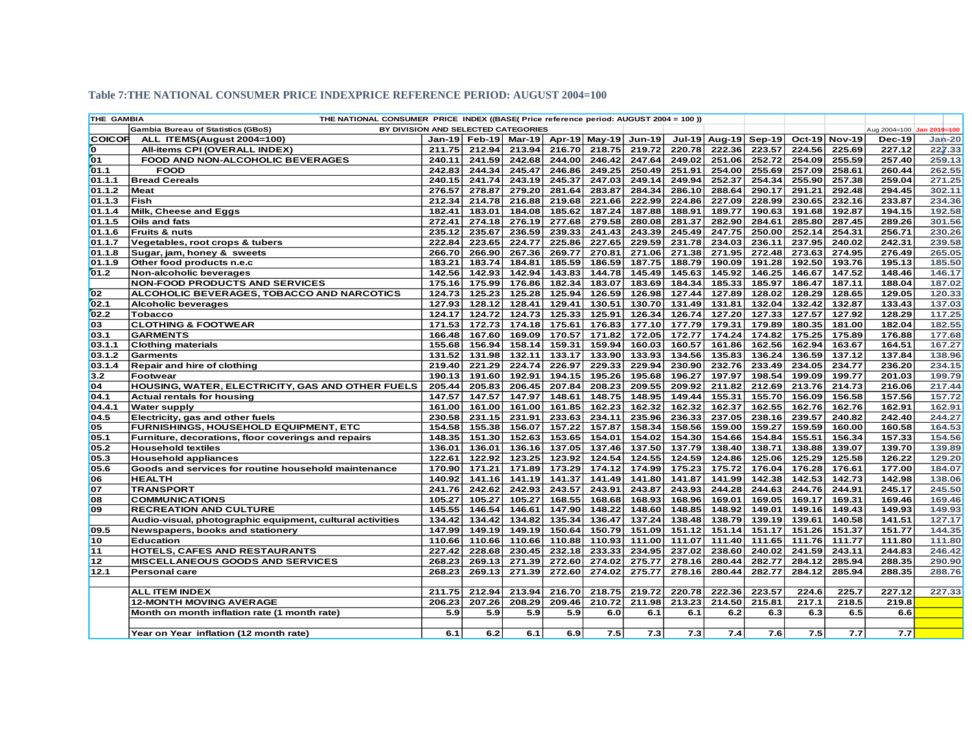| THE GAMBIA      | THE NATIONAL CONSUMER PRICE INDEX ((BASE( Price reference period: AUGUST 2004 = 100)) |        |               |        |        |                                           |        |        |               |        |        |               |                           |          |
|-----------------|---------------------------------------------------------------------------------------|--------|---------------|--------|--------|-------------------------------------------|--------|--------|---------------|--------|--------|---------------|---------------------------|----------|
|                 | <b>Gambia Bureau of Statistics (GBoS)</b><br>BY DIVISION AND SELECTED CATEGORIES      |        |               |        |        |                                           |        |        |               |        |        |               | Aug 2004=100 Jan 2019=100 |          |
| <b>COICOP</b>   | ALL ITEMS(August 2004=100)                                                            |        |               |        |        | Jan-19 Feb-19 Mar-19 Apr-19 May-19 Jun-19 |        | Jul-19 | <b>Aug-19</b> | Sep-19 |        | Oct-19 Nov-19 | <b>Dec-19</b>             | $Jan-20$ |
| O               | All-items CPI (OVERALL INDEX)                                                         |        | 211.75 212.94 | 213.94 |        | 216.70 218.75                             | 219.72 | 220.78 | 222.36        | 223.57 | 224.56 | 225.69        | 227.12                    | 227.33   |
| 01              | FOOD AND NON-ALCOHOLIC BEVERAGES                                                      | 240.11 | 241.59        | 242.68 | 244.00 | 246.42                                    | 247.64 | 249.02 | 251.06        | 252.72 | 254.09 | 255.59        | 257.40                    | 259.13   |
| 01.1            | <b>FOOD</b>                                                                           | 242.83 | 244.34        | 245.47 | 246.86 | 249.25                                    | 250.49 | 251.91 | 254.00        | 255.69 | 257.09 | 258.61        | 260.44                    | 262.55   |
| 01.1.1          | <b>Bread Cereals</b>                                                                  | 240.15 | 241.74        | 243.19 | 245.37 | 247.03                                    | 249.14 | 249.94 | 252.37        | 254.34 | 255.90 | 257.38        | 259.04                    | 271.25   |
| 01.1.2          | <b>Meat</b>                                                                           | 276.57 | 278.87        | 279.20 | 281.64 | 283.87                                    | 284.34 | 286.10 | 288.64        | 290.17 | 291.21 | 292.48        | 294.45                    | 302.11   |
| 01.1.3          | Fish                                                                                  | 212.34 | 214.78        | 216.88 | 219.68 | 221.66                                    | 222.99 | 224.86 | 227.09        | 228.99 | 230.65 | 232.16        | 233.87                    | 234.36   |
| 01.1.4          | Milk, Cheese and Eggs                                                                 | 182.41 | 183.01        | 184.08 | 185.62 | 187.24                                    | 187.88 | 188.91 | 189.77        | 190.63 | 191.68 | 192.87        | 194.15                    | 192.58   |
| 01.1.5          | <b>Oils and fats</b>                                                                  | 272.41 | 274.18        | 276.19 | 277.68 | 279.58                                    | 280.08 | 281.37 | 282.90        | 284.61 | 285.80 | 287.45        | 289.26                    | 301.56   |
| 01.1.6          | <b>Fruits &amp; nuts</b>                                                              | 235.12 | 235.67        | 236.59 | 239.33 | 241.43                                    | 243.39 | 245.49 | 247.75        | 250.00 | 252.14 | 254.31        | 256.71                    | 230.26   |
| 01.1.7          | Vegetables, root crops & tubers                                                       | 222.84 | 223.65        | 224.77 | 225.86 | 227.65                                    | 229.59 | 231.78 | 234.03        | 236.11 | 237.95 | 240.02        | 242.31                    | 239.58   |
| 01.1.8          | Sugar, jam, honey & sweets                                                            | 266.70 | 266.90        | 267.36 | 269.77 | 270.81                                    | 271.06 | 271.38 | 271.95        | 272.48 | 273.63 | 274.95        | 276.49                    | 265.05   |
| 01.1.9          | Other food products n.e.c                                                             | 183.21 | 183.74        | 184.81 | 185.59 | 186.59                                    | 187.75 | 188.79 | 190.09        | 191.28 | 192.50 | 193.76        | 195.13                    | 185.50   |
| 01.2            | Non-alcoholic beverages                                                               | 142.56 | 142.93        | 142.94 | 143.83 | 144.78                                    | 145.49 | 145.63 | 145.92        | 146.25 | 146.67 | 147.52        | 148.46                    | 146.17   |
|                 | <b>NON-FOOD PRODUCTS AND SERVICES</b>                                                 | 175.16 | 175.99        | 176.86 | 182.34 | 183.07                                    | 183.69 | 184.34 | 185.33        | 185.97 | 186.47 | 187.11        | 188.04                    | 187.02   |
| 02              | ALCOHOLIC BEVERAGES, TOBACCO AND NARCOTICS                                            | 124.73 | 125.23        | 125.28 | 125.94 | 126.59                                    | 126.98 | 127.44 | 127.89        | 128.02 | 128.29 | 128.65        | 129.05                    | 120.33   |
| 02.1            | <b>Alcoholic beverages</b>                                                            | 127.93 | 128.12        | 128.41 | 129.41 | 130.51                                    | 130.70 | 131.49 | 131.81        | 132.04 | 132.42 | 132.87        | 133.43                    | 137.03   |
| 02.2            | <b>Tobacco</b>                                                                        | 124.17 | 124.72        | 124.73 | 125.33 | 125.91                                    | 126.34 | 126.74 | 127.20        | 127.33 | 127.57 | 127.92        | 128.29                    | 117.25   |
| 03              | <b>CLOTHING &amp; FOOTWEAR</b>                                                        | 171.53 | 172.73        | 174.18 | 175.61 | 176.83                                    | 177.10 | 177.79 | 179.31        | 179.89 | 180.35 | 181.00        | 182.04                    | 182.55   |
| 03.1            | <b>GARMENTS</b>                                                                       | 166.48 | 167.60        | 169.09 | 170.57 | 171.82                                    | 172.05 | 172.77 | 174.24        | 174.82 | 175.25 | 175.89        | 176.88                    | 177.68   |
| 03.1.1          | <b>Clothing materials</b>                                                             | 155.68 | 156.94        | 158.14 | 159.31 | 159.94                                    | 160.03 | 160.57 | 161.86        | 162.56 | 162.94 | 163.67        | 164.51                    | 167.27   |
| 03.1.2          | <b>Garments</b>                                                                       | 131.52 | 131.98        | 132.11 | 133.17 | 133.90                                    | 133.93 | 134.56 | 135.83        | 136.24 | 136.59 | 137.12        | 137.84                    | 138.96   |
| 03.1.4          | Repair and hire of clothing                                                           | 219.40 | 221.29        | 224.74 | 226.97 | 229.33                                    | 229.94 | 230.90 | 232.76        | 233.49 | 234.05 | 234.77        | 236.20                    | 234.15   |
| 3.2             | <b>Footwear</b>                                                                       | 190.13 | 191.60        | 192.91 | 194.15 | 195.26                                    | 195.68 | 196.27 | 197.97        | 198.54 | 199.09 | 199.77        | 201.03                    | 199.79   |
| 04              | <b>HOUSING, WATER, ELECTRICITY, GAS AND OTHER FUELS</b>                               | 205.44 | 205.83        | 206.45 | 207.84 | 208.23                                    | 209.55 | 209.92 | 211.82        | 212.69 | 213.76 | 214.73        | 216.06                    | 217.44   |
| 04.1            | <b>Actual rentals for housing</b>                                                     | 147.57 | 147.57        | 147.97 | 148.61 | 148.75                                    | 148.95 | 149.44 | 155.31        | 155.70 | 156.09 | 156.58        | 157.56                    | 157.72   |
| 04.4.1          | <b>Water supply</b>                                                                   | 161.00 | 161.00        | 161.00 | 161.85 | 162.23                                    | 162.32 | 162.32 | 162.37        | 162.55 | 162.76 | 162.76        | 162.91                    | 162.91   |
| 04.5            | Electricity, gas and other fuels                                                      | 230.58 | 231.15        | 231.91 | 233.63 | 234.11                                    | 235.96 | 236.33 | 237.05        | 238.16 | 239.57 | 240.82        | 242.40                    | 244.27   |
| 05              | <b>FURNISHINGS, HOUSEHOLD EQUIPMENT, ETC</b>                                          | 154.58 | 155.38        | 156.07 | 157.22 | 157.87                                    | 158.34 | 158.56 | 159.00        | 159.27 | 159.59 | 160.00        | 160.58                    | 164.53   |
| 05.1            | Furniture, decorations, floor coverings and repairs                                   | 148.35 | 151.30        | 152.63 | 153.65 | 154.01                                    | 154.02 | 154.30 | 154.66        | 154.84 | 155.51 | 156.34        | 157.33                    | 154.56   |
| 05.2            | <b>Household textiles</b>                                                             | 136.01 | 136.01        | 136.16 | 137.05 | 137.46                                    | 137.50 | 137.79 | 138.40        | 138.71 | 138.88 | 139.07        | 139.70                    | 139.89   |
| 05.3            | <b>Household appliances</b>                                                           | 122.61 | 122.92        | 123.25 | 123.92 | 124.54                                    | 124.55 | 124.59 | 124.86        | 125.06 | 125.29 | 125.58        | 126.22                    | 129.20   |
| 05.6            | Goods and services for routine household maintenance                                  | 170.90 | 171.21        | 171.89 | 173.29 | 174.12                                    | 174.99 | 175.23 | 175.72        | 176.04 | 176.28 | 176.61        | 177.00                    | 184.07   |
| 06              | <b>HEALTH</b>                                                                         | 140.92 | 141.16        | 141.19 | 141.37 | 141.49                                    | 141.80 | 141.87 | 141.99        | 142.38 | 142.53 | 142.73        | 142.98                    | 138.06   |
| 07              | <b>TRANSPORT</b>                                                                      | 241.76 | 242.62        | 242.93 | 243.57 | 243.91                                    | 243.87 | 243.93 | 244.28        | 244.63 | 244.76 | 244.91        | 245.17                    | 245.50   |
| 08              | <b>COMMUNICATIONS</b>                                                                 | 105.27 | 105.27        | 105.27 | 168.55 | 168.68                                    | 168.93 | 168.96 | 169.01        | 169.05 | 169.17 | 169.31        | 169.46                    | 169.46   |
| 09              | <b>RECREATION AND CULTURE</b>                                                         | 145.55 | 146.54        | 146.61 | 147.90 | 148.22                                    | 148.60 | 148.85 | 148.92        | 149.01 | 149.16 | 149.43        | 149.93                    | 149.93   |
|                 | Audio-visual, photographic equipment, cultural activities                             | 134.42 | 134.42        | 134.82 | 135.34 | 136.47                                    | 137.24 | 138.48 | 138.79        | 139.19 | 139.61 | 140.58        | 141.51                    | 127.17   |
| 09.5            | Newspapers, books and stationery                                                      | 147.99 | 149.19        | 149.19 | 150.64 | 150.79                                    | 151.09 | 151.12 | 151.14        | 151.17 | 151.26 | 151.37        | 151.77                    | 144.35   |
| 10              | <b>Education</b>                                                                      | 110.66 | 110.66        | 110.66 | 110.88 | 110.93                                    | 111.00 | 111.07 | 111.40        | 111.65 | 111.76 | 111.77        | 111.80                    | 111.80   |
| 11              | <b>HOTELS, CAFES AND RESTAURANTS</b>                                                  | 227.42 | 228.68        | 230.45 | 232.18 | 233.33                                    | 234.95 | 237.02 | 238.60        | 240.02 | 241.59 | 243.11        | 244.83                    | 246.42   |
| 12 <sub>2</sub> | <b>MISCELLANEOUS GOODS AND SERVICES</b>                                               | 268.23 | 269.13        | 271.39 | 272.60 | 274.02                                    | 275.77 | 278.16 | 280.44        | 282.77 | 284.12 | 285.94        | 288.35                    | 290.90   |
| 12.1            | <b>Personal care</b>                                                                  | 268.23 | 269.13        | 271.39 | 272.60 | 274.02                                    | 275.77 | 278.16 | 280.44        | 282.77 | 284.12 | 285.94        | 288.35                    | 288.76   |
|                 |                                                                                       |        |               |        |        |                                           |        |        |               |        |        |               |                           |          |
|                 | <b>ALL ITEM INDEX</b>                                                                 | 211.75 | 212.94        | 213.94 | 216.70 | 218.75                                    | 219.72 | 220.78 | 222.36        | 223.57 | 224.6  | 225.7         | 227.12                    | 227.33   |
|                 | <b>12-MONTH MOVING AVERAGE</b>                                                        | 206.23 | 207.26        | 208.29 | 209.46 | 210.72                                    | 211.98 | 213.23 | 214.50        | 215.81 | 217.1  | 218.5         | 219.8                     |          |
|                 | Month on month inflation rate (1 month rate)                                          | 5.9    | 5.9           | 5.9    | 5.9    | 6.0                                       | 6.1    | 6.1    | 6.2           | 6.3    | 6.3    | 6.5           | 6.6                       |          |
|                 |                                                                                       |        |               |        |        |                                           |        |        |               |        |        |               |                           |          |
|                 | Year on Year inflation (12 month rate)                                                | 6.1    | 6.2           | 6.1    | 6.9    | 7.5                                       | 7.3    | 7.3    | 7.4           | 7.6    | 7.5    | 7.7           | 7.7                       |          |

#### **Table 7:THE NATIONAL CONSUMER PRICE INDEXPRICE REFERENCE PERIOD: AUGUST 2004=100**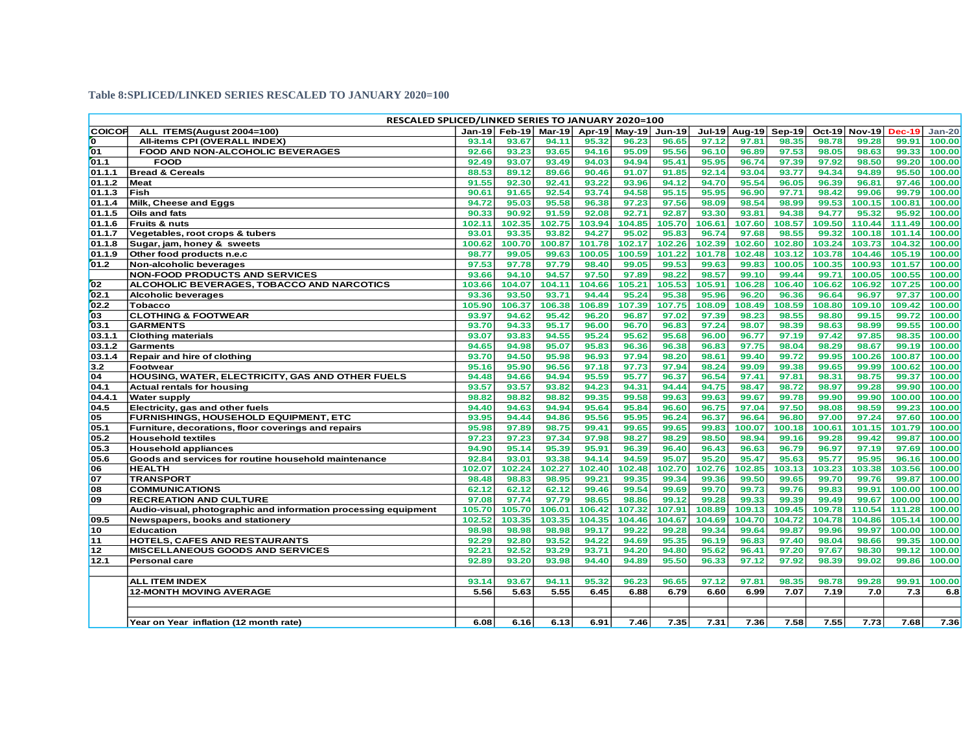#### **Table 8:SPLICED/LINKED SERIES RESCALED TO JANUARY 2020=100**

|                 | RESCALED SPLICED/LINKED SERIES TO JANUARY 2020=100              |        |                                           |        |        |        |        |        |        |                      |        |                      |        |          |
|-----------------|-----------------------------------------------------------------|--------|-------------------------------------------|--------|--------|--------|--------|--------|--------|----------------------|--------|----------------------|--------|----------|
| <b>COICOP</b>   | ALL ITEMS(August 2004=100)                                      |        | Jan-19 Feb-19 Mar-19 Apr-19 May-19 Jun-19 |        |        |        |        |        |        | Jul-19 Aug-19 Sep-19 |        | Oct-19 Nov-19 Dec-19 |        | $Jan-20$ |
| 0               | All-items CPI (OVERALL INDEX)                                   | 93.14  | 93.67                                     | 94.11  | 95.32  | 96.23  | 96.65  | 97.12  | 97.81  | 98.35                | 98.78  | 99.28                | 99.91  | 100.00   |
| $\overline{01}$ | FOOD AND NON-ALCOHOLIC BEVERAGES                                | 92.66  | 93.23                                     | 93.65  | 94.16  | 95.09  | 95.56  | 96.10  | 96.89  | 97.53                | 98.05  | 98.63                | 99.33  | 100.00   |
| 01.1            | <b>FOOD</b>                                                     | 92.49  | 93.07                                     | 93.49  | 94.03  | 94.94  | 95.41  | 95.95  | 96.74  | 97.39                | 97.92  | 98.50                | 99.20  | 100.00   |
| 01.1.1          | <b>Bread &amp; Cereals</b>                                      | 88.53  | 89.12                                     | 89.66  | 90.46  | 91.07  | 91.85  | 92.14  | 93.04  | 93.77                | 94.34  | 94.89                | 95.50  | 100.00   |
| 01.1.2          | <b>Meat</b>                                                     | 91.55  | 92.30                                     | 92.41  | 93.22  | 93.96  | 94.12  | 94.70  | 95.54  | 96.05                | 96.39  | 96.81                | 97.46  | 100.00   |
| 01.1.3          | Fish                                                            | 90.61  | 91.65                                     | 92.54  | 93.74  | 94.58  | 95.15  | 95.95  | 96.90  | 97.71                | 98.42  | 99.06                | 99.79  | 100.00   |
| 01.1.4          | Milk, Cheese and Eggs                                           | 94.72  | 95.03                                     | 95.58  | 96.38  | 97.23  | 97.56  | 98.09  | 98.54  | 98.99                | 99.53  | 100.15               | 100.81 | 100.00   |
| 01.1.5          | Oils and fats                                                   | 90.33  | 90.92                                     | 91.59  | 92.08  | 92.71  | 92.87  | 93.30  | 93.81  | 94.38                | 94.77  | 95.32                | 95.92  | 100.00   |
| 01.1.6          | Fruits & nuts                                                   | 102.11 | 102.35                                    | 102.75 | 103.94 | 104.85 | 105.70 | 106.61 | 107.60 | 108.57               | 109.50 | 110.44               | 111.49 | 100.00   |
| 01.1.7          | Vegetables, root crops & tubers                                 | 93.01  | 93.35                                     | 93.82  | 94.27  | 95.02  | 95.83  | 96.74  | 97.68  | 98.55                | 99.32  | 100.18               | 101.14 | 100.00   |
| 01.1.8          | Sugar, jam, honey & sweets                                      | 100.62 | 100.70                                    | 100.87 | 101.78 | 102.17 | 102.26 | 102.39 | 102.60 | 102.80               | 103.24 | 103.73               | 104.32 | 100.00   |
| 01.1.9          | Other food products n.e.c                                       | 98.77  | 99.05                                     | 99.63  | 100.05 | 100.59 | 101.22 | 101.78 | 102.48 | 103.12               | 103.78 | 104.46               | 105.19 | 100.00   |
| 01.2            | Non-alcoholic beverages                                         | 97.53  | 97.78                                     | 97.79  | 98.40  | 99.05  | 99.53  | 99.63  | 99.83  | 100.05               | 100.35 | 100.93               | 101.57 | 100.00   |
|                 | <b>NON-FOOD PRODUCTS AND SERVICES</b>                           | 93.66  | 94.10                                     | 94.57  | 97.50  | 97.89  | 98.22  | 98.57  | 99.10  | 99.44                | 99.71  | 100.05               | 100.55 | 100.00   |
| 02              | ALCOHOLIC BEVERAGES, TOBACCO AND NARCOTICS                      | 103.66 | 104.07                                    | 104.11 | 104.66 | 105.21 | 105.53 | 105.91 | 106.28 | 106.40               | 106.62 | 106.92               | 107.25 | 100.00   |
| 02.1            | Alcoholic beverages                                             | 93.36  | 93.50                                     | 93.71  | 94.44  | 95.24  | 95.38  | 95.96  | 96.20  | 96.36                | 96.64  | 96.97                | 97.37  | 100.00   |
| 02.2            | <b>Tobacco</b>                                                  | 105.90 | 106.37                                    | 106.38 | 106.89 | 107.39 | 107.75 | 108.09 | 108.49 | 108.59               | 108.80 | 109.10               | 109.42 | 100.00   |
| 03              | <b>CLOTHING &amp; FOOTWEAR</b>                                  | 93.97  | 94.62                                     | 95.42  | 96.20  | 96.87  | 97.02  | 97.39  | 98.23  | 98.55                | 98.80  | 99.15                | 99.72  | 100.00   |
| 03.1            | <b>GARMENTS</b>                                                 | 93.70  | 94.33                                     | 95.17  | 96.00  | 96.70  | 96.83  | 97.24  | 98.07  | 98.39                | 98.63  | 98.99                | 99.55  | 100.00   |
| 03.1.1          | <b>Clothing materials</b>                                       | 93.07  | 93.83                                     | 94.55  | 95.24  | 95.62  | 95.68  | 96.00  | 96.77  | 97.19                | 97.42  | 97.85                | 98.35  | 100.00   |
| 03.1.2          | Garments                                                        | 94.65  | 94.98                                     | 95.07  | 95.83  | 96.36  | 96.38  | 96.83  | 97.75  | 98.04                | 98.29  | 98.67                | 99.19  | 100.00   |
| 03.1.4          | <b>Repair and hire of clothing</b>                              | 93.70  | 94.50                                     | 95.98  | 96.93  | 97.94  | 98.20  | 98.61  | 99.40  | 99.72                | 99.95  | 100.26               | 100.87 | 100.00   |
| 3.2             | Footwear                                                        | 95.16  | 95.90                                     | 96.56  | 97.18  | 97.73  | 97.94  | 98.24  | 99.09  | 99.38                | 99.65  | 99.99                | 100.62 | 100.00   |
| 04              | <b>HOUSING, WATER, ELECTRICITY, GAS AND OTHER FUELS</b>         | 94.48  | 94.66                                     | 94.94  | 95.59  | 95.77  | 96.37  | 96.54  | 97.41  | 97.81                | 98.31  | 98.75                | 99.37  | 100.00   |
| 04.1            | <b>Actual rentals for housing</b>                               | 93.57  | 93.57                                     | 93.82  | 94.23  | 94.31  | 94.44  | 94.75  | 98.47  | 98.72                | 98.97  | 99.28                | 99.90  | 100.00   |
| 04.4.1          | <b>Water supply</b>                                             | 98.82  | 98.82                                     | 98.82  | 99.35  | 99.58  | 99.63  | 99.63  | 99.67  | 99.78                | 99.90  | 99.90                | 100.00 | 100.00   |
| 04.5            | Electricity, gas and other fuels                                | 94.40  | 94.63                                     | 94.94  | 95.64  | 95.84  | 96.60  | 96.75  | 97.04  | 97.50                | 98.08  | 98.59                | 99.23  | 100.00   |
| 05              | <b>FURNISHINGS, HOUSEHOLD EQUIPMENT, ETC</b>                    | 93.95  | 94.44                                     | 94.86  | 95.56  | 95.95  | 96.24  | 96.37  | 96.64  | 96.80                | 97.00  | 97.24                | 97.60  | 100.00   |
| 05.1            | Furniture, decorations, floor coverings and repairs             | 95.98  | 97.89                                     | 98.75  | 99.41  | 99.65  | 99.65  | 99.83  | 100.07 | 100.18               | 100.61 | 101.15               | 101.79 | 100.00   |
| 05.2            | <b>Household textiles</b>                                       | 97.23  | 97.23                                     | 97.34  | 97.98  | 98.27  | 98.29  | 98.50  | 98.94  | 99.16                | 99.28  | 99.42                | 99.87  | 100.00   |
| 05.3            | <b>Household appliances</b>                                     | 94.90  | 95.14                                     | 95.39  | 95.91  | 96.39  | 96.40  | 96.43  | 96.63  | 96.79                | 96.97  | 97.19                | 97.69  | 100.00   |
| 05.6            | Goods and services for routine household maintenance            | 92.84  | 93.01                                     | 93.38  | 94.14  | 94.59  | 95.07  | 95.20  | 95.47  | 95.63                | 95.77  | 95.95                | 96.16  | 100.00   |
| 06              | <b>HEALTH</b>                                                   | 02.07  | 102.24                                    | 102.27 | 102.40 | 102.48 | 102.70 | 102.76 | 102.85 | 103.13               | 103.23 | 103.38               | 103.56 | 100.00   |
| 07              | <b>TRANSPORT</b>                                                | 98.48  | 98.83                                     | 98.95  | 99.21  | 99.35  | 99.34  | 99.36  | 99.50  | 99.65                | 99.70  | 99.76                | 99.87  | 100.00   |
| <b>08</b>       | <b>COMMUNICATIONS</b>                                           | 62.12  | 62.12                                     | 62.12  | 99.46  | 99.54  | 99.69  | 99.70  | 99.73  | 99.76                | 99.83  | 99.91                | 100.00 | 100.00   |
| 09              | <b>RECREATION AND CULTURE</b>                                   | 97.08  | 97.74                                     | 97.79  | 98.65  | 98.86  | 99.12  | 99.28  | 99.33  | 99.39                | 99.49  | 99.67                | 100.00 | 100.00   |
|                 | Audio-visual, photographic and information processing equipment | 105.70 | 105.70                                    | 106.01 | 106.42 | 107.32 | 107.91 | 108.89 | 109.13 | 109.45               | 109.78 | 110.54               | 111.28 | 100.00   |
| 09.5            | Newspapers, books and stationery                                | 102.52 | 103.35                                    | 103.35 | 104.35 | 104.46 | 104.67 | 104.69 | 104.70 | 104.72               | 104.78 | 104.86               | 105.14 | 100.00   |
| 10              | <b>Education</b>                                                | 98.98  | 98.98                                     | 98.98  | 99.17  | 99.22  | 99.28  | 99.34  | 99.64  | 99.87                | 99.96  | 99.97                | 100.00 | 100.00   |
| 11              | HOTELS, CAFES AND RESTAURANTS                                   | 92.29  | 92.80                                     | 93.52  | 94.22  | 94.69  | 95.35  | 96.19  | 96.83  | 97.40                | 98.04  | 98.66                | 99.35  | 100.00   |
| 12              | <b>MISCELLANEOUS GOODS AND SERVICES</b>                         | 92.21  | 92.52                                     | 93.29  | 93.71  | 94.20  | 94.80  | 95.62  | 96.41  | 97.20                | 97.67  | 98.30                | 99.12  | 100.00   |
| 12.1            | Personal care                                                   | 92.89  | 93.20                                     | 93.98  | 94.40  | 94.89  | 95.50  | 96.33  | 97.12  | 97.92                | 98.39  | 99.02                | 99.86  | 100.00   |
|                 |                                                                 |        |                                           |        |        |        |        |        |        |                      |        |                      |        |          |
|                 | <b>ALL ITEM INDEX</b>                                           | 93.14  | 93.67                                     | 94.11  | 95.32  | 96.23  | 96.65  | 97.12  | 97.81  | 98.35                | 98.78  | 99.28                | 99.91  | 100.00   |
|                 | <b>12-MONTH MOVING AVERAGE</b>                                  | 5.56   | 5.63                                      | 5.55   | 6.45   | 6.88   | 6.79   | 6.60   | 6.99   | 7.07                 | 7.19   | 7.0                  | 7.3    | 6.8      |
|                 |                                                                 |        |                                           |        |        |        |        |        |        |                      |        |                      |        |          |
|                 |                                                                 |        |                                           |        |        |        |        |        |        |                      |        |                      |        |          |
|                 | Year on Year inflation (12 month rate)                          | 6.08   | 6.16                                      | 6.13   | 6.91   | 7.46   | 7.35   | 7.31   | 7.36   | 7.58                 | 7.55   | 7.73                 | 7.68   | 7.36     |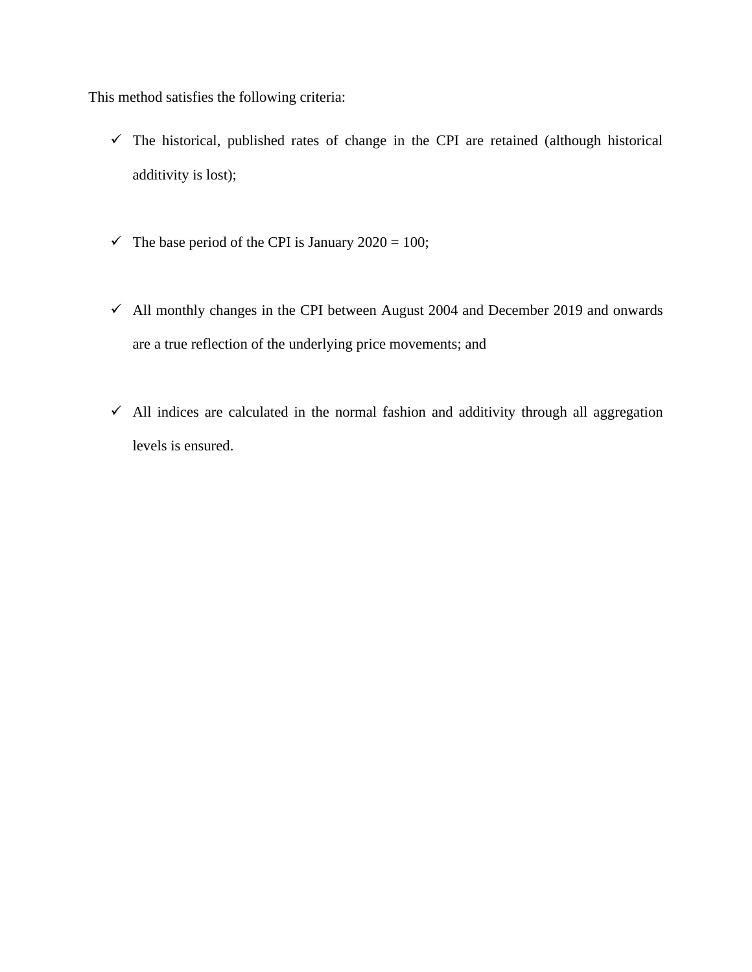This method satisfies the following criteria:

- $\checkmark$  The historical, published rates of change in the CPI are retained (although historical additivity is lost);
- $\checkmark$  The base period of the CPI is January 2020 = 100;
- $\checkmark$  All monthly changes in the CPI between August 2004 and December 2019 and onwards are a true reflection of the underlying price movements; and
- $\checkmark$  All indices are calculated in the normal fashion and additivity through all aggregation levels is ensured.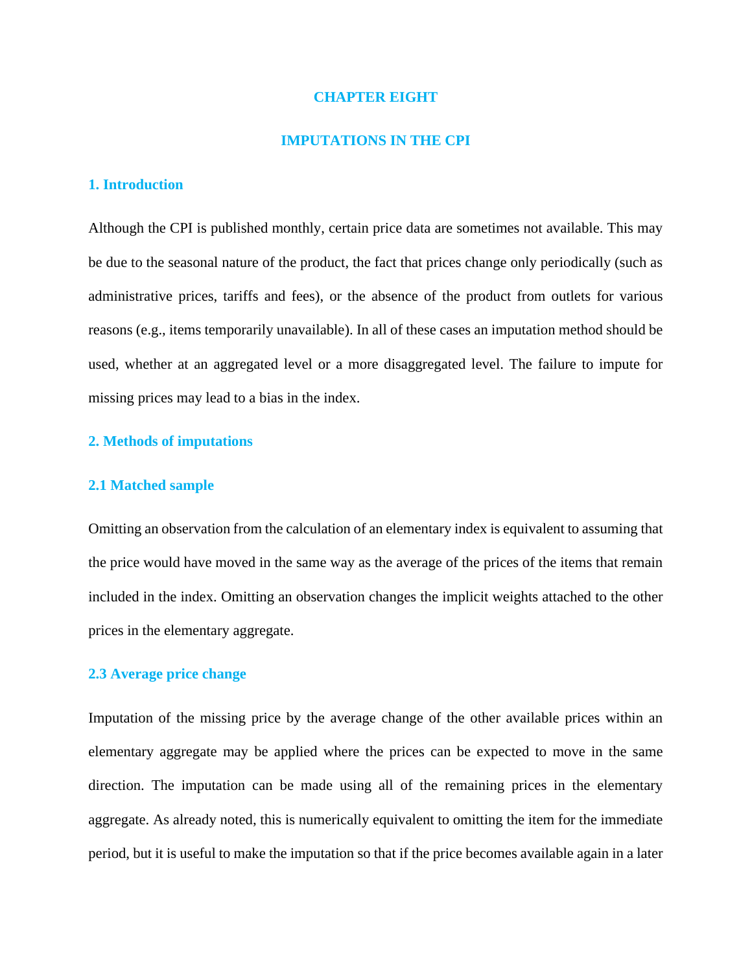### **CHAPTER EIGHT**

#### **IMPUTATIONS IN THE CPI**

# **1. Introduction**

Although the CPI is published monthly, certain price data are sometimes not available. This may be due to the seasonal nature of the product, the fact that prices change only periodically (such as administrative prices, tariffs and fees), or the absence of the product from outlets for various reasons (e.g., items temporarily unavailable). In all of these cases an imputation method should be used, whether at an aggregated level or a more disaggregated level. The failure to impute for missing prices may lead to a bias in the index.

# **2. Methods of imputations**

# **2.1 Matched sample**

Omitting an observation from the calculation of an elementary index is equivalent to assuming that the price would have moved in the same way as the average of the prices of the items that remain included in the index. Omitting an observation changes the implicit weights attached to the other prices in the elementary aggregate.

# **2.3 Average price change**

Imputation of the missing price by the average change of the other available prices within an elementary aggregate may be applied where the prices can be expected to move in the same direction. The imputation can be made using all of the remaining prices in the elementary aggregate. As already noted, this is numerically equivalent to omitting the item for the immediate period, but it is useful to make the imputation so that if the price becomes available again in a later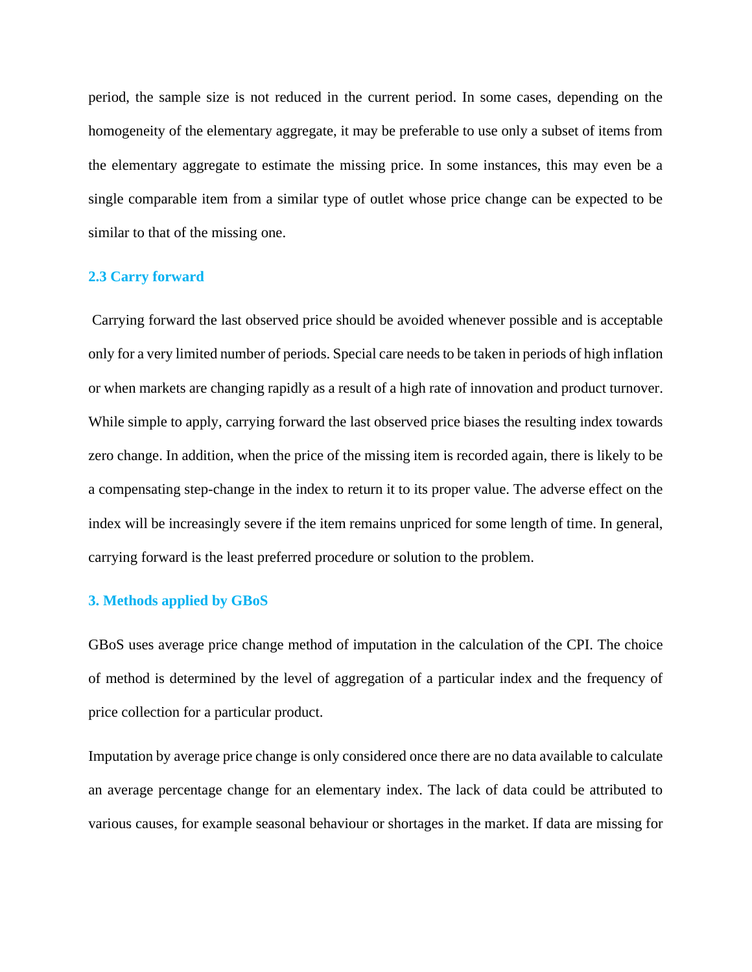period, the sample size is not reduced in the current period. In some cases, depending on the homogeneity of the elementary aggregate, it may be preferable to use only a subset of items from the elementary aggregate to estimate the missing price. In some instances, this may even be a single comparable item from a similar type of outlet whose price change can be expected to be similar to that of the missing one.

# **2.3 Carry forward**

Carrying forward the last observed price should be avoided whenever possible and is acceptable only for a very limited number of periods. Special care needs to be taken in periods of high inflation or when markets are changing rapidly as a result of a high rate of innovation and product turnover. While simple to apply, carrying forward the last observed price biases the resulting index towards zero change. In addition, when the price of the missing item is recorded again, there is likely to be a compensating step-change in the index to return it to its proper value. The adverse effect on the index will be increasingly severe if the item remains unpriced for some length of time. In general, carrying forward is the least preferred procedure or solution to the problem.

# **3. Methods applied by GBoS**

GBoS uses average price change method of imputation in the calculation of the CPI. The choice of method is determined by the level of aggregation of a particular index and the frequency of price collection for a particular product.

Imputation by average price change is only considered once there are no data available to calculate an average percentage change for an elementary index. The lack of data could be attributed to various causes, for example seasonal behaviour or shortages in the market. If data are missing for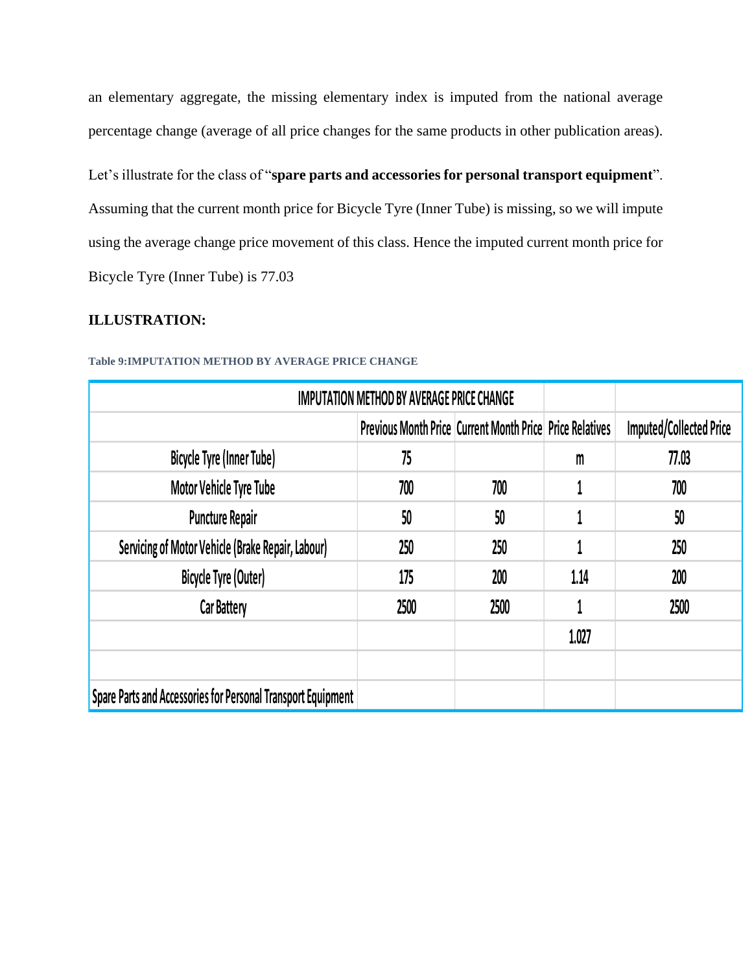an elementary aggregate, the missing elementary index is imputed from the national average percentage change (average of all price changes for the same products in other publication areas).

Let's illustrate for the class of "**spare parts and accessories for personal transport equipment**". Assuming that the current month price for Bicycle Tyre (Inner Tube) is missing, so we will impute using the average change price movement of this class. Hence the imputed current month price for Bicycle Tyre (Inner Tube) is 77.03

# **ILLUSTRATION:**

|                                                              | <b>IMPUTATION METHOD BY AVERAGE PRICE CHANGE</b>                |                                |              |       |
|--------------------------------------------------------------|-----------------------------------------------------------------|--------------------------------|--------------|-------|
|                                                              | <b>Previous Month Price Current Month Price Price Relatives</b> | <b>Imputed/Collected Price</b> |              |       |
| Bicycle Tyre (Inner Tube)                                    | 75                                                              |                                | $\mathsf{m}$ | 77.03 |
| Motor Vehicle Tyre Tube                                      | 700                                                             | 700                            |              | 700   |
| <b>Puncture Repair</b>                                       | 50                                                              | 50                             |              | 50    |
| Servicing of Motor Vehicle (Brake Repair, Labour)            | 250                                                             | 250                            |              | 250   |
| Bicycle Tyre (Outer)                                         | 175                                                             | 200                            | 1.14         | 200   |
| <b>Car Battery</b>                                           | 2500                                                            | 2500                           |              | 2500  |
|                                                              |                                                                 |                                | 1.027        |       |
|                                                              |                                                                 |                                |              |       |
| Spare Parts and Accessories for Personal Transport Equipment |                                                                 |                                |              |       |

# **Table 9:IMPUTATION METHOD BY AVERAGE PRICE CHANGE**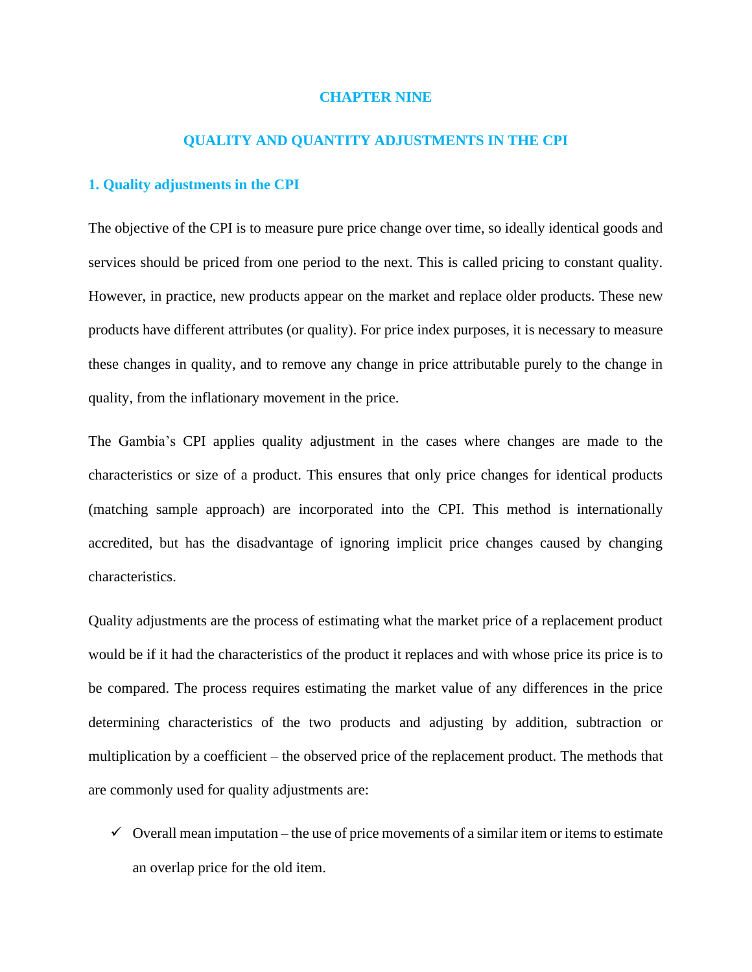### **CHAPTER NINE**

# **QUALITY AND QUANTITY ADJUSTMENTS IN THE CPI**

### **1. Quality adjustments in the CPI**

The objective of the CPI is to measure pure price change over time, so ideally identical goods and services should be priced from one period to the next. This is called pricing to constant quality. However, in practice, new products appear on the market and replace older products. These new products have different attributes (or quality). For price index purposes, it is necessary to measure these changes in quality, and to remove any change in price attributable purely to the change in quality, from the inflationary movement in the price.

The Gambia's CPI applies quality adjustment in the cases where changes are made to the characteristics or size of a product. This ensures that only price changes for identical products (matching sample approach) are incorporated into the CPI. This method is internationally accredited, but has the disadvantage of ignoring implicit price changes caused by changing characteristics.

Quality adjustments are the process of estimating what the market price of a replacement product would be if it had the characteristics of the product it replaces and with whose price its price is to be compared. The process requires estimating the market value of any differences in the price determining characteristics of the two products and adjusting by addition, subtraction or multiplication by a coefficient – the observed price of the replacement product. The methods that are commonly used for quality adjustments are:

 $\checkmark$  Overall mean imputation – the use of price movements of a similar item or items to estimate an overlap price for the old item.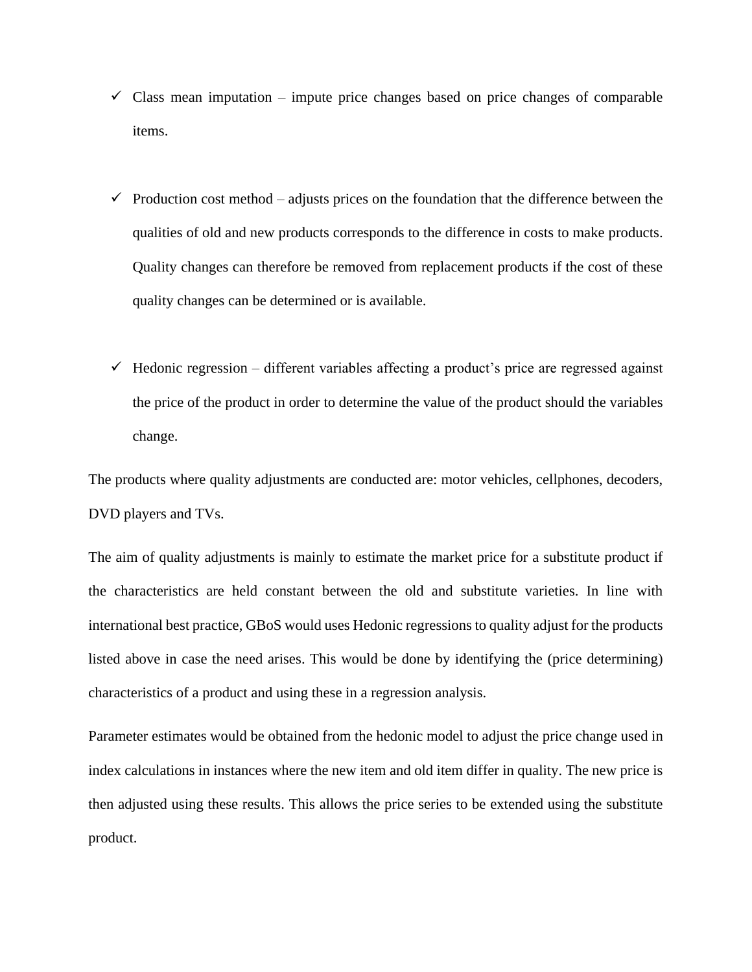- $\checkmark$  Class mean imputation impute price changes based on price changes of comparable items.
- $\checkmark$  Production cost method adjusts prices on the foundation that the difference between the qualities of old and new products corresponds to the difference in costs to make products. Quality changes can therefore be removed from replacement products if the cost of these quality changes can be determined or is available.
- $\checkmark$  Hedonic regression different variables affecting a product's price are regressed against the price of the product in order to determine the value of the product should the variables change.

The products where quality adjustments are conducted are: motor vehicles, cellphones, decoders, DVD players and TVs.

The aim of quality adjustments is mainly to estimate the market price for a substitute product if the characteristics are held constant between the old and substitute varieties. In line with international best practice, GBoS would uses Hedonic regressions to quality adjust for the products listed above in case the need arises. This would be done by identifying the (price determining) characteristics of a product and using these in a regression analysis.

Parameter estimates would be obtained from the hedonic model to adjust the price change used in index calculations in instances where the new item and old item differ in quality. The new price is then adjusted using these results. This allows the price series to be extended using the substitute product.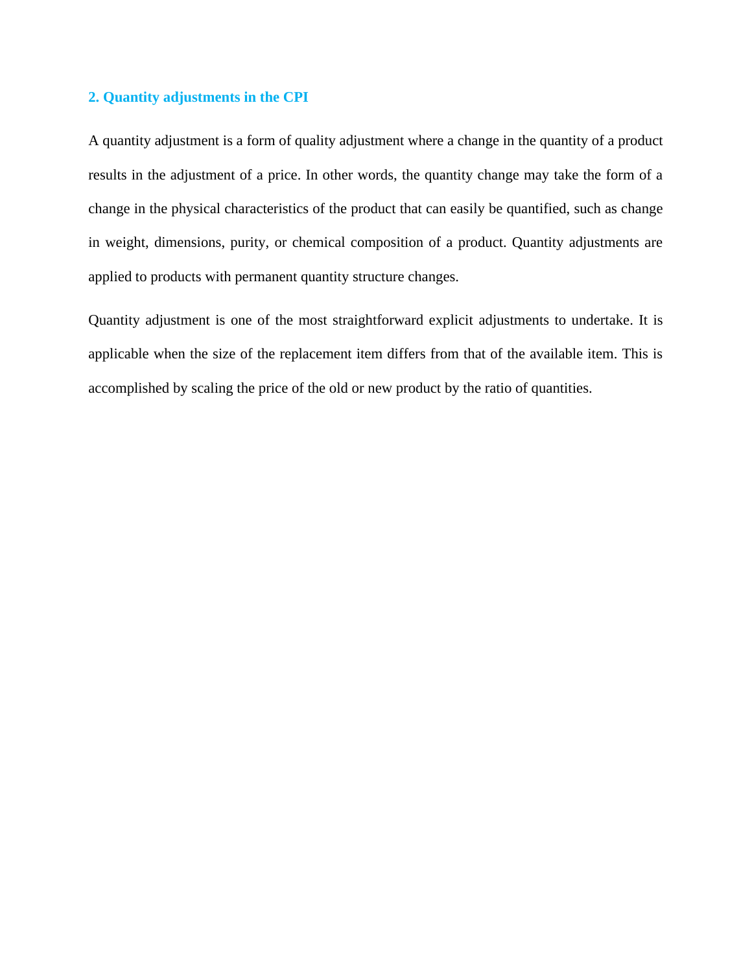# **2. Quantity adjustments in the CPI**

A quantity adjustment is a form of quality adjustment where a change in the quantity of a product results in the adjustment of a price. In other words, the quantity change may take the form of a change in the physical characteristics of the product that can easily be quantified, such as change in weight, dimensions, purity, or chemical composition of a product. Quantity adjustments are applied to products with permanent quantity structure changes.

Quantity adjustment is one of the most straightforward explicit adjustments to undertake. It is applicable when the size of the replacement item differs from that of the available item. This is accomplished by scaling the price of the old or new product by the ratio of quantities.